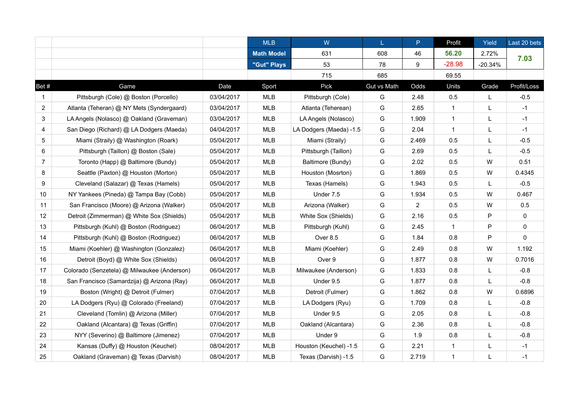|                |                                             |            | <b>MLB</b>        | W                       | L.          | P              | Profit       | Yield     | Last 20 bets |
|----------------|---------------------------------------------|------------|-------------------|-------------------------|-------------|----------------|--------------|-----------|--------------|
|                |                                             |            | <b>Math Model</b> | 631                     | 608         | 46             | 56.20        | 2.72%     | 7.03         |
|                |                                             |            | "Gut" Plays       | 53                      | 78          | 9              | $-28.98$     | $-20.34%$ |              |
|                |                                             |            |                   | 715                     | 685         |                | 69.55        |           |              |
| Bet #          | Game                                        | Date       | Sport             | Pick                    | Gut vs Math | Odds           | Units        | Grade     | Profit/Loss  |
| 1              | Pittsburgh (Cole) @ Boston (Porcello)       | 03/04/2017 | MLB               | Pittsburgh (Cole)       | G           | 2.48           | 0.5          | L         | $-0.5$       |
| 2              | Atlanta (Teheran) @ NY Mets (Syndergaard)   | 03/04/2017 | MLB               | Atlanta (Teherean)      | G           | 2.65           | $\mathbf{1}$ | L         | $-1$         |
| 3              | LA Angels (Nolasco) @ Oakland (Graveman)    | 03/04/2017 | MLB               | LA Angels (Nolasco)     | G           | 1.909          | $\mathbf{1}$ | L         | $-1$         |
| 4              | San Diego (Richard) @ LA Dodgers (Maeda)    | 04/04/2017 | MLB               | LA Dodgers (Maeda) -1.5 | G           | 2.04           | $\mathbf{1}$ | L         | $-1$         |
| 5              | Miami (Straily) @ Washington (Roark)        | 05/04/2017 | MLB               | Miami (Straily)         | G           | 2.469          | 0.5          | L         | $-0.5$       |
| 6              | Pittsburgh (Taillon) @ Boston (Sale)        | 05/04/2017 | MLB               | Pittsburgh (Taillon)    | G           | 2.69           | 0.5          | L         | $-0.5$       |
| $\overline{7}$ | Toronto (Happ) @ Baltimore (Bundy)          | 05/04/2017 | <b>MLB</b>        | Baltimore (Bundy)       | G           | 2.02           | 0.5          | ${\sf W}$ | 0.51         |
| 8              | Seattle (Paxton) @ Houston (Morton)         | 05/04/2017 | MLB               | Houston (Mosrton)       | G           | 1.869          | 0.5          | W         | 0.4345       |
| 9              | Cleveland (Salazar) @ Texas (Hamels)        | 05/04/2017 | MLB               | Texas (Hamels)          | G           | 1.943          | 0.5          | L         | $-0.5$       |
| 10             | NY Yankees (Pineda) @ Tampa Bay (Cobb)      | 05/04/2017 | MLB               | Under 7.5               | G           | 1.934          | 0.5          | W         | 0.467        |
| 11             | San Francisco (Moore) @ Arizona (Walker)    | 05/04/2017 | MLB               | Arizona (Walker)        | G           | $\overline{2}$ | 0.5          | W         | 0.5          |
| 12             | Detroit (Zimmerman) @ White Sox (Shields)   | 05/04/2017 | <b>MLB</b>        | White Sox (Shields)     | G           | 2.16           | 0.5          | P         | 0            |
| 13             | Pittsburgh (Kuhl) @ Boston (Rodriguez)      | 06/04/2017 | <b>MLB</b>        | Pittsburgh (Kuhl)       | G           | 2.45           | $\mathbf{1}$ | P         | 0            |
| 14             | Pittsburgh (Kuhl) @ Boston (Rodriguez)      | 06/04/2017 | <b>MLB</b>        | Over 8.5                | G           | 1.84           | 0.8          | P         | $\mathbf 0$  |
| 15             | Miami (Koehler) @ Washington (Gonzalez)     | 06/04/2017 | <b>MLB</b>        | Miami (Koehler)         | G           | 2.49           | 0.8          | W         | 1.192        |
| 16             | Detroit (Boyd) @ White Sox (Shields)        | 06/04/2017 | <b>MLB</b>        | Over 9                  | G           | 1.877          | 0.8          | W         | 0.7016       |
| 17             | Colorado (Senzetela) @ Milwaukee (Anderson) | 06/04/2017 | <b>MLB</b>        | Milwaukee (Anderson)    | G           | 1.833          | 0.8          | L         | $-0.8$       |
| 18             | San Francisco (Samardzija) @ Arizona (Ray)  | 06/04/2017 | <b>MLB</b>        | Under 9.5               | G           | 1.877          | 0.8          | L         | $-0.8$       |
| 19             | Boston (Wright) @ Detroit (Fulmer)          | 07/04/2017 | MLB               | Detroit (Fulmer)        | G           | 1.862          | 0.8          | W         | 0.6896       |
| 20             | LA Dodgers (Ryu) @ Colorado (Freeland)      | 07/04/2017 | <b>MLB</b>        | LA Dodgers (Ryu)        | G           | 1.709          | 0.8          | L         | $-0.8$       |
| 21             | Cleveland (Tomlin) @ Arizona (Miller)       | 07/04/2017 | <b>MLB</b>        | Under 9.5               | G           | 2.05           | 0.8          | L         | $-0.8$       |
| 22             | Oakland (Alcantara) @ Texas (Griffin)       | 07/04/2017 | <b>MLB</b>        | Oakland (Alcantara)     | G           | 2.36           | 0.8          | L         | $-0.8$       |
| 23             | NYY (Severino) @ Baltimore (Jimenez)        | 07/04/2017 | <b>MLB</b>        | Under 9                 | G           | 1.9            | 0.8          | L         | $-0.8$       |
| 24             | Kansas (Duffy) @ Houston (Keuchel)          | 08/04/2017 | <b>MLB</b>        | Houston (Keuchel) -1.5  | G           | 2.21           | $\mathbf{1}$ | L         | $-1$         |
| 25             | Oakland (Graveman) @ Texas (Darvish)        | 08/04/2017 | <b>MLB</b>        | Texas (Darvish) -1.5    | G           | 2.719          | $\mathbf{1}$ | L         | $-1$         |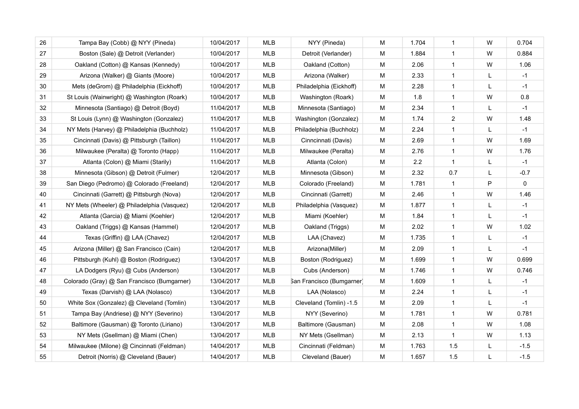| 26 | Tampa Bay (Cobb) @ NYY (Pineda)             | 10/04/2017 | <b>MLB</b> | NYY (Pineda)              | M | 1.704 | $\mathbf{1}$   | W            | 0.704  |
|----|---------------------------------------------|------------|------------|---------------------------|---|-------|----------------|--------------|--------|
| 27 | Boston (Sale) @ Detroit (Verlander)         | 10/04/2017 | <b>MLB</b> | Detroit (Verlander)       | M | 1.884 | $\mathbf{1}$   | W            | 0.884  |
| 28 | Oakland (Cotton) @ Kansas (Kennedy)         | 10/04/2017 | <b>MLB</b> | Oakland (Cotton)          | M | 2.06  | $\mathbf{1}$   | W            | 1.06   |
| 29 | Arizona (Walker) @ Giants (Moore)           | 10/04/2017 | <b>MLB</b> | Arizona (Walker)          | M | 2.33  | $\mathbf{1}$   | L            | $-1$   |
| 30 | Mets (deGrom) @ Philadelphia (Eickhoff)     | 10/04/2017 | <b>MLB</b> | Philadelphia (Eickhoff)   | M | 2.28  | $\mathbf{1}$   |              | $-1$   |
| 31 | St Louis (Wainwright) @ Washington (Roark)  | 10/04/2017 | <b>MLB</b> | Washington (Roark)        | М | 1.8   | $\mathbf{1}$   | W            | 0.8    |
| 32 | Minnesota (Santiago) @ Detroit (Boyd)       | 11/04/2017 | MLB        | Minnesota (Santiago)      | М | 2.34  | $\mathbf{1}$   | L            | $-1$   |
| 33 | St Louis (Lynn) @ Washington (Gonzalez)     | 11/04/2017 | MLB        | Washington (Gonzalez)     | M | 1.74  | $\overline{2}$ | W            | 1.48   |
| 34 | NY Mets (Harvey) @ Philadelphia (Buchholz)  | 11/04/2017 | MLB        | Philadelphia (Buchholz)   | M | 2.24  | $\mathbf{1}$   | L            | $-1$   |
| 35 | Cincinnati (Davis) @ Pittsburgh (Taillon)   | 11/04/2017 | MLB        | Cinncinnati (Davis)       | M | 2.69  | $\mathbf{1}$   | W            | 1.69   |
| 36 | Milwaukee (Peralta) @ Toronto (Happ)        | 11/04/2017 | MLB        | Milwaukee (Peralta)       | М | 2.76  | $\mathbf{1}$   | W            | 1.76   |
| 37 | Atlanta (Colon) @ Miami (Starily)           | 11/04/2017 | MLB        | Atlanta (Colon)           | M | 2.2   | $\mathbf{1}$   | L            | $-1$   |
| 38 | Minnesota (Gibson) @ Detroit (Fulmer)       | 12/04/2017 | MLB        | Minnesota (Gibson)        | М | 2.32  | 0.7            | L            | $-0.7$ |
| 39 | San Diego (Pedromo) @ Colorado (Freeland)   | 12/04/2017 | MLB        | Colorado (Freeland)       | M | 1.781 | $\mathbf{1}$   | $\mathsf{P}$ | 0      |
| 40 | Cincinnati (Garrett) @ Pittsburgh (Nova)    | 12/04/2017 | <b>MLB</b> | Cincinnati (Garrett)      | M | 2.46  | $\mathbf{1}$   | W            | 1.46   |
| 41 | NY Mets (Wheeler) @ Philadelphia (Vasquez)  | 12/04/2017 | MLB        | Philadelphia (Vasquez)    | M | 1.877 | $\mathbf{1}$   | L            | $-1$   |
| 42 | Atlanta (Garcia) @ Miami (Koehler)          | 12/04/2017 | MLB        | Miami (Koehler)           | M | 1.84  | $\mathbf{1}$   | L            | $-1$   |
| 43 | Oakland (Triggs) @ Kansas (Hammel)          | 12/04/2017 | <b>MLB</b> | Oakland (Triggs)          | M | 2.02  | $\mathbf{1}$   | W            | 1.02   |
| 44 | Texas (Griffin) @ LAA (Chavez)              | 12/04/2017 | <b>MLB</b> | LAA (Chavez)              | M | 1.735 | $\mathbf{1}$   | L            | $-1$   |
| 45 | Arizona (Miller) @ San Francisco (Cain)     | 12/04/2017 | <b>MLB</b> | Arizona(Miller)           | M | 2.09  | $\mathbf{1}$   | L            | $-1$   |
| 46 | Pittsburgh (Kuhl) @ Boston (Rodriguez)      | 13/04/2017 | <b>MLB</b> | Boston (Rodriguez)        | M | 1.699 | $\mathbf{1}$   | W            | 0.699  |
| 47 | LA Dodgers (Ryu) @ Cubs (Anderson)          | 13/04/2017 | <b>MLB</b> | Cubs (Anderson)           | M | 1.746 | $\mathbf{1}$   | W            | 0.746  |
| 48 | Colorado (Gray) @ San Francisco (Bumgarner) | 13/04/2017 | MLB        | San Francisco (Bumgarner) | M | 1.609 | $\mathbf{1}$   | L            | $-1$   |
| 49 | Texas (Darvish) @ LAA (Nolasco)             | 13/04/2017 | MLB        | LAA (Nolasco)             | M | 2.24  | $\mathbf{1}$   |              | $-1$   |
| 50 | White Sox (Gonzalez) @ Cleveland (Tomlin)   | 13/04/2017 | <b>MLB</b> | Cleveland (Tomlin) -1.5   | M | 2.09  | $\mathbf{1}$   |              | $-1$   |
| 51 | Tampa Bay (Andriese) @ NYY (Severino)       | 13/04/2017 | <b>MLB</b> | NYY (Severino)            | M | 1.781 | $\mathbf{1}$   | W            | 0.781  |
| 52 | Baltimore (Gausman) @ Toronto (Liriano)     | 13/04/2017 | <b>MLB</b> | Baltimore (Gausman)       | M | 2.08  | $\mathbf{1}$   | W            | 1.08   |
| 53 | NY Mets (Gsellman) @ Miami (Chen)           | 13/04/2017 | <b>MLB</b> | NY Mets (Gsellman)        | M | 2.13  | $\mathbf{1}$   | ${\sf W}$    | 1.13   |
| 54 | Milwaukee (Milone) @ Cincinnati (Feldman)   | 14/04/2017 | <b>MLB</b> | Cincinnati (Feldman)      | M | 1.763 | 1.5            | L            | $-1.5$ |
| 55 | Detroit (Norris) @ Cleveland (Bauer)        | 14/04/2017 | <b>MLB</b> | Cleveland (Bauer)         | M | 1.657 | 1.5            | L            | $-1.5$ |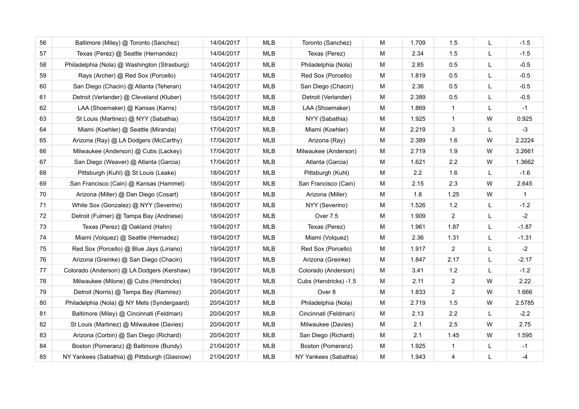| 56 | Baltimore (Miley) @ Toronto (Sanchez)        | 14/04/2017 | <b>MLB</b> | Toronto (Sanchez)     | м | 1.709 | 1.5                     | L | $-1.5$       |
|----|----------------------------------------------|------------|------------|-----------------------|---|-------|-------------------------|---|--------------|
| 57 | Texas (Perez) @ Seattle (Hernandez)          | 14/04/2017 | MLB        | Texas (Perez)         | M | 2.34  | 1.5                     | L | $-1.5$       |
| 58 | Philadelphia (Nola) @ Washington (Strasburg) | 14/04/2017 | <b>MLB</b> | Philadelphia (Nola)   | M | 2.85  | 0.5                     | L | $-0.5$       |
| 59 | Rays (Archer) @ Red Sox (Porcello)           | 14/04/2017 | MLB        | Red Sox (Porcello)    | M | 1.819 | 0.5                     | L | $-0.5$       |
| 60 | San Diego (Chacin) @ Atlanta (Teheran)       | 14/04/2017 | <b>MLB</b> | San Diego (Chacin)    | M | 2.36  | 0.5                     | L | $-0.5$       |
| 61 | Detroit (Verlander) @ Cleveland (Kluber)     | 15/04/2017 | MLB        | Detroit (Verlander)   | M | 2.389 | 0.5                     | L | $-0.5$       |
| 62 | LAA (Shoemaker) @ Kansas (Karns)             | 15/04/2017 | MLB        | LAA (Shoemaker)       | м | 1.869 | $\mathbf{1}$            | L | $-1$         |
| 63 | St Louis (Martinez) @ NYY (Sabathia)         | 15/04/2017 | <b>MLB</b> | NYY (Sabathia)        | M | 1.925 | $\overline{1}$          | W | 0.925        |
| 64 | Miami (Koehler) @ Seattle (Miranda)          | 17/04/2017 | MLB        | Miami (Koehler)       | м | 2.219 | 3                       | L | $-3$         |
| 65 | Arizona (Ray) @ LA Dodgers (McCarthy)        | 17/04/2017 | <b>MLB</b> | Arizona (Ray)         | M | 2.389 | 1.6                     | W | 2.2224       |
| 66 | Milwaukee (Anderson) @ Cubs (Lackey)         | 17/04/2017 | MLB        | Milwaukee (Anderson)  | M | 2.719 | 1.9                     | W | 3.2661       |
| 67 | San Diego (Weaver) @ Atlanta (Garcia)        | 17/04/2017 | MLB        | Atlanta (Garcia)      | M | 1.621 | 2.2                     | W | 1.3662       |
| 68 | Pittsburgh (Kuhl) @ St Louis (Leake)         | 18/04/2017 | <b>MLB</b> | Pittsburgh (Kuhl)     | м | 2.2   | 1.6                     | L | $-1.6$       |
| 69 | San Francisco (Cain) @ Kansas (Hammel)       | 18/04/2017 | <b>MLB</b> | San Francisco (Cain)  | M | 2.15  | 2.3                     | W | 2.645        |
| 70 | Arizona (Miller) @ Dan Diego (Cosart)        | 18/04/2017 | MLB        | Arizona (Miller)      | M | 1.8   | 1.25                    | W | $\mathbf{1}$ |
| 71 | White Sox (Gonzalez) @ NYY (Severino)        | 18/04/2017 | <b>MLB</b> | NYY (Severino)        | M | 1.526 | $1.2$                   | L | $-1.2$       |
| 72 | Detroit (Fulmer) @ Tampa Bay (Andriese)      | 18/04/2017 | <b>MLB</b> | Over 7.5              | M | 1.909 | 2                       | L | $-2$         |
| 73 | Texas (Perez) @ Oakland (Hahn)               | 19/04/2017 | MLB        | Texas (Perez)         | M | 1.961 | 1.87                    | L | $-1.87$      |
| 74 | Miami (Volquez) @ Seattle (Hernadez)         | 19/04/2017 | <b>MLB</b> | Miami (Volquez)       | M | 2.36  | 1.31                    | L | $-1.31$      |
| 75 | Red Sox (Porcello) @ Blue Jays (Liriano)     | 19/04/2017 | <b>MLB</b> | Red Sox (Porcello)    | M | 1.917 | $\overline{2}$          | L | $-2$         |
| 76 | Arizona (Greinke) @ San Diego (Chacin)       | 19/04/2017 | <b>MLB</b> | Arizona (Greinke)     | M | 1.847 | 2.17                    | L | $-2.17$      |
| 77 | Colorado (Anderson) @ LA Dodgers (Kershaw)   | 19/04/2017 | <b>MLB</b> | Colorado (Anderson)   | M | 3.41  | $1.2$                   | L | $-1.2$       |
| 78 | Milwaukee (Milone) @ Cubs (Hendricks)        | 19/04/2017 | <b>MLB</b> | Cubs (Hendricks) -1.5 | M | 2.11  | 2                       | W | 2.22         |
| 79 | Detroit (Norris) @ Tampa Bay (Ramirez)       | 20/04/2017 | MLB        | Over 8                | M | 1.833 | $\overline{2}$          | W | 1.666        |
| 80 | Philadelphia (Nola) @ NY Mets (Syndergaard)  | 20/04/2017 | <b>MLB</b> | Philadelphia (Nola)   | M | 2.719 | 1.5                     | W | 2.5785       |
| 81 | Baltimore (Miley) @ Cincinnati (Feldman)     | 20/04/2017 | <b>MLB</b> | Cincinnati (Feldman)  | M | 2.13  | 2.2                     | L | $-2.2$       |
| 82 | St Louis (Martinez) @ Milwaukee (Davies)     | 20/04/2017 | <b>MLB</b> | Milwaukee (Davies)    | M | 2.1   | 2.5                     | W | 2.75         |
| 83 | Arizona (Corbin) @ San Diego (Richard)       | 20/04/2017 | MLB        | San Diego (Richard)   | M | 2.1   | 1.45                    | W | 1.595        |
| 84 | Boston (Pomeranz) @ Baltimore (Bundy)        | 21/04/2017 | <b>MLB</b> | Boston (Pomeranz)     | M | 1.925 | $\mathbf{1}$            | L | $-1$         |
| 85 | NY Yankees (Sabathia) @ Pittsburgh (Glasnow) | 21/04/2017 | <b>MLB</b> | NY Yankees (Sabathia) | M | 1.943 | $\overline{\mathbf{4}}$ | L | $-4$         |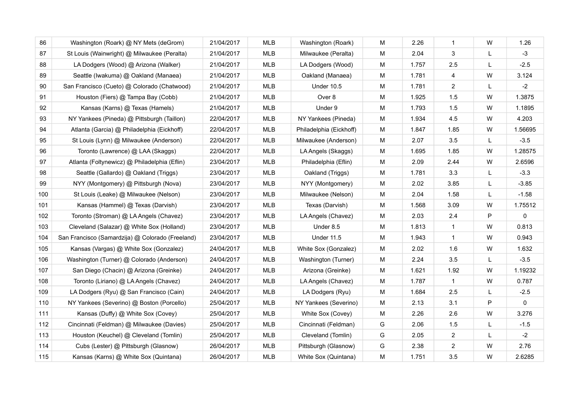| 86  | Washington (Roark) @ NY Mets (deGrom)            | 21/04/2017 | <b>MLB</b> | Washington (Roark)      | M | 2.26  | 1              | W | 1.26    |
|-----|--------------------------------------------------|------------|------------|-------------------------|---|-------|----------------|---|---------|
| 87  | St Louis (Wainwright) @ Milwaukee (Peralta)      | 21/04/2017 | MLB        | Milwaukee (Peralta)     | M | 2.04  | $\mathbf{3}$   | L | $-3$    |
| 88  | LA Dodgers (Wood) @ Arizona (Walker)             | 21/04/2017 | <b>MLB</b> | LA Dodgers (Wood)       | M | 1.757 | 2.5            | L | $-2.5$  |
| 89  | Seattle (Iwakuma) @ Oakland (Manaea)             | 21/04/2017 | <b>MLB</b> | Oakland (Manaea)        | M | 1.781 | $\overline{4}$ | W | 3.124   |
| 90  | San Francisco (Cueto) @ Colorado (Chatwood)      | 21/04/2017 | <b>MLB</b> | <b>Under 10.5</b>       | M | 1.781 | 2              | L | $-2$    |
| 91  | Houston (Fiers) @ Tampa Bay (Cobb)               | 21/04/2017 | <b>MLB</b> | Over 8                  | M | 1.925 | 1.5            | W | 1.3875  |
| 92  | Kansas (Karns) @ Texas (Hamels)                  | 21/04/2017 | <b>MLB</b> | Under 9                 | M | 1.793 | 1.5            | W | 1.1895  |
| 93  | NY Yankees (Pineda) @ Pittsburgh (Taillon)       | 22/04/2017 | MLB        | NY Yankees (Pineda)     | M | 1.934 | 4.5            | W | 4.203   |
| 94  | Atlanta (Garcia) @ Philadelphia (Eickhoff)       | 22/04/2017 | <b>MLB</b> | Philadelphia (Eickhoff) | M | 1.847 | 1.85           | W | 1.56695 |
| 95  | St Louis (Lynn) @ Milwaukee (Anderson)           | 22/04/2017 | MLB        | Milwaukee (Anderson)    | M | 2.07  | 3.5            | L | $-3.5$  |
| 96  | Toronto (Lawrence) @ LAA (Skaggs)                | 22/04/2017 | <b>MLB</b> | LA Angels (Skaggs)      | M | 1.695 | 1.85           | W | 1.28575 |
| 97  | Atlanta (Foltynewicz) @ Philadelphia (Eflin)     | 23/04/2017 | <b>MLB</b> | Philadelphia (Eflin)    | M | 2.09  | 2.44           | W | 2.6596  |
| 98  | Seattle (Gallardo) @ Oakland (Triggs)            | 23/04/2017 | <b>MLB</b> | Oakland (Triggs)        | M | 1.781 | 3.3            | L | $-3.3$  |
| 99  | NYY (Montgomery) @ Pittsburgh (Nova)             | 23/04/2017 | <b>MLB</b> | NYY (Montgomery)        | M | 2.02  | 3.85           | L | $-3.85$ |
| 100 | St Louis (Leake) @ Milwaukee (Nelson)            | 23/04/2017 | <b>MLB</b> | Milwaukee (Nelson)      | M | 2.04  | 1.58           | L | $-1.58$ |
| 101 | Kansas (Hammel) @ Texas (Darvish)                | 23/04/2017 | <b>MLB</b> | Texas (Darvish)         | M | 1.568 | 3.09           | W | 1.75512 |
| 102 | Toronto (Stroman) @ LA Angels (Chavez)           | 23/04/2017 | MLB        | LA Angels (Chavez)      | M | 2.03  | 2.4            | P | 0       |
| 103 | Cleveland (Salazar) @ White Sox (Holland)        | 23/04/2017 | <b>MLB</b> | Under 8.5               | м | 1.813 | $\mathbf{1}$   | W | 0.813   |
| 104 | San Francisco (Samardzija) @ Colorado (Freeland) | 23/04/2017 | <b>MLB</b> | <b>Under 11.5</b>       | M | 1.943 | $\mathbf{1}$   | W | 0.943   |
| 105 | Kansas (Vargas) @ White Sox (Gonzalez)           | 24/04/2017 | MLB        | White Sox (Gonzalez)    | M | 2.02  | 1.6            | W | 1.632   |
| 106 | Washington (Turner) @ Colorado (Anderson)        | 24/04/2017 | MLB        | Washington (Turner)     | M | 2.24  | 3.5            | L | $-3.5$  |
| 107 | San Diego (Chacin) @ Arizona (Greinke)           | 24/04/2017 | <b>MLB</b> | Arizona (Greinke)       | M | 1.621 | 1.92           | W | 1.19232 |
| 108 | Toronto (Liriano) @ LA Angels (Chavez)           | 24/04/2017 | <b>MLB</b> | LA Angels (Chavez)      | M | 1.787 | $\mathbf{1}$   | W | 0.787   |
| 109 | LA Dodgers (Ryu) @ San Francisco (Cain)          | 24/04/2017 | <b>MLB</b> | LA Dodgers (Ryu)        | M | 1.684 | 2.5            | L | $-2.5$  |
| 110 | NY Yankees (Severino) @ Boston (Porcello)        | 25/04/2017 | <b>MLB</b> | NY Yankees (Severino)   | M | 2.13  | 3.1            | P | 0       |
| 111 | Kansas (Duffy) @ White Sox (Covey)               | 25/04/2017 | <b>MLB</b> | White Sox (Covey)       | M | 2.26  | 2.6            | W | 3.276   |
| 112 | Cincinnati (Feldman) @ Milwaukee (Davies)        | 25/04/2017 | <b>MLB</b> | Cincinnati (Feldman)    | G | 2.06  | 1.5            | L | $-1.5$  |
| 113 | Houston (Keuchel) @ Cleveland (Tomlin)           | 25/04/2017 | <b>MLB</b> | Cleveland (Tomlin)      | G | 2.05  | $\overline{2}$ | L | $-2$    |
| 114 | Cubs (Lester) @ Pittsburgh (Glasnow)             | 26/04/2017 | <b>MLB</b> | Pittsburgh (Glasnow)    | G | 2.38  | $\overline{2}$ | W | 2.76    |
| 115 | Kansas (Karns) @ White Sox (Quintana)            | 26/04/2017 | <b>MLB</b> | White Sox (Quintana)    | M | 1.751 | 3.5            | W | 2.6285  |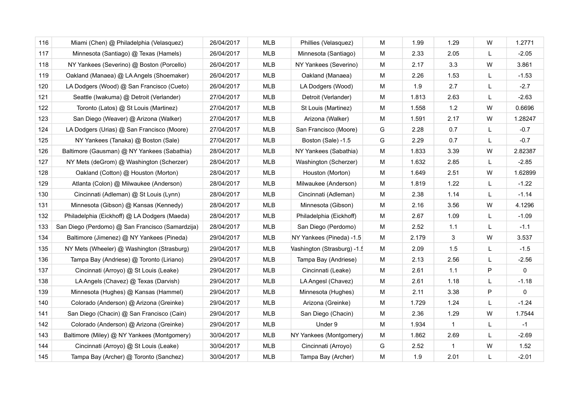| 116 | Miami (Chen) @ Philadelphia (Velasquez)          | 26/04/2017 | <b>MLB</b> | Phillies (Velasquez)        | M | 1.99  | 1.29         | W | 1.2771       |
|-----|--------------------------------------------------|------------|------------|-----------------------------|---|-------|--------------|---|--------------|
| 117 | Minnesota (Santiago) @ Texas (Hamels)            | 26/04/2017 | <b>MLB</b> | Minnesota (Santiago)        | M | 2.33  | 2.05         | L | $-2.05$      |
| 118 | NY Yankees (Severino) @ Boston (Porcello)        | 26/04/2017 | MLB        | NY Yankees (Severino)       | M | 2.17  | 3.3          | W | 3.861        |
| 119 | Oakland (Manaea) @ LA Angels (Shoemaker)         | 26/04/2017 | MLB        | Oakland (Manaea)            | M | 2.26  | 1.53         | L | $-1.53$      |
| 120 | LA Dodgers (Wood) @ San Francisco (Cueto)        | 26/04/2017 | MLB        | LA Dodgers (Wood)           | M | 1.9   | 2.7          | L | $-2.7$       |
| 121 | Seattle (Iwakuma) @ Detroit (Verlander)          | 27/04/2017 | MLB        | Detroit (Verlander)         | M | 1.813 | 2.63         | L | $-2.63$      |
| 122 | Toronto (Latos) @ St Louis (Martinez)            | 27/04/2017 | MLB        | St Louis (Martinez)         | M | 1.558 | 1.2          | W | 0.6696       |
| 123 | San Diego (Weaver) @ Arizona (Walker)            | 27/04/2017 | <b>MLB</b> | Arizona (Walker)            | M | 1.591 | 2.17         | W | 1.28247      |
| 124 | LA Dodgers (Urias) @ San Francisco (Moore)       | 27/04/2017 | MLB        | San Francisco (Moore)       | G | 2.28  | 0.7          | L | $-0.7$       |
| 125 | NY Yankees (Tanaka) @ Boston (Sale)              | 27/04/2017 | MLB        | Boston (Sale) -1.5          | G | 2.29  | 0.7          | L | $-0.7$       |
| 126 | Baltimore (Gausman) @ NY Yankees (Sabathia)      | 28/04/2017 | <b>MLB</b> | NY Yankees (Sabathia)       | M | 1.833 | 3.39         | W | 2.82387      |
| 127 | NY Mets (deGrom) @ Washington (Scherzer)         | 28/04/2017 | <b>MLB</b> | Washington (Scherzer)       | M | 1.632 | 2.85         | L | $-2.85$      |
| 128 | Oakland (Cotton) @ Houston (Morton)              | 28/04/2017 | <b>MLB</b> | Houston (Morton)            | M | 1.649 | 2.51         | W | 1.62899      |
| 129 | Atlanta (Colon) @ Milwaukee (Anderson)           | 28/04/2017 | MLB        | Milwaukee (Anderson)        | M | 1.819 | 1.22         | L | $-1.22$      |
| 130 | Cincinnati (Adleman) @ St Louis (Lynn)           | 28/04/2017 | MLB        | Cincinnati (Adleman)        | М | 2.38  | 1.14         | L | $-1.14$      |
| 131 | Minnesota (Gibson) @ Kansas (Kennedy)            | 28/04/2017 | MLB        | Minnesota (Gibson)          | м | 2.16  | 3.56         | W | 4.1296       |
| 132 | Philadelphia (Eickhoff) @ LA Dodgers (Maeda)     | 28/04/2017 | <b>MLB</b> | Philadelphia (Eickhoff)     | М | 2.67  | 1.09         | L | $-1.09$      |
| 133 | San Diego (Perdomo) @ San Francisco (Samardzija) | 28/04/2017 | MLB        | San Diego (Perdomo)         | M | 2.52  | 1.1          | L | $-1.1$       |
| 134 | Baltimore (Jimenez) @ NY Yankees (Pineda)        | 29/04/2017 | MLB        | NY Yankees (Pineda) -1.5    | М | 2.179 | 3            | W | 3.537        |
| 135 | NY Mets (Wheeler) @ Washington (Strasburg)       | 29/04/2017 | MLB        | Vashington (Strasburg) -1.5 | м | 2.09  | 1.5          | L | $-1.5$       |
| 136 | Tampa Bay (Andriese) @ Toronto (Liriano)         | 29/04/2017 | <b>MLB</b> | Tampa Bay (Andriese)        | М | 2.13  | 2.56         | L | $-2.56$      |
| 137 | Cincinnati (Arroyo) @ St Louis (Leake)           | 29/04/2017 | <b>MLB</b> | Cincinnati (Leake)          | M | 2.61  | 1.1          | P | $\mathsf{O}$ |
| 138 | LA Angels (Chavez) @ Texas (Darvish)             | 29/04/2017 | <b>MLB</b> | LA AngesI (Chavez)          | М | 2.61  | 1.18         | L | $-1.18$      |
| 139 | Minnesota (Hughes) @ Kansas (Hammel)             | 29/04/2017 | MLB        | Minnesota (Hughes)          | M | 2.11  | 3.38         | P | 0            |
| 140 | Colorado (Anderson) @ Arizona (Greinke)          | 29/04/2017 | MLB        | Arizona (Greinke)           | M | 1.729 | 1.24         | L | $-1.24$      |
| 141 | San Diego (Chacin) @ San Francisco (Cain)        | 29/04/2017 | <b>MLB</b> | San Diego (Chacin)          | M | 2.36  | 1.29         | W | 1.7544       |
| 142 | Colorado (Anderson) @ Arizona (Greinke)          | 29/04/2017 | <b>MLB</b> | Under 9                     | M | 1.934 | $\mathbf{1}$ | L | $-1$         |
| 143 | Baltimore (Miley) @ NY Yankees (Montgomery)      | 30/04/2017 | <b>MLB</b> | NY Yankees (Montgomery)     | M | 1.862 | 2.69         | L | $-2.69$      |
| 144 | Cincinnati (Arroyo) @ St Louis (Leake)           | 30/04/2017 | <b>MLB</b> | Cincinnati (Arroyo)         | G | 2.52  | $\mathbf{1}$ | W | 1.52         |
| 145 | Tampa Bay (Archer) @ Toronto (Sanchez)           | 30/04/2017 | <b>MLB</b> | Tampa Bay (Archer)          | M | 1.9   | 2.01         | L | $-2.01$      |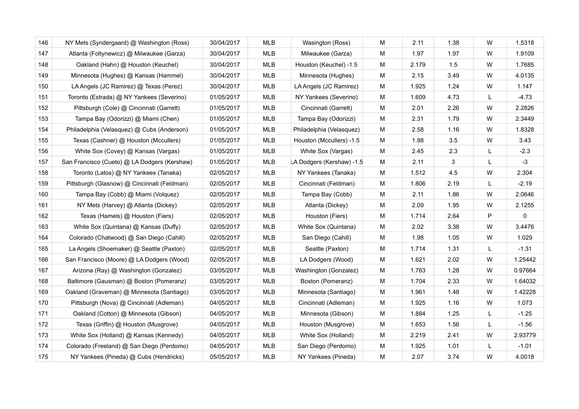| 146 | NY Mets (Syndergaard) @ Washington (Ross)    | 30/04/2017 | <b>MLB</b> | Wasington (Ross)          | M | 2.11  | 1.38 | W | 1.5318  |
|-----|----------------------------------------------|------------|------------|---------------------------|---|-------|------|---|---------|
| 147 | Atlanta (Foltynewicz) @ Milwaukee (Garza)    | 30/04/2017 | MLB        | Milwaukee (Garza)         | M | 1.97  | 1.97 | W | 1.9109  |
| 148 | Oakland (Hahn) @ Houston (Keuchel)           | 30/04/2017 | MLB        | Houston (Keuchel) -1.5    | M | 2.179 | 1.5  | W | 1.7685  |
| 149 | Minnesota (Hughes) @ Kansas (Hammel)         | 30/04/2017 | MLB        | Minnesota (Hughes)        | M | 2.15  | 3.49 | W | 4.0135  |
| 150 | LA Angels (JC Ramirez) @ Texas (Perez)       | 30/04/2017 | <b>MLB</b> | LA Angels (JC Ramirez)    | M | 1.925 | 1.24 | W | 1.147   |
| 151 | Toronto (Estrada) @ NY Yankees (Severino)    | 01/05/2017 | MLB        | NY Yankees (Severino)     | M | 1.609 | 4.73 | L | $-4.73$ |
| 152 | Pittsburgh (Cole) @ Cincinnati (Garrett)     | 01/05/2017 | <b>MLB</b> | Cincinnati (Garrett)      | M | 2.01  | 2.26 | W | 2.2826  |
| 153 | Tampa Bay (Odorizzi) @ Miami (Chen)          | 01/05/2017 | MLB        | Tampa Bay (Odorizzi)      | M | 2.31  | 1.79 | W | 2.3449  |
| 154 | Philadelphia (Velasquez) @ Cubs (Anderson)   | 01/05/2017 | MLB        | Philadelphia (Velasquez)  | M | 2.58  | 1.16 | W | 1.8328  |
| 155 | Texas (Cashner) @ Houston (Mccullers)        | 01/05/2017 | MLB        | Houston (Mccullers) -1.5  | м | 1.98  | 3.5  | W | 3.43    |
| 156 | White Sox (Covey) @ Kansas (Vargas)          | 01/05/2017 | <b>MLB</b> | White Sox (Vargas)        | м | 2.45  | 2.3  | L | $-2.3$  |
| 157 | San Francisco (Cueto) @ LA Dodgers (Kershaw) | 01/05/2017 | <b>MLB</b> | LA Dodgers (Kershaw) -1.5 | M | 2.11  | 3    | L | $-3$    |
| 158 | Toronto (Latos) @ NY Yankees (Tanaka)        | 02/05/2017 | MLB        | NY Yankees (Tanaka)       | м | 1.512 | 4.5  | W | 2.304   |
| 159 | Pittsburgh (Glasnow) @ Cincinnati (Feldman)  | 02/05/2017 | <b>MLB</b> | Cincinnati (Feldman)      | М | 1.806 | 2.19 | L | $-2.19$ |
| 160 | Tampa Bay (Cobb) @ Miami (Volquez)           | 02/05/2017 | <b>MLB</b> | Tampa Bay (Cobb)          | M | 2.11  | 1.86 | W | 2.0646  |
| 161 | NY Mets (Harvey) @ Atlanta (Dickey)          | 02/05/2017 | <b>MLB</b> | Atlanta (Dickey)          | M | 2.09  | 1.95 | W | 2.1255  |
| 162 | Texas (Hamels) @ Houston (Fiers)             | 02/05/2017 | MLB        | Houston (Fiers)           | м | 1.714 | 2.64 | P | 0       |
| 163 | White Sox (Quintana) @ Kansas (Duffy)        | 02/05/2017 | <b>MLB</b> | White Sox (Quintana)      | M | 2.02  | 3.38 | W | 3.4476  |
| 164 | Colorado (Chatwood) @ San Diego (Cahill)     | 02/05/2017 | <b>MLB</b> | San Diego (Cahill)        | M | 1.98  | 1.05 | W | 1.029   |
| 165 | La Angels (Shoemaker) @ Seattle (Paxton)     | 02/05/2017 | <b>MLB</b> | Seattle (Paxton)          | M | 1.714 | 1.31 | L | $-1.31$ |
| 166 | San Francisco (Moore) @ LA Dodgers (Wood)    | 02/05/2017 | <b>MLB</b> | LA Dodgers (Wood)         | M | 1.621 | 2.02 | W | 1.25442 |
| 167 | Arizona (Ray) @ Washington (Gonzalez)        | 03/05/2017 | <b>MLB</b> | Washington (Gonzalez)     | M | 1.763 | 1.28 | W | 0.97664 |
| 168 | Baltimore (Gausman) @ Boston (Pomeranz)      | 03/05/2017 | <b>MLB</b> | Boston (Pomeranz)         | M | 1.704 | 2.33 | W | 1.64032 |
| 169 | Oakland (Graveman) @ Minnesota (Santiago)    | 03/05/2017 | <b>MLB</b> | Minnesota (Santiago)      | M | 1.961 | 1.48 | W | 1.42228 |
| 170 | Pittsburgh (Nova) @ Cincinnati (Adleman)     | 04/05/2017 | <b>MLB</b> | Cincinnati (Adleman)      | M | 1.925 | 1.16 | W | 1.073   |
| 171 | Oakland (Cotton) @ Minnesota (Gibson)        | 04/05/2017 | <b>MLB</b> | Minnesota (Gibson)        | M | 1.884 | 1.25 | L | $-1.25$ |
| 172 | Texas (Griffin) @ Houston (Musgrove)         | 04/05/2017 | <b>MLB</b> | Houston (Musgrove)        | M | 1.653 | 1.56 | L | $-1.56$ |
| 173 | White Sox (Holland) @ Kansas (Kennedy)       | 04/05/2017 | <b>MLB</b> | White Sox (Holland)       | M | 2.219 | 2.41 | W | 2.93779 |
| 174 | Colorado (Freeland) @ San Diego (Perdomo)    | 04/05/2017 | <b>MLB</b> | San Diego (Perdomo)       | M | 1.925 | 1.01 | L | $-1.01$ |
| 175 | NY Yankees (Pineda) @ Cubs (Hendricks)       | 05/05/2017 | <b>MLB</b> | NY Yankees (Pineda)       | M | 2.07  | 3.74 | W | 4.0018  |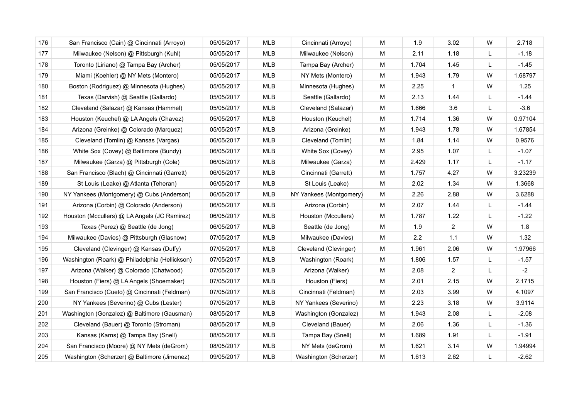| 176 | San Francisco (Cain) @ Cincinnati (Arroyo)     | 05/05/2017 | <b>MLB</b> | Cincinnati (Arroyo)     | м | 1.9   | 3.02           | W | 2.718   |
|-----|------------------------------------------------|------------|------------|-------------------------|---|-------|----------------|---|---------|
| 177 | Milwaukee (Nelson) @ Pittsburgh (Kuhl)         | 05/05/2017 | <b>MLB</b> | Milwaukee (Nelson)      | M | 2.11  | 1.18           | L | $-1.18$ |
| 178 | Toronto (Liriano) @ Tampa Bay (Archer)         | 05/05/2017 | <b>MLB</b> | Tampa Bay (Archer)      | м | 1.704 | 1.45           | L | $-1.45$ |
| 179 | Miami (Koehler) @ NY Mets (Montero)            | 05/05/2017 | MLB        | NY Mets (Montero)       | M | 1.943 | 1.79           | W | 1.68797 |
| 180 | Boston (Rodriguez) @ Minnesota (Hughes)        | 05/05/2017 | <b>MLB</b> | Minnesota (Hughes)      | м | 2.25  | $\overline{1}$ | W | 1.25    |
| 181 | Texas (Darvish) @ Seattle (Gallardo)           | 05/05/2017 | <b>MLB</b> | Seattle (Gallardo)      | M | 2.13  | 1.44           | L | $-1.44$ |
| 182 | Cleveland (Salazar) @ Kansas (Hammel)          | 05/05/2017 | <b>MLB</b> | Cleveland (Salazar)     | M | 1.666 | 3.6            | L | $-3.6$  |
| 183 | Houston (Keuchel) @ LA Angels (Chavez)         | 05/05/2017 | <b>MLB</b> | Houston (Keuchel)       | M | 1.714 | 1.36           | W | 0.97104 |
| 184 | Arizona (Greinke) @ Colorado (Marquez)         | 05/05/2017 | <b>MLB</b> | Arizona (Greinke)       | М | 1.943 | 1.78           | W | 1.67854 |
| 185 | Cleveland (Tomlin) @ Kansas (Vargas)           | 06/05/2017 | <b>MLB</b> | Cleveland (Tomlin)      | M | 1.84  | 1.14           | W | 0.9576  |
| 186 | White Sox (Covey) @ Baltimore (Bundy)          | 06/05/2017 | <b>MLB</b> | White Sox (Covey)       | M | 2.95  | 1.07           | L | $-1.07$ |
| 187 | Milwaukee (Garza) @ Pittsburgh (Cole)          | 06/05/2017 | <b>MLB</b> | Milwaukee (Garza)       | M | 2.429 | 1.17           | L | $-1.17$ |
| 188 | San Francisco (Blach) @ Cincinnati (Garrett)   | 06/05/2017 | <b>MLB</b> | Cincinnati (Garrett)    | м | 1.757 | 4.27           | W | 3.23239 |
| 189 | St Louis (Leake) @ Atlanta (Teheran)           | 06/05/2017 | <b>MLB</b> | St Louis (Leake)        | M | 2.02  | 1.34           | W | 1.3668  |
| 190 | NY Yankees (Montgomery) @ Cubs (Anderson)      | 06/05/2017 | <b>MLB</b> | NY Yankees (Montgomery) | M | 2.26  | 2.88           | W | 3.6288  |
| 191 | Arizona (Corbin) @ Colorado (Anderson)         | 06/05/2017 | MLB        | Arizona (Corbin)        | M | 2.07  | 1.44           | L | $-1.44$ |
| 192 | Houston (Mccullers) @ LA Angels (JC Ramirez)   | 06/05/2017 | <b>MLB</b> | Houston (Mccullers)     | M | 1.787 | 1.22           | L | $-1.22$ |
| 193 | Texas (Perez) @ Seattle (de Jong)              | 06/05/2017 | <b>MLB</b> | Seattle (de Jong)       | M | 1.9   | $\overline{2}$ | W | 1.8     |
| 194 | Milwaukee (Davies) @ Pittsburgh (Glasnow)      | 07/05/2017 | <b>MLB</b> | Milwaukee (Davies)      | M | 2.2   | 1.1            | W | 1.32    |
| 195 | Cleveland (Clevinger) @ Kansas (Duffy)         | 07/05/2017 | <b>MLB</b> | Cleveland (Clevinger)   | M | 1.961 | 2.06           | W | 1.97966 |
| 196 | Washington (Roark) @ Philadelphia (Hellickson) | 07/05/2017 | MLB        | Washington (Roark)      | M | 1.806 | 1.57           | L | $-1.57$ |
| 197 | Arizona (Walker) @ Colorado (Chatwood)         | 07/05/2017 | <b>MLB</b> | Arizona (Walker)        | M | 2.08  | $\overline{2}$ | L | $-2$    |
| 198 | Houston (Fiers) @ LA Angels (Shoemaker)        | 07/05/2017 | <b>MLB</b> | Houston (Fiers)         | M | 2.01  | 2.15           | W | 2.1715  |
| 199 | San Francisco (Cueto) @ Cincinnati (Feldman)   | 07/05/2017 | <b>MLB</b> | Cincinnati (Feldman)    | M | 2.03  | 3.99           | W | 4.1097  |
| 200 | NY Yankees (Severino) @ Cubs (Lester)          | 07/05/2017 | <b>MLB</b> | NY Yankees (Severino)   | M | 2.23  | 3.18           | W | 3.9114  |
| 201 | Washington (Gonzalez) @ Baltimore (Gausman)    | 08/05/2017 | <b>MLB</b> | Washington (Gonzalez)   | M | 1.943 | 2.08           | L | $-2.08$ |
| 202 | Cleveland (Bauer) @ Toronto (Stroman)          | 08/05/2017 | <b>MLB</b> | Cleveland (Bauer)       | M | 2.06  | 1.36           | L | $-1.36$ |
| 203 | Kansas (Karns) @ Tampa Bay (Snell)             | 08/05/2017 | <b>MLB</b> | Tampa Bay (Snell)       | M | 1.689 | 1.91           | L | $-1.91$ |
| 204 | San Francisco (Moore) @ NY Mets (deGrom)       | 08/05/2017 | <b>MLB</b> | NY Mets (deGrom)        | M | 1.621 | 3.14           | W | 1.94994 |
| 205 | Washington (Scherzer) @ Baltimore (Jimenez)    | 09/05/2017 | <b>MLB</b> | Washington (Scherzer)   | M | 1.613 | 2.62           | L | $-2.62$ |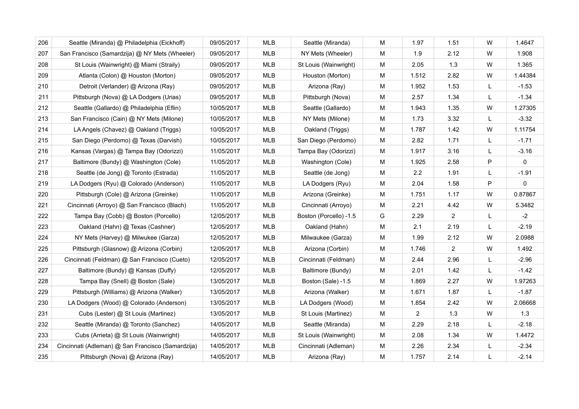| 206 | Seattle (Miranda) @ Philadelphia (Eickhoff)       | 09/05/2017 | <b>MLB</b> | Seattle (Miranda)      | M | 1.97           | 1.51           | W | 1.4647    |
|-----|---------------------------------------------------|------------|------------|------------------------|---|----------------|----------------|---|-----------|
| 207 | San Francisco (Samardzija) @ NY Mets (Wheeler)    | 09/05/2017 | <b>MLB</b> | NY Mets (Wheeler)      | M | 1.9            | 2.12           | W | 1.908     |
| 208 | St Louis (Wainwright) @ Miami (Straily)           | 09/05/2017 | <b>MLB</b> | St Louis (Wainwright)  | М | 2.05           | 1.3            | W | 1.365     |
| 209 | Atlanta (Colon) @ Houston (Morton)                | 09/05/2017 | <b>MLB</b> | Houston (Morton)       | M | 1.512          | 2.82           | W | 1.44384   |
| 210 | Detroit (Verlander) @ Arizona (Ray)               | 09/05/2017 | <b>MLB</b> | Arizona (Ray)          | M | 1.952          | 1.53           | L | $-1.53$   |
| 211 | Pittsburgh (Nova) @ LA Dodgers (Urias)            | 09/05/2017 | MLB        | Pittsburgh (Nova)      | M | 2.57           | 1.34           | L | $-1.34$   |
| 212 | Seattle (Gallardo) @ Philadelphia (Eflin)         | 10/05/2017 | <b>MLB</b> | Seattle (Gallardo)     | M | 1.943          | 1.35           | W | 1.27305   |
| 213 | San Francisco (Cain) @ NY Mets (Milone)           | 10/05/2017 | MLB        | NY Mets (Milone)       | M | 1.73           | 3.32           | L | $-3.32$   |
| 214 | LA Angels (Chavez) @ Oakland (Triggs)             | 10/05/2017 | <b>MLB</b> | Oakland (Triggs)       | М | 1.787          | 1.42           | W | 1.11754   |
| 215 | San Diego (Perdomo) @ Texas (Darvish)             | 10/05/2017 | <b>MLB</b> | San Diego (Perdomo)    | M | 2.82           | 1.71           | L | $-1.71$   |
| 216 | Kansas (Vargas) @ Tampa Bay (Odorizzi)            | 11/05/2017 | <b>MLB</b> | Tampa Bay (Odorizzi)   | М | 1.917          | 3.16           | L | $-3.16$   |
| 217 | Baltimore (Bundy) @ Washington (Cole)             | 11/05/2017 | MLB        | Washington (Cole)      | M | 1.925          | 2.58           | P | $\pmb{0}$ |
| 218 | Seattle (de Jong) @ Toronto (Estrada)             | 11/05/2017 | <b>MLB</b> | Seattle (de Jong)      | М | 2.2            | 1.91           | L | $-1.91$   |
| 219 | LA Dodgers (Ryu) @ Colorado (Anderson)            | 11/05/2017 | MLB        | LA Dodgers (Ryu)       | M | 2.04           | 1.58           | P | 0         |
| 220 | Pittsburgh (Cole) @ Arizona (Greinke)             | 11/05/2017 | <b>MLB</b> | Arizona (Greinke)      | M | 1.751          | 1.17           | W | 0.87867   |
| 221 | Cincinnati (Arroyo) @ San Francisco (Blach)       | 11/05/2017 | MLB        | Cincinnati (Arroyo)    | M | 2.21           | 4.42           | W | 5.3482    |
| 222 | Tampa Bay (Cobb) @ Boston (Porcello)              | 12/05/2017 | <b>MLB</b> | Boston (Porcello) -1.5 | G | 2.29           | $\overline{2}$ | L | $-2$      |
| 223 | Oakland (Hahn) @ Texas (Cashner)                  | 12/05/2017 | <b>MLB</b> | Oakland (Hahn)         | M | 2.1            | 2.19           | L | $-2.19$   |
| 224 | NY Mets (Harvey) @ Milwukee (Garza)               | 12/05/2017 | <b>MLB</b> | Milwaukee (Garza)      | M | 1.99           | 2.12           | W | 2.0988    |
| 225 | Pittsburgh (Glasnow) @ Arizona (Corbin)           | 12/05/2017 | <b>MLB</b> | Arizona (Corbin)       | M | 1.746          | $\overline{2}$ | W | 1.492     |
| 226 | Cincinnati (Feldman) @ San Francisco (Cueto)      | 12/05/2017 | <b>MLB</b> | Cincinnati (Feldman)   | M | 2.44           | 2.96           | L | $-2.96$   |
| 227 | Baltimore (Bundy) @ Kansas (Duffy)                | 12/05/2017 | MLB        | Baltimore (Bundy)      | M | 2.01           | 1.42           | L | $-1.42$   |
| 228 | Tampa Bay (Snell) @ Boston (Sale)                 | 13/05/2017 | <b>MLB</b> | Boston (Sale) -1.5     | M | 1.869          | 2.27           | W | 1.97263   |
| 229 | Pittsburgh (Williams) @ Arizona (Walker)          | 13/05/2017 | <b>MLB</b> | Arizona (Walker)       | M | 1.671          | 1.87           | L | $-1.87$   |
| 230 | LA Dodgers (Wood) @ Colorado (Anderson)           | 13/05/2017 | <b>MLB</b> | LA Dodgers (Wood)      | M | 1.854          | 2.42           | W | 2.06668   |
| 231 | Cubs (Lester) @ St Louis (Martinez)               | 13/05/2017 | <b>MLB</b> | St Louis (Martinez)    | M | $\overline{2}$ | 1.3            | W | 1.3       |
| 232 | Seattle (Miranda) @ Toronto (Sanchez)             | 14/05/2017 | <b>MLB</b> | Seattle (Miranda)      | M | 2.29           | 2.18           | L | $-2.18$   |
| 233 | Cubs (Arrieta) @ St Louis (Wainwright)            | 14/05/2017 | <b>MLB</b> | St Louis (Wainwright)  | M | 2.08           | 1.34           | W | 1.4472    |
| 234 | Cincinnati (Adleman) @ San Francisco (Samardzija) | 14/05/2017 | <b>MLB</b> | Cincinnati (Adleman)   | M | 2.26           | 2.34           | L | $-2.34$   |
| 235 | Pittsburgh (Nova) @ Arizona (Ray)                 | 14/05/2017 | <b>MLB</b> | Arizona (Ray)          | M | 1.757          | 2.14           | L | $-2.14$   |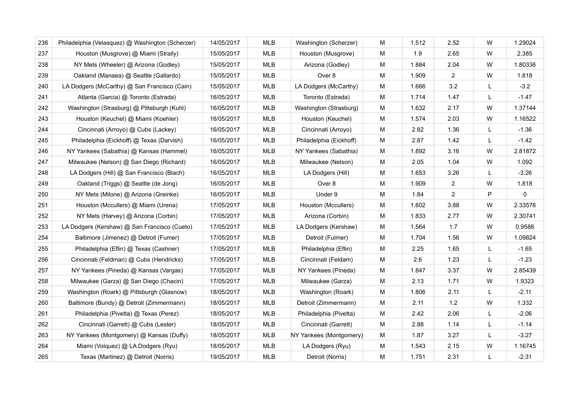| 236 | Philadelphia (Velasquez) @ Washington (Scherzer) | 14/05/2017 | <b>MLB</b> | Washington (Scherzer)   | M | 1.512 | 2.52           | W | 1.29024 |
|-----|--------------------------------------------------|------------|------------|-------------------------|---|-------|----------------|---|---------|
| 237 | Houston (Musgrove) @ Miami (Straily)             | 15/05/2017 | <b>MLB</b> | Houston (Musgrove)      | M | 1.9   | 2.65           | W | 2.385   |
| 238 | NY Mets (Wheeler) @ Arizona (Godley)             | 15/05/2017 | <b>MLB</b> | Arizona (Godley)        | M | 1.884 | 2.04           | W | 1.80336 |
| 239 | Oakland (Manaea) @ Seattle (Gallardo)            | 15/05/2017 | <b>MLB</b> | Over 8                  | M | 1.909 | $\overline{2}$ | W | 1.818   |
| 240 | LA Dodgers (McCarthy) @ San Francisco (Cain)     | 15/05/2017 | <b>MLB</b> | LA Dodgers (McCarthy)   | M | 1.666 | 3.2            | L | $-3.2$  |
| 241 | Atlanta (Garcia) @ Toronto (Estrada)             | 16/05/2017 | <b>MLB</b> | Toronto (Estrada)       | M | 1.714 | 1.47           | L | $-1.47$ |
| 242 | Washington (Strasburg) @ Pittsburgh (Kuhl)       | 16/05/2017 | <b>MLB</b> | Washington (Strasburg)  | M | 1.632 | 2.17           | W | 1.37144 |
| 243 | Houston (Keuchel) @ Miami (Koehler)              | 16/05/2017 | <b>MLB</b> | Houston (Keuchel)       | M | 1.574 | 2.03           | W | 1.16522 |
| 244 | Cincinnati (Arroyo) @ Cubs (Lackey)              | 16/05/2017 | <b>MLB</b> | Cincinnati (Arroyo)     | M | 2.82  | 1.36           | L | $-1.36$ |
| 245 | Philadelphia (Eickhoff) @ Texas (Darvish)        | 16/05/2017 | <b>MLB</b> | Philadelphia (Eickhoff) | M | 2.87  | 1.42           | L | $-1.42$ |
| 246 | NY Yankees (Sabathia) @ Kansas (Hammel)          | 16/05/2017 | MLB        | NY Yankees (Sabathia)   | M | 1.892 | 3.16           | W | 2.81872 |
| 247 | Milwaukee (Nelson) @ San Diego (Richard)         | 16/05/2017 | MLB        | Milwaukee (Nelson)      | м | 2.05  | 1.04           | W | 1.092   |
| 248 | LA Dodgers (Hill) @ San Francisco (Blach)        | 16/05/2017 | <b>MLB</b> | LA Dodgers (Hill)       | M | 1.653 | 3.26           | L | $-3.26$ |
| 249 | Oakland (Triggs) @ Seattle (de Jong)             | 16/05/2017 | <b>MLB</b> | Over 8                  | M | 1.909 | 2              | W | 1.818   |
| 250 | NY Mets (Milone) @ Arizona (Greinke)             | 16/05/2017 | <b>MLB</b> | Under 9                 | M | 1.84  | $\overline{2}$ | P | 0       |
| 251 | Houston (Mccullers) @ Miami (Urena)              | 17/05/2017 | MLB        | Houston (Mccullers)     | M | 1.602 | 3.88           | W | 2.33576 |
| 252 | NY Mets (Harvey) @ Arizona (Corbin)              | 17/05/2017 | <b>MLB</b> | Arizona (Corbin)        | M | 1.833 | 2.77           | W | 2.30741 |
| 253 | LA Dodgers (Kershaw) @ San Francisco (Cueto)     | 17/05/2017 | MLB        | LA Dodgers (Kershaw)    | м | 1.564 | 1.7            | W | 0.9588  |
| 254 | Baltimore (Jimenez) @ Detroit (Fumer)            | 17/05/2017 | <b>MLB</b> | Detroit (Fulmer)        | M | 1.704 | 1.56           | W | 1.09824 |
| 255 | Philadelphia (Eflin) @ Texas (Cashner)           | 17/05/2017 | <b>MLB</b> | Philadelphia (Eflin)    | M | 2.25  | 1.65           | L | $-1.65$ |
| 256 | Cincinnati (Feldman) @ Cubs (Hendricks)          | 17/05/2017 | <b>MLB</b> | Cincinnati (Feldam)     | M | 2.6   | 1.23           | L | $-1.23$ |
| 257 | NY Yankees (Pineda) @ Kansas (Vargas)            | 17/05/2017 | <b>MLB</b> | NY Yankees (Pineda)     | M | 1.847 | 3.37           | W | 2.85439 |
| 258 | Milwaukee (Garza) @ San Diego (Chacin)           | 17/05/2017 | <b>MLB</b> | Milwaukee (Garza)       | M | 2.13  | 1.71           | W | 1.9323  |
| 259 | Washington (Roark) @ Pittsburgh (Glasnow)        | 18/05/2017 | <b>MLB</b> | Washington (Roark)      | M | 1.806 | 2.11           | L | $-2.11$ |
| 260 | Baltimore (Bundy) @ Detroit (Zimmermann)         | 18/05/2017 | <b>MLB</b> | Detroit (Zimmermann)    | M | 2.11  | $1.2$          | W | 1.332   |
| 261 | Philadelphia (Pivetta) @ Texas (Perez)           | 18/05/2017 | <b>MLB</b> | Philadelphia (Pivetta)  | M | 2.42  | 2.06           | L | $-2.06$ |
| 262 | Cincinnati (Garrett) @ Cubs (Lester)             | 18/05/2017 | <b>MLB</b> | Cincinnati (Garrett)    | M | 2.88  | 1.14           | L | $-1.14$ |
| 263 | NY Yankees (Montgomery) @ Kansas (Duffy)         | 18/05/2017 | <b>MLB</b> | NY Yankees (Montgomery) | M | 1.87  | 3.27           | L | $-3.27$ |
| 264 | Miami (Volquez) @ LA Dodgers (Ryu)               | 18/05/2017 | <b>MLB</b> | LA Dodgers (Ryu)        | M | 1.543 | 2.15           | W | 1.16745 |
| 265 | Texas (Martinez) @ Detroit (Norris)              | 19/05/2017 | <b>MLB</b> | Detroit (Norris)        | M | 1.751 | 2.31           | L | $-2.31$ |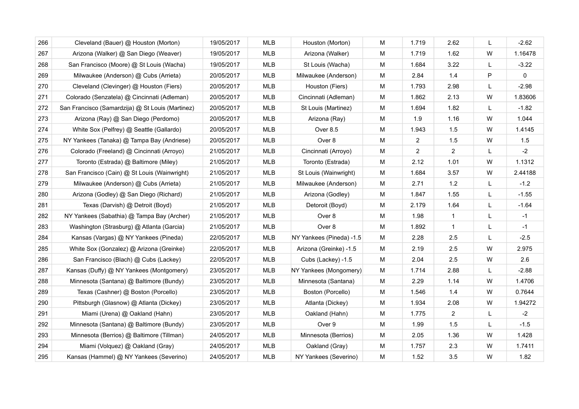| 266 | Cleveland (Bauer) @ Houston (Morton)             | 19/05/2017 | <b>MLB</b> | Houston (Morton)         | M | 1.719          | 2.62           | L            | $-2.62$ |
|-----|--------------------------------------------------|------------|------------|--------------------------|---|----------------|----------------|--------------|---------|
| 267 | Arizona (Walker) @ San Diego (Weaver)            | 19/05/2017 | <b>MLB</b> | Arizona (Walker)         | M | 1.719          | 1.62           | W            | 1.16478 |
| 268 | San Francisco (Moore) @ St Louis (Wacha)         | 19/05/2017 | <b>MLB</b> | St Louis (Wacha)         | M | 1.684          | 3.22           | L            | $-3.22$ |
| 269 | Milwaukee (Anderson) @ Cubs (Arrieta)            | 20/05/2017 | <b>MLB</b> | Milwaukee (Anderson)     | M | 2.84           | 1.4            | P            | 0       |
| 270 | Cleveland (Clevinger) @ Houston (Fiers)          | 20/05/2017 | <b>MLB</b> | Houston (Fiers)          | M | 1.793          | 2.98           | L            | $-2.98$ |
| 271 | Colorado (Senzatela) @ Cincinnati (Adleman)      | 20/05/2017 | <b>MLB</b> | Cincinnati (Adleman)     | M | 1.862          | 2.13           | W            | 1.83606 |
| 272 | San Francisco (Samardzija) @ St Louis (Martinez) | 20/05/2017 | <b>MLB</b> | St Louis (Martinez)      | м | 1.694          | 1.82           | L            | $-1.82$ |
| 273 | Arizona (Ray) @ San Diego (Perdomo)              | 20/05/2017 | <b>MLB</b> | Arizona (Ray)            | M | 1.9            | 1.16           | W            | 1.044   |
| 274 | White Sox (Pelfrey) @ Seattle (Gallardo)         | 20/05/2017 | MLB        | Over 8.5                 | M | 1.943          | 1.5            | W            | 1.4145  |
| 275 | NY Yankees (Tanaka) @ Tampa Bay (Andriese)       | 20/05/2017 | <b>MLB</b> | Over 8                   | M | $\overline{2}$ | 1.5            | W            | 1.5     |
| 276 | Colorado (Freeland) @ Cincinnati (Arroyo)        | 21/05/2017 | MLB        | Cincinnati (Arroyo)      | M | $\overline{2}$ | $\overline{2}$ | L            | $-2$    |
| 277 | Toronto (Estrada) @ Baltimore (Miley)            | 21/05/2017 | <b>MLB</b> | Toronto (Estrada)        | м | 2.12           | 1.01           | W            | 1.1312  |
| 278 | San Francisco (Cain) @ St Louis (Wainwright)     | 21/05/2017 | MLB        | St Louis (Wainwright)    | м | 1.684          | 3.57           | W            | 2.44188 |
| 279 | Milwaukee (Anderson) @ Cubs (Arrieta)            | 21/05/2017 | <b>MLB</b> | Milwaukee (Anderson)     | M | 2.71           | $1.2$          | L            | $-1.2$  |
| 280 | Arizona (Godley) @ San Diego (Richard)           | 21/05/2017 | <b>MLB</b> | Arizona (Godley)         | M | 1.847          | 1.55           | $\mathsf{L}$ | $-1.55$ |
| 281 | Texas (Darvish) @ Detroit (Boyd)                 | 21/05/2017 | MLB        | Detoroit (Boyd)          | M | 2.179          | 1.64           | L            | $-1.64$ |
| 282 | NY Yankees (Sabathia) @ Tampa Bay (Archer)       | 21/05/2017 | MLB        | Over 8                   | M | 1.98           | $\mathbf{1}$   | L            | $-1$    |
| 283 | Washington (Strasburg) @ Atlanta (Garcia)        | 21/05/2017 | MLB        | Over 8                   | м | 1.892          | $\mathbf{1}$   | L            | $-1$    |
| 284 | Kansas (Vargas) @ NY Yankees (Pineda)            | 22/05/2017 | <b>MLB</b> | NY Yankees (Pineda) -1.5 | м | 2.28           | 2.5            | L            | $-2.5$  |
| 285 | White Sox (Gonzalez) @ Arizona (Greinke)         | 22/05/2017 | MLB        | Arizona (Greinke) -1.5   | м | 2.19           | 2.5            | W            | 2.975   |
| 286 | San Francisco (Blach) @ Cubs (Lackey)            | 22/05/2017 | MLB        | Cubs (Lackey) -1.5       | M | 2.04           | 2.5            | W            | 2.6     |
| 287 | Kansas (Duffy) @ NY Yankees (Montgomery)         | 23/05/2017 | <b>MLB</b> | NY Yankees (Mongomery)   | M | 1.714          | 2.88           | L            | $-2.88$ |
| 288 | Minnesota (Santana) @ Baltimore (Bundy)          | 23/05/2017 | MLB        | Minnesota (Santana)      | M | 2.29           | 1.14           | W            | 1.4706  |
| 289 | Texas (Cashner) @ Boston (Porcello)              | 23/05/2017 | <b>MLB</b> | Boston (Porcello)        | M | 1.546          | 1.4            | W            | 0.7644  |
| 290 | Pittsburgh (Glasnow) @ Atlanta (Dickey)          | 23/05/2017 | <b>MLB</b> | Atlanta (Dickey)         | M | 1.934          | 2.08           | W            | 1.94272 |
| 291 | Miami (Urena) @ Oakland (Hahn)                   | 23/05/2017 | <b>MLB</b> | Oakland (Hahn)           | M | 1.775          | $\overline{2}$ | L            | $-2$    |
| 292 | Minnesota (Santana) @ Baltimore (Bundy)          | 23/05/2017 | <b>MLB</b> | Over 9                   | M | 1.99           | 1.5            | L            | $-1.5$  |
| 293 | Minnesota (Berrios) @ Baltimore (Tillman)        | 24/05/2017 | <b>MLB</b> | Minnesota (Berrios)      | M | 2.05           | 1.36           | W            | 1.428   |
| 294 | Miami (Volquez) @ Oakland (Gray)                 | 24/05/2017 | <b>MLB</b> | Oakland (Gray)           | M | 1.757          | 2.3            | W            | 1.7411  |
| 295 | Kansas (Hammel) @ NY Yankees (Severino)          | 24/05/2017 | <b>MLB</b> | NY Yankees (Severino)    | M | 1.52           | 3.5            | W            | 1.82    |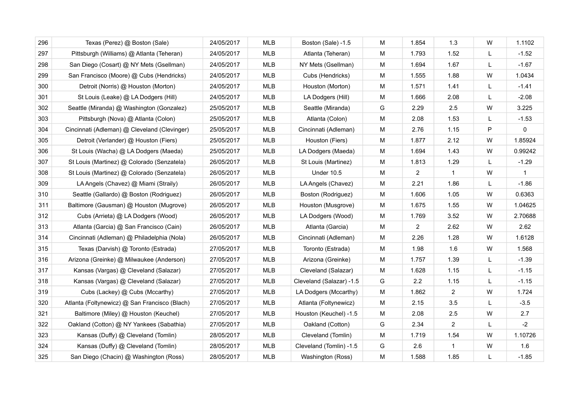| 296 | Texas (Perez) @ Boston (Sale)                 | 24/05/2017 | <b>MLB</b> | Boston (Sale) -1.5       | M | 1.854          | 1.3            | W | 1.1102  |
|-----|-----------------------------------------------|------------|------------|--------------------------|---|----------------|----------------|---|---------|
| 297 | Pittsburgh (Williams) @ Atlanta (Teheran)     | 24/05/2017 | MLB        | Atlanta (Teheran)        | M | 1.793          | 1.52           | L | $-1.52$ |
| 298 | San Diego (Cosart) @ NY Mets (Gsellman)       | 24/05/2017 | <b>MLB</b> | NY Mets (Gsellman)       | M | 1.694          | 1.67           | L | $-1.67$ |
| 299 | San Francisco (Moore) @ Cubs (Hendricks)      | 24/05/2017 | MLB        | Cubs (Hendricks)         | M | 1.555          | 1.88           | W | 1.0434  |
| 300 | Detroit (Norris) @ Houston (Morton)           | 24/05/2017 | <b>MLB</b> | Houston (Morton)         | M | 1.571          | 1.41           | L | $-1.41$ |
| 301 | St Louis (Leake) @ LA Dodgers (Hill)          | 24/05/2017 | MLB        | LA Dodgers (Hill)        | M | 1.666          | 2.08           | L | $-2.08$ |
| 302 | Seattle (Miranda) @ Washington (Gonzalez)     | 25/05/2017 | MLB        | Seattle (Miranda)        | G | 2.29           | 2.5            | W | 3.225   |
| 303 | Pittsburgh (Nova) @ Atlanta (Colon)           | 25/05/2017 | MLB        | Atlanta (Colon)          | M | 2.08           | 1.53           | L | $-1.53$ |
| 304 | Cincinnati (Adleman) @ Cleveland (Clevinger)  | 25/05/2017 | <b>MLB</b> | Cincinnati (Adleman)     | м | 2.76           | 1.15           | P | 0       |
| 305 | Detroit (Verlander) @ Houston (Fiers)         | 25/05/2017 | MLB        | Houston (Fiers)          | M | 1.877          | 2.12           | W | 1.85924 |
| 306 | St Louis (Wacha) @ LA Dodgers (Maeda)         | 25/05/2017 | <b>MLB</b> | LA Dodgers (Maeda)       | M | 1.694          | 1.43           | W | 0.99242 |
| 307 | St Louis (Martinez) @ Colorado (Senzatela)    | 26/05/2017 | MLB        | St Louis (Martinez)      | M | 1.813          | 1.29           | L | $-1.29$ |
| 308 | St Louis (Martinez) @ Colorado (Senzatela)    | 26/05/2017 | MLB        | <b>Under 10.5</b>        | м | 2              | -1             | W | 1       |
| 309 | LA Angels (Chavez) @ Miami (Straily)          | 26/05/2017 | <b>MLB</b> | LA Angels (Chavez)       | M | 2.21           | 1.86           | L | $-1.86$ |
| 310 | Seattle (Gallardo) @ Boston (Rodriguez)       | 26/05/2017 | <b>MLB</b> | Boston (Rodriguez)       | M | 1.606          | 1.05           | W | 0.6363  |
| 311 | Baltimore (Gausman) @ Houston (Mugrove)       | 26/05/2017 | <b>MLB</b> | Houston (Musgrove)       | M | 1.675          | 1.55           | W | 1.04625 |
| 312 | Cubs (Arrieta) @ LA Dodgers (Wood)            | 26/05/2017 | <b>MLB</b> | LA Dodgers (Wood)        | М | 1.769          | 3.52           | W | 2.70688 |
| 313 | Atlanta (Garcia) @ San Francisco (Cain)       | 26/05/2017 | MLB        | Atlanta (Garcia)         | M | $\overline{c}$ | 2.62           | W | 2.62    |
| 314 | Cincinnati (Adleman) @ Philadelphia (Nola)    | 26/05/2017 | <b>MLB</b> | Cincinnati (Adleman)     | M | 2.26           | 1.28           | W | 1.6128  |
| 315 | Texas (Darvish) @ Toronto (Estrada)           | 27/05/2017 | <b>MLB</b> | Toronto (Estrada)        | M | 1.98           | 1.6            | W | 1.568   |
| 316 | Arizona (Greinke) @ Milwaukee (Anderson)      | 27/05/2017 | <b>MLB</b> | Arizona (Greinke)        | M | 1.757          | 1.39           | L | $-1.39$ |
| 317 | Kansas (Vargas) @ Cleveland (Salazar)         | 27/05/2017 | <b>MLB</b> | Cleveland (Salazar)      | M | 1.628          | 1.15           | L | $-1.15$ |
| 318 | Kansas (Vargas) @ Cleveland (Salazar)         | 27/05/2017 | <b>MLB</b> | Cleveland (Salazar) -1.5 | G | 2.2            | 1.15           | L | $-1.15$ |
| 319 | Cubs (Lackey) @ Cubs (Mccarthy)               | 27/05/2017 | <b>MLB</b> | LA Dodgers (Mccarthy)    | M | 1.862          | $\overline{2}$ | W | 1.724   |
| 320 | Atlanta (Foltynewicz) @ San Francisco (Blach) | 27/05/2017 | <b>MLB</b> | Atlanta (Foltynewicz)    | M | 2.15           | 3.5            | L | $-3.5$  |
| 321 | Baltimore (Miley) @ Houston (Keuchel)         | 27/05/2017 | <b>MLB</b> | Houston (Keuchel) -1.5   | M | 2.08           | 2.5            | W | 2.7     |
| 322 | Oakland (Cotton) @ NY Yankees (Sabathia)      | 27/05/2017 | <b>MLB</b> | Oakland (Cotton)         | G | 2.34           | 2              | L | $-2$    |
| 323 | Kansas (Duffy) @ Cleveland (Tomlin)           | 28/05/2017 | MLB        | Cleveland (Tomlin)       | M | 1.719          | 1.54           | W | 1.10726 |
| 324 | Kansas (Duffy) @ Cleveland (Tomlin)           | 28/05/2017 | <b>MLB</b> | Cleveland (Tomlin) -1.5  | G | 2.6            | $\mathbf{1}$   | W | 1.6     |
| 325 | San Diego (Chacin) @ Washington (Ross)        | 28/05/2017 | <b>MLB</b> | Washington (Ross)        | M | 1.588          | 1.85           | L | $-1.85$ |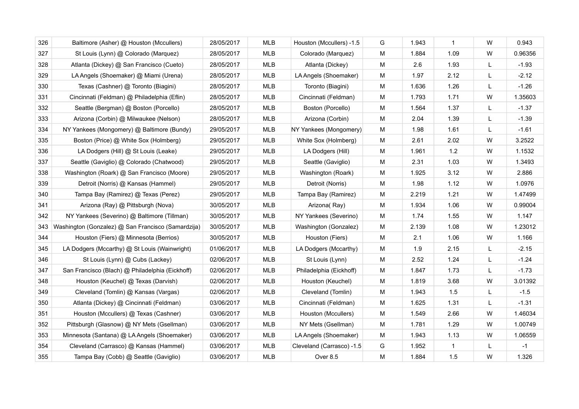| 326 | Baltimore (Asher) @ Houston (Mccullers)            | 28/05/2017 | <b>MLB</b> | Houston (Mccullers) -1.5  | G | 1.943 | $\mathbf{1}$ | W            | 0.943   |
|-----|----------------------------------------------------|------------|------------|---------------------------|---|-------|--------------|--------------|---------|
| 327 | St Louis (Lynn) @ Colorado (Marquez)               | 28/05/2017 | <b>MLB</b> | Colorado (Marquez)        | M | 1.884 | 1.09         | W            | 0.96356 |
| 328 | Atlanta (Dickey) @ San Francisco (Cueto)           | 28/05/2017 | <b>MLB</b> | Atlanta (Dickey)          | M | 2.6   | 1.93         | L            | $-1.93$ |
| 329 | LA Angels (Shoemaker) @ Miami (Urena)              | 28/05/2017 | <b>MLB</b> | LA Angels (Shoemaker)     | M | 1.97  | 2.12         | L            | $-2.12$ |
| 330 | Texas (Cashner) @ Toronto (Biagini)                | 28/05/2017 | <b>MLB</b> | Toronto (Biagini)         | M | 1.636 | 1.26         | L            | $-1.26$ |
| 331 | Cincinnati (Feldman) @ Philadelphia (Eflin)        | 28/05/2017 | MLB        | Cincinnati (Feldman)      | M | 1.793 | 1.71         | W            | 1.35603 |
| 332 | Seattle (Bergman) @ Boston (Porcello)              | 28/05/2017 | <b>MLB</b> | Boston (Porcello)         | M | 1.564 | 1.37         | L            | $-1.37$ |
| 333 | Arizona (Corbin) @ Milwaukee (Nelson)              | 28/05/2017 | <b>MLB</b> | Arizona (Corbin)          | M | 2.04  | 1.39         | $\mathsf{L}$ | $-1.39$ |
| 334 | NY Yankees (Mongomery) @ Baltimore (Bundy)         | 29/05/2017 | <b>MLB</b> | NY Yankees (Mongomery)    | м | 1.98  | 1.61         | L            | $-1.61$ |
| 335 | Boston (Price) @ White Sox (Holmberg)              | 29/05/2017 | <b>MLB</b> | White Sox (Holmberg)      | M | 2.61  | 2.02         | W            | 3.2522  |
| 336 | LA Dodgers (Hill) @ St Louis (Leake)               | 29/05/2017 | MLB        | LA Dodgers (Hill)         | M | 1.961 | 1.2          | W            | 1.1532  |
| 337 | Seattle (Gaviglio) @ Colorado (Chatwood)           | 29/05/2017 | <b>MLB</b> | Seattle (Gaviglio)        | M | 2.31  | 1.03         | W            | 1.3493  |
| 338 | Washington (Roark) @ San Francisco (Moore)         | 29/05/2017 | <b>MLB</b> | Washington (Roark)        | м | 1.925 | 3.12         | W            | 2.886   |
| 339 | Detroit (Norris) @ Kansas (Hammel)                 | 29/05/2017 | <b>MLB</b> | Detroit (Norris)          | M | 1.98  | 1.12         | W            | 1.0976  |
| 340 | Tampa Bay (Ramirez) @ Texas (Perez)                | 29/05/2017 | <b>MLB</b> | Tampa Bay (Ramirez)       | M | 2.219 | 1.21         | W            | 1.47499 |
| 341 | Arizona (Ray) @ Pittsburgh (Nova)                  | 30/05/2017 | MLB        | Arizona (Ray)             | M | 1.934 | 1.06         | W            | 0.99004 |
| 342 | NY Yankees (Severino) @ Baltimore (Tillman)        | 30/05/2017 | MLB        | NY Yankees (Severino)     | M | 1.74  | 1.55         | W            | 1.147   |
| 343 | Washington (Gonzalez) @ San Francisco (Samardzija) | 30/05/2017 | <b>MLB</b> | Washington (Gonzalez)     | м | 2.139 | 1.08         | W            | 1.23012 |
| 344 | Houston (Fiers) @ Minnesota (Berrios)              | 30/05/2017 | <b>MLB</b> | Houston (Fiers)           | м | 2.1   | 1.06         | W            | 1.166   |
| 345 | LA Dodgers (Mccarthy) @ St Louis (Wainwright)      | 01/06/2017 | <b>MLB</b> | LA Dodgers (Mccarthy)     | M | 1.9   | 2.15         | L            | $-2.15$ |
| 346 | St Louis (Lynn) @ Cubs (Lackey)                    | 02/06/2017 | <b>MLB</b> | St Louis (Lynn)           | M | 2.52  | 1.24         | $\mathsf{L}$ | $-1.24$ |
| 347 | San Francisco (Blach) @ Philadelphia (Eickhoff)    | 02/06/2017 | <b>MLB</b> | Philadelphia (Eickhoff)   | M | 1.847 | 1.73         | L            | $-1.73$ |
| 348 | Houston (Keuchel) @ Texas (Darvish)                | 02/06/2017 | <b>MLB</b> | Houston (Keuchel)         | M | 1.819 | 3.68         | W            | 3.01392 |
| 349 | Cleveland (Tomlin) @ Kansas (Vargas)               | 02/06/2017 | <b>MLB</b> | Cleveland (Tomlin)        | M | 1.943 | 1.5          | L            | $-1.5$  |
| 350 | Atlanta (Dickey) @ Cincinnati (Feldman)            | 03/06/2017 | <b>MLB</b> | Cincinnati (Feldman)      | М | 1.625 | 1.31         | L            | $-1.31$ |
| 351 | Houston (Mccullers) @ Texas (Cashner)              | 03/06/2017 | <b>MLB</b> | Houston (Mccullers)       | M | 1.549 | 2.66         | W            | 1.46034 |
| 352 | Pittsburgh (Glasnow) @ NY Mets (Gsellman)          | 03/06/2017 | <b>MLB</b> | NY Mets (Gsellman)        | M | 1.781 | 1.29         | W            | 1.00749 |
| 353 | Minnesota (Santana) @ LA Angels (Shoemaker)        | 03/06/2017 | <b>MLB</b> | LA Angels (Shoemaker)     | M | 1.943 | 1.13         | W            | 1.06559 |
| 354 | Cleveland (Carrasco) @ Kansas (Hammel)             | 03/06/2017 | <b>MLB</b> | Cleveland (Carrasco) -1.5 | G | 1.952 | $\mathbf{1}$ | L            | $-1$    |
| 355 | Tampa Bay (Cobb) @ Seattle (Gaviglio)              | 03/06/2017 | <b>MLB</b> | Over 8.5                  | M | 1.884 | 1.5          | W            | 1.326   |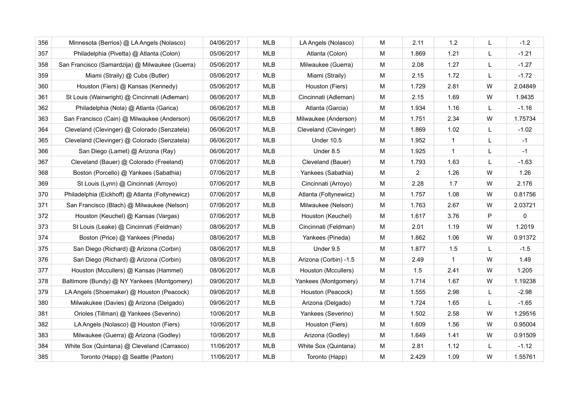| 356 | Minnesota (Berrios) @ LA Angels (Nolasco)       | 04/06/2017 | <b>MLB</b> | LA Angels (Nolasco)   | M | 2.11           | $1.2$        | L            | $-1.2$  |
|-----|-------------------------------------------------|------------|------------|-----------------------|---|----------------|--------------|--------------|---------|
| 357 | Philadelphia (Pivetta) @ Atlanta (Colon)        | 05/06/2017 | <b>MLB</b> | Atlanta (Colon)       | M | 1.869          | 1.21         | $\mathsf{L}$ | $-1.21$ |
| 358 | San Francisco (Samardzija) @ Milwaukee (Guerra) | 05/06/2017 | <b>MLB</b> | Milwaukee (Guerra)    | M | 2.08           | 1.27         | L            | $-1.27$ |
| 359 | Miami (Straily) @ Cubs (Butler)                 | 05/06/2017 | <b>MLB</b> | Miami (Straily)       | M | 2.15           | 1.72         | L            | $-1.72$ |
| 360 | Houston (Fiers) @ Kansas (Kennedy)              | 05/06/2017 | <b>MLB</b> | Houston (Fiers)       | M | 1.729          | 2.81         | W            | 2.04849 |
| 361 | St Louis (Wainwright) @ Cincinnati (Adleman)    | 06/06/2017 | MLB        | Cincinnati (Adleman)  | M | 2.15           | 1.69         | W            | 1.9435  |
| 362 | Philadelphia (Nola) @ Atlanta (Garica)          | 06/06/2017 | <b>MLB</b> | Atlanta (Garcia)      | M | 1.934          | 1.16         | L            | $-1.16$ |
| 363 | San Francisco (Cain) @ Milwaukee (Anderson)     | 06/06/2017 | <b>MLB</b> | Milwaukee (Anderson)  | M | 1.751          | 2.34         | W            | 1.75734 |
| 364 | Cleveland (Clevinger) @ Colorado (Senzatela)    | 06/06/2017 | <b>MLB</b> | Cleveland (Clevinger) | M | 1.869          | 1.02         | L            | $-1.02$ |
| 365 | Cleveland (Clevinger) @ Colorado (Senzatela)    | 06/06/2017 | <b>MLB</b> | Under 10.5            | M | 1.952          | $\mathbf{1}$ | L            | $-1$    |
| 366 | San Diego (Lamet) @ Arizona (Ray)               | 06/06/2017 | MLB        | Under 8.5             | M | 1.925          | $\mathbf{1}$ | L            | $-1$    |
| 367 | Cleveland (Bauer) @ Colorado (Freeland)         | 07/06/2017 | <b>MLB</b> | Cleveland (Bauer)     | M | 1.793          | 1.63         | L            | $-1.63$ |
| 368 | Boston (Porcello) @ Yankees (Sabathia)          | 07/06/2017 | <b>MLB</b> | Yankees (Sabathia)    | м | $\overline{2}$ | 1.26         | W            | 1.26    |
| 369 | St Louis (Lynn) @ Cincinnati (Arroyo)           | 07/06/2017 | MLB        | Cincinnati (Arroyo)   | м | 2.28           | 1.7          | W            | 2.176   |
| 370 | Philadelphia (Eickhoff) @ Atlanta (Foltynewicz) | 07/06/2017 | <b>MLB</b> | Atlanta (Foltynewicz) | M | 1.757          | 1.08         | W            | 0.81756 |
| 371 | San Francisco (Blach) @ Milwaukee (Nelson)      | 07/06/2017 | MLB        | Milwaukee (Nelson)    | M | 1.763          | 2.67         | W            | 2.03721 |
| 372 | Houston (Keuchel) @ Kansas (Vargas)             | 07/06/2017 | <b>MLB</b> | Houston (Keuchel)     | M | 1.617          | 3.76         | P            | 0       |
| 373 | St Louis (Leake) @ Cincinnati (Feldman)         | 08/06/2017 | <b>MLB</b> | Cincinnati (Feldman)  | M | 2.01           | 1.19         | W            | 1.2019  |
| 374 | Boston (Price) @ Yankees (Pineda)               | 08/06/2017 | <b>MLB</b> | Yankees (Pineda)      | м | 1.862          | 1.06         | W            | 0.91372 |
| 375 | San Diego (Richard) @ Arizona (Corbin)          | 08/06/2017 | <b>MLB</b> | Under 9.5             | M | 1.877          | 1.5          | L            | $-1.5$  |
| 376 | San Diego (Richard) @ Arizona (Corbin)          | 08/06/2017 | <b>MLB</b> | Arizona (Corbin) -1.5 | M | 2.49           | $\mathbf{1}$ | W            | 1.49    |
| 377 | Houston (Mccullers) @ Kansas (Hammel)           | 08/06/2017 | <b>MLB</b> | Houston (Mccullers)   | M | 1.5            | 2.41         | W            | 1.205   |
| 378 | Baltimore (Bundy) @ NY Yankees (Montgomery)     | 09/06/2017 | <b>MLB</b> | Yankees (Montgomery)  | M | 1.714          | 1.67         | W            | 1.19238 |
| 379 | LA Angels (Shoemaker) @ Houston (Peacock)       | 09/06/2017 | MLB        | Houston (Peacock)     | M | 1.555          | 2.98         | L            | $-2.98$ |
| 380 | Milwakukee (Davies) @ Arizona (Delgado)         | 09/06/2017 | <b>MLB</b> | Arizona (Delgado)     | М | 1.724          | 1.65         | L            | $-1.65$ |
| 381 | Orioles (Tillman) @ Yankees (Severino)          | 10/06/2017 | <b>MLB</b> | Yankees (Severino)    | M | 1.502          | 2.58         | W            | 1.29516 |
| 382 | LA Angels (Nolasco) @ Houston (Fiers)           | 10/06/2017 | <b>MLB</b> | Houston (Fiers)       | M | 1.609          | 1.56         | W            | 0.95004 |
| 383 | Milwaukee (Guerra) @ Arizona (Godley)           | 10/06/2017 | <b>MLB</b> | Arizona (Godley)      | M | 1.649          | 1.41         | W            | 0.91509 |
| 384 | White Sox (Quintana) @ Cleveland (Carrasco)     | 11/06/2017 | <b>MLB</b> | White Sox (Quintana)  | M | 2.81           | 1.12         | L            | $-1.12$ |
| 385 | Toronto (Happ) @ Seattle (Paxton)               | 11/06/2017 | <b>MLB</b> | Toronto (Happ)        | M | 2.429          | 1.09         | W            | 1.55761 |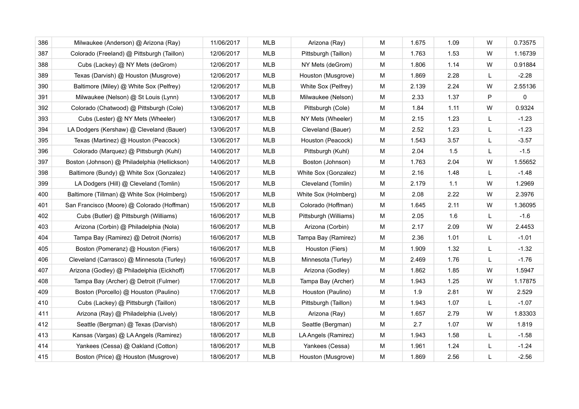| 386 | Milwaukee (Anderson) @ Arizona (Ray)         | 11/06/2017 | <b>MLB</b> | Arizona (Ray)         | M | 1.675 | 1.09 | W | 0.73575     |
|-----|----------------------------------------------|------------|------------|-----------------------|---|-------|------|---|-------------|
| 387 | Colorado (Freeland) @ Pittsburgh (Taillon)   | 12/06/2017 | <b>MLB</b> | Pittsburgh (Taillon)  | M | 1.763 | 1.53 | W | 1.16739     |
| 388 | Cubs (Lackey) @ NY Mets (deGrom)             | 12/06/2017 | <b>MLB</b> | NY Mets (deGrom)      | М | 1.806 | 1.14 | W | 0.91884     |
| 389 | Texas (Darvish) @ Houston (Musgrove)         | 12/06/2017 | <b>MLB</b> | Houston (Musgrove)    | M | 1.869 | 2.28 | L | $-2.28$     |
| 390 | Baltimore (Miley) @ White Sox (Pelfrey)      | 12/06/2017 | <b>MLB</b> | White Sox (Pelfrey)   | М | 2.139 | 2.24 | W | 2.55136     |
| 391 | Milwaukee (Nelson) @ St Louis (Lynn)         | 13/06/2017 | MLB        | Milwaukee (Nelson)    | M | 2.33  | 1.37 | P | $\mathbf 0$ |
| 392 | Colorado (Chatwood) @ Pittsburgh (Cole)      | 13/06/2017 | <b>MLB</b> | Pittsburgh (Cole)     | M | 1.84  | 1.11 | W | 0.9324      |
| 393 | Cubs (Lester) @ NY Mets (Wheeler)            | 13/06/2017 | <b>MLB</b> | NY Mets (Wheeler)     | M | 2.15  | 1.23 | L | $-1.23$     |
| 394 | LA Dodgers (Kershaw) @ Cleveland (Bauer)     | 13/06/2017 | <b>MLB</b> | Cleveland (Bauer)     | М | 2.52  | 1.23 | L | $-1.23$     |
| 395 | Texas (Martinez) @ Houston (Peacock)         | 13/06/2017 | <b>MLB</b> | Houston (Peacock)     | M | 1.543 | 3.57 | L | $-3.57$     |
| 396 | Colorado (Marquez) @ Pittsburgh (Kuhl)       | 14/06/2017 | <b>MLB</b> | Pittsburgh (Kuhl)     | M | 2.04  | 1.5  | L | $-1.5$      |
| 397 | Boston (Johnson) @ Philadelphia (Hellickson) | 14/06/2017 | MLB        | Boston (Johnson)      | M | 1.763 | 2.04 | W | 1.55652     |
| 398 | Baltimore (Bundy) @ White Sox (Gonzalez)     | 14/06/2017 | <b>MLB</b> | White Sox (Gonzalez)  | M | 2.16  | 1.48 | L | $-1.48$     |
| 399 | LA Dodgers (Hill) @ Cleveland (Tomlin)       | 15/06/2017 | MLB        | Cleveland (Tomlin)    | M | 2.179 | 1.1  | W | 1.2969      |
| 400 | Baltimore (Tillman) @ White Sox (Holmberg)   | 15/06/2017 | <b>MLB</b> | White Sox (Holmberg)  | M | 2.08  | 2.22 | W | 2.3976      |
| 401 | San Francisco (Moore) @ Colorado (Hoffman)   | 15/06/2017 | MLB        | Colorado (Hoffman)    | M | 1.645 | 2.11 | W | 1.36095     |
| 402 | Cubs (Butler) @ Pittsburgh (Williams)        | 16/06/2017 | <b>MLB</b> | Pittsburgh (Williams) | M | 2.05  | 1.6  | L | $-1.6$      |
| 403 | Arizona (Corbin) @ Philadelphia (Nola)       | 16/06/2017 | MLB        | Arizona (Corbin)      | М | 2.17  | 2.09 | W | 2.4453      |
| 404 | Tampa Bay (Ramirez) @ Detroit (Norris)       | 16/06/2017 | <b>MLB</b> | Tampa Bay (Ramirez)   | M | 2.36  | 1.01 | L | $-1.01$     |
| 405 | Boston (Pomeranz) @ Houston (Fiers)          | 16/06/2017 | <b>MLB</b> | Houston (Fiers)       | M | 1.909 | 1.32 | L | $-1.32$     |
| 406 | Cleveland (Carrasco) @ Minnesota (Turley)    | 16/06/2017 | <b>MLB</b> | Minnesota (Turley)    | M | 2.469 | 1.76 | L | $-1.76$     |
| 407 | Arizona (Godley) @ Philadelphia (Eickhoff)   | 17/06/2017 | <b>MLB</b> | Arizona (Godley)      | M | 1.862 | 1.85 | W | 1.5947      |
| 408 | Tampa Bay (Archer) @ Detroit (Fulmer)        | 17/06/2017 | <b>MLB</b> | Tampa Bay (Archer)    | M | 1.943 | 1.25 | W | 1.17875     |
| 409 | Boston (Porcello) @ Houston (Paulino)        | 17/06/2017 | MLB        | Houston (Paulino)     | M | 1.9   | 2.81 | W | 2.529       |
| 410 | Cubs (Lackey) @ Pittsburgh (Taillon)         | 18/06/2017 | <b>MLB</b> | Pittsburgh (Taillon)  | M | 1.943 | 1.07 | L | $-1.07$     |
| 411 | Arizona (Ray) @ Philadelphia (Lively)        | 18/06/2017 | <b>MLB</b> | Arizona (Ray)         | M | 1.657 | 2.79 | W | 1.83303     |
| 412 | Seattle (Bergman) @ Texas (Darvish)          | 18/06/2017 | <b>MLB</b> | Seattle (Bergman)     | M | 2.7   | 1.07 | W | 1.819       |
| 413 | Kansas (Vargas) @ LA Angels (Ramirez)        | 18/06/2017 | <b>MLB</b> | LA Angels (Ramirez)   | M | 1.943 | 1.58 | L | $-1.58$     |
| 414 | Yankees (Cessa) @ Oakland (Cotton)           | 18/06/2017 | <b>MLB</b> | Yankees (Cessa)       | M | 1.961 | 1.24 | L | $-1.24$     |
| 415 | Boston (Price) @ Houston (Musgrove)          | 18/06/2017 | <b>MLB</b> | Houston (Musgrove)    | M | 1.869 | 2.56 | L | $-2.56$     |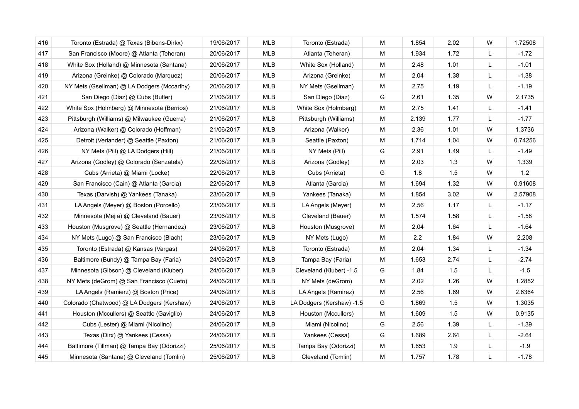| 416 | Toronto (Estrada) @ Texas (Bibens-Dirkx)   | 19/06/2017 | <b>MLB</b> | Toronto (Estrada)         | M | 1.854 | 2.02 | W | 1.72508 |
|-----|--------------------------------------------|------------|------------|---------------------------|---|-------|------|---|---------|
| 417 | San Francisco (Moore) @ Atlanta (Teheran)  | 20/06/2017 | MLB        | Atlanta (Teheran)         | M | 1.934 | 1.72 | L | $-1.72$ |
| 418 | White Sox (Holland) @ Minnesota (Santana)  | 20/06/2017 | MLB        | White Sox (Holland)       | M | 2.48  | 1.01 | L | $-1.01$ |
| 419 | Arizona (Greinke) @ Colorado (Marquez)     | 20/06/2017 | MLB        | Arizona (Greinke)         | M | 2.04  | 1.38 | L | $-1.38$ |
| 420 | NY Mets (Gsellman) @ LA Dodgers (Mccarthy) | 20/06/2017 | <b>MLB</b> | NY Mets (Gsellman)        | M | 2.75  | 1.19 | L | $-1.19$ |
| 421 | San Diego (Diaz) @ Cubs (Butler)           | 21/06/2017 | <b>MLB</b> | San Diego (Diaz)          | G | 2.61  | 1.35 | W | 2.1735  |
| 422 | White Sox (Holmberg) @ Minnesota (Berrios) | 21/06/2017 | MLB        | White Sox (Holmberg)      | M | 2.75  | 1.41 | L | $-1.41$ |
| 423 | Pittsburgh (Williams) @ Milwaukee (Guerra) | 21/06/2017 | MLB        | Pittsburgh (Williams)     | M | 2.139 | 1.77 | L | $-1.77$ |
| 424 | Arizona (Walker) @ Colorado (Hoffman)      | 21/06/2017 | MLB        | Arizona (Walker)          | M | 2.36  | 1.01 | W | 1.3736  |
| 425 | Detroit (Verlander) @ Seattle (Paxton)     | 21/06/2017 | MLB        | Seattle (Paxton)          | M | 1.714 | 1.04 | W | 0.74256 |
| 426 | NY Mets (Pill) @ LA Dodgers (Hill)         | 21/06/2017 | <b>MLB</b> | NY Mets (Pill)            | G | 2.91  | 1.49 | L | $-1.49$ |
| 427 | Arizona (Godley) @ Colorado (Senzatela)    | 22/06/2017 | MLB        | Arizona (Godley)          | M | 2.03  | 1.3  | W | 1.339   |
| 428 | Cubs (Arrieta) @ Miami (Locke)             | 22/06/2017 | <b>MLB</b> | Cubs (Arrieta)            | G | 1.8   | 1.5  | W | 1.2     |
| 429 | San Francisco (Cain) @ Atlanta (Garcia)    | 22/06/2017 | <b>MLB</b> | Atlanta (Garcia)          | М | 1.694 | 1.32 | W | 0.91608 |
| 430 | Texas (Darvish) @ Yankees (Tanaka)         | 23/06/2017 | MLB        | Yankees (Tanaka)          | M | 1.854 | 3.02 | W | 2.57908 |
| 431 | LA Angels (Meyer) @ Boston (Porcello)      | 23/06/2017 | MLB        | LA Angels (Meyer)         | M | 2.56  | 1.17 | L | $-1.17$ |
| 432 | Minnesota (Mejia) @ Cleveland (Bauer)      | 23/06/2017 | MLB        | Cleveland (Bauer)         | M | 1.574 | 1.58 | L | $-1.58$ |
| 433 | Houston (Musgrove) @ Seattle (Hernandez)   | 23/06/2017 | MLB        | Houston (Musgrove)        | M | 2.04  | 1.64 | L | $-1.64$ |
| 434 | NY Mets (Lugo) @ San Francisco (Blach)     | 23/06/2017 | MLB        | NY Mets (Lugo)            | M | 2.2   | 1.84 | W | 2.208   |
| 435 | Toronto (Estrada) @ Kansas (Vargas)        | 24/06/2017 | MLB        | Toronto (Estrada)         | M | 2.04  | 1.34 | L | $-1.34$ |
| 436 | Baltimore (Bundy) @ Tampa Bay (Faria)      | 24/06/2017 | MLB        | Tampa Bay (Faria)         | М | 1.653 | 2.74 | L | $-2.74$ |
| 437 | Minnesota (Gibson) @ Cleveland (Kluber)    | 24/06/2017 | <b>MLB</b> | Cleveland (Kluber) -1.5   | G | 1.84  | 1.5  | L | $-1.5$  |
| 438 | NY Mets (deGrom) @ San Francisco (Cueto)   | 24/06/2017 | <b>MLB</b> | NY Mets (deGrom)          | M | 2.02  | 1.26 | W | 1.2852  |
| 439 | LA Angels (Ramierz) @ Boston (Price)       | 24/06/2017 | MLB        | LA Angels (Ramirez)       | M | 2.56  | 1.69 | W | 2.6364  |
| 440 | Colorado (Chatwood) @ LA Dodgers (Kershaw) | 24/06/2017 | MLB        | LA Dodgers (Kershaw) -1.5 | G | 1.869 | 1.5  | W | 1.3035  |
| 441 | Houston (Mccullers) @ Seattle (Gaviglio)   | 24/06/2017 | MLB        | Houston (Mccullers)       | М | 1.609 | 1.5  | W | 0.9135  |
| 442 | Cubs (Lester) @ Miami (Nicolino)           | 24/06/2017 | MLB        | Miami (Nicolino)          | G | 2.56  | 1.39 | L | $-1.39$ |
| 443 | Texas (Dirx) @ Yankees (Cessa)             | 24/06/2017 | MLB        | Yankees (Cessa)           | G | 1.689 | 2.64 | L | $-2.64$ |
| 444 | Baltimore (Tillman) @ Tampa Bay (Odorizzi) | 25/06/2017 | MLB        | Tampa Bay (Odorizzi)      | M | 1.653 | 1.9  | L | $-1.9$  |
| 445 | Minnesota (Santana) @ Cleveland (Tomlin)   | 25/06/2017 | <b>MLB</b> | Cleveland (Tomlin)        | M | 1.757 | 1.78 | L | $-1.78$ |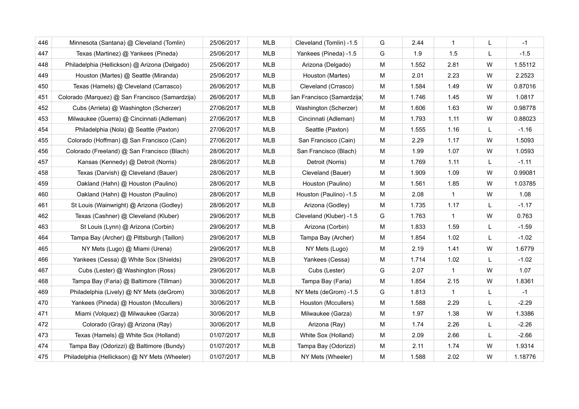| 446 | Minnesota (Santana) @ Cleveland (Tomlin)        | 25/06/2017 | <b>MLB</b> | Cleveland (Tomlin) -1.5    | G | 2.44  | $\overline{1}$ | L | $-1$    |
|-----|-------------------------------------------------|------------|------------|----------------------------|---|-------|----------------|---|---------|
| 447 | Texas (Martinez) @ Yankees (Pineda)             | 25/06/2017 | <b>MLB</b> | Yankees (Pineda) -1.5      | G | 1.9   | 1.5            | L | $-1.5$  |
| 448 | Philadelphia (Hellickson) @ Arizona (Delgado)   | 25/06/2017 | MLB        | Arizona (Delgado)          | м | 1.552 | 2.81           | W | 1.55112 |
| 449 | Houston (Martes) @ Seattle (Miranda)            | 25/06/2017 | MLB        | Houston (Martes)           | M | 2.01  | 2.23           | W | 2.2523  |
| 450 | Texas (Hamels) @ Cleveland (Carrasco)           | 26/06/2017 | <b>MLB</b> | Cleveland (Crrasco)        | м | 1.584 | 1.49           | W | 0.87016 |
| 451 | Colorado (Marquez) @ San Francisco (Samardzija) | 26/06/2017 | <b>MLB</b> | San Francisco (Samardzija) | M | 1.746 | 1.45           | W | 1.0817  |
| 452 | Cubs (Arrieta) @ Washington (Scherzer)          | 27/06/2017 | MLB        | Washington (Scherzer)      | м | 1.606 | 1.63           | W | 0.98778 |
| 453 | Milwaukee (Guerra) @ Cincinnati (Adleman)       | 27/06/2017 | <b>MLB</b> | Cincinnati (Adleman)       | M | 1.793 | 1.11           | W | 0.88023 |
| 454 | Philadelphia (Nola) @ Seattle (Paxton)          | 27/06/2017 | <b>MLB</b> | Seattle (Paxton)           | м | 1.555 | 1.16           | L | $-1.16$ |
| 455 | Colorado (Hoffman) @ San Francisco (Cain)       | 27/06/2017 | <b>MLB</b> | San Francisco (Cain)       | M | 2.29  | 1.17           | W | 1.5093  |
| 456 | Colorado (Freeland) @ San Francisco (Blach)     | 28/06/2017 | MLB        | San Francisco (Blach)      | M | 1.99  | 1.07           | W | 1.0593  |
| 457 | Kansas (Kennedy) @ Detroit (Norris)             | 28/06/2017 | <b>MLB</b> | Detroit (Norris)           | M | 1.769 | 1.11           | L | $-1.11$ |
| 458 | Texas (Darvish) @ Cleveland (Bauer)             | 28/06/2017 | <b>MLB</b> | Cleveland (Bauer)          | M | 1.909 | 1.09           | W | 0.99081 |
| 459 | Oakland (Hahn) @ Houston (Paulino)              | 28/06/2017 | <b>MLB</b> | Houston (Paulino)          | M | 1.561 | 1.85           | W | 1.03785 |
| 460 | Oakland (Hahn) @ Houston (Paulino)              | 28/06/2017 | <b>MLB</b> | Houston (Paulino) -1.5     | M | 2.08  | $\overline{1}$ | W | 1.08    |
| 461 | St Louis (Wainwright) @ Arizona (Godley)        | 28/06/2017 | <b>MLB</b> | Arizona (Godley)           | M | 1.735 | 1.17           | L | $-1.17$ |
| 462 | Texas (Cashner) @ Cleveland (Kluber)            | 29/06/2017 | <b>MLB</b> | Cleveland (Kluber) -1.5    | G | 1.763 | $\overline{1}$ | W | 0.763   |
| 463 | St Louis (Lynn) @ Arizona (Corbin)              | 29/06/2017 | <b>MLB</b> | Arizona (Corbin)           | M | 1.833 | 1.59           | L | $-1.59$ |
| 464 | Tampa Bay (Archer) @ Pittsburgh (Taillon)       | 29/06/2017 | <b>MLB</b> | Tampa Bay (Archer)         | M | 1.854 | 1.02           | L | $-1.02$ |
| 465 | NY Mets (Lugo) @ Miami (Urena)                  | 29/06/2017 | <b>MLB</b> | NY Mets (Lugo)             | M | 2.19  | 1.41           | W | 1.6779  |
| 466 | Yankees (Cessa) @ White Sox (Shields)           | 29/06/2017 | <b>MLB</b> | Yankees (Cessa)            | M | 1.714 | 1.02           | L | $-1.02$ |
| 467 | Cubs (Lester) @ Washington (Ross)               | 29/06/2017 | <b>MLB</b> | Cubs (Lester)              | G | 2.07  | $\overline{1}$ | W | 1.07    |
| 468 | Tampa Bay (Faria) @ Baltimore (Tillman)         | 30/06/2017 | <b>MLB</b> | Tampa Bay (Faria)          | M | 1.854 | 2.15           | W | 1.8361  |
| 469 | Philadelphia (Lively) @ NY Mets (deGrom)        | 30/06/2017 | <b>MLB</b> | NY Mets (deGrom) -1.5      | G | 1.813 | $\overline{1}$ | L | $-1$    |
| 470 | Yankees (Pineda) @ Houston (Mccullers)          | 30/06/2017 | <b>MLB</b> | Houston (Mccullers)        | M | 1.588 | 2.29           | L | $-2.29$ |
| 471 | Miami (Volquez) @ Milwaukee (Garza)             | 30/06/2017 | <b>MLB</b> | Milwaukee (Garza)          | M | 1.97  | 1.38           | W | 1.3386  |
| 472 | Colorado (Gray) @ Arizona (Ray)                 | 30/06/2017 | <b>MLB</b> | Arizona (Ray)              | M | 1.74  | 2.26           | L | $-2.26$ |
| 473 | Texas (Hamels) @ White Sox (Holland)            | 01/07/2017 | <b>MLB</b> | White Sox (Holland)        | M | 2.09  | 2.66           | L | $-2.66$ |
| 474 | Tampa Bay (Odorizzi) @ Baltimore (Bundy)        | 01/07/2017 | <b>MLB</b> | Tampa Bay (Odorizzi)       | M | 2.11  | 1.74           | W | 1.9314  |
| 475 | Philadelphia (Hellickson) @ NY Mets (Wheeler)   | 01/07/2017 | <b>MLB</b> | NY Mets (Wheeler)          | M | 1.588 | 2.02           | W | 1.18776 |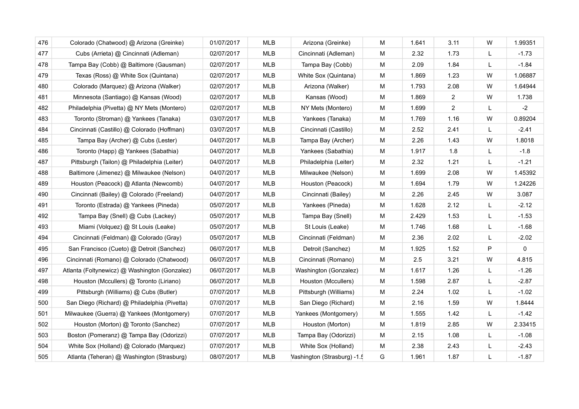| 476 | Colorado (Chatwood) @ Arizona (Greinke)       | 01/07/2017 | <b>MLB</b> | Arizona (Greinke)           | M | 1.641 | 3.11           | W            | 1.99351 |
|-----|-----------------------------------------------|------------|------------|-----------------------------|---|-------|----------------|--------------|---------|
| 477 | Cubs (Arrieta) @ Cincinnati (Adleman)         | 02/07/2017 | <b>MLB</b> | Cincinnati (Adleman)        | M | 2.32  | 1.73           | L            | $-1.73$ |
| 478 | Tampa Bay (Cobb) @ Baltimore (Gausman)        | 02/07/2017 | MLB        | Tampa Bay (Cobb)            | M | 2.09  | 1.84           | L            | $-1.84$ |
| 479 | Texas (Ross) @ White Sox (Quintana)           | 02/07/2017 | MLB        | White Sox (Quintana)        | M | 1.869 | 1.23           | W            | 1.06887 |
| 480 | Colorado (Marquez) @ Arizona (Walker)         | 02/07/2017 | MLB        | Arizona (Walker)            | M | 1.793 | 2.08           | W            | 1.64944 |
| 481 | Minnesota (Santiago) @ Kansas (Wood)          | 02/07/2017 | MLB        | Kansas (Wood)               | M | 1.869 | $\overline{2}$ | W            | 1.738   |
| 482 | Philadelphia (Pivetta) @ NY Mets (Montero)    | 02/07/2017 | MLB        | NY Mets (Montero)           | M | 1.699 | $\overline{2}$ | L            | $-2$    |
| 483 | Toronto (Stroman) @ Yankees (Tanaka)          | 03/07/2017 | <b>MLB</b> | Yankees (Tanaka)            | M | 1.769 | 1.16           | W            | 0.89204 |
| 484 | Cincinnati (Castillo) @ Colorado (Hoffman)    | 03/07/2017 | <b>MLB</b> | Cincinnati (Castillo)       | М | 2.52  | 2.41           | L            | $-2.41$ |
| 485 | Tampa Bay (Archer) @ Cubs (Lester)            | 04/07/2017 | <b>MLB</b> | Tampa Bay (Archer)          | M | 2.26  | 1.43           | W            | 1.8018  |
| 486 | Toronto (Happ) @ Yankees (Sabathia)           | 04/07/2017 | MLB        | Yankees (Sabathia)          | M | 1.917 | 1.8            | L            | $-1.8$  |
| 487 | Pittsburgh (Tailon) @ Philadelphia (Leiter)   | 04/07/2017 | MLB        | Philadelphia (Leiter)       | M | 2.32  | 1.21           | L            | $-1.21$ |
| 488 | Baltimore (Jimenez) @ Milwaukee (Nelson)      | 04/07/2017 | MLB        | Milwaukee (Nelson)          | M | 1.699 | 2.08           | W            | 1.45392 |
| 489 | Houston (Peacock) @ Atlanta (Newcomb)         | 04/07/2017 | MLB        | Houston (Peacock)           | M | 1.694 | 1.79           | W            | 1.24226 |
| 490 | Cincinnati (Bailey) @ Colorado (Freeland)     | 04/07/2017 | <b>MLB</b> | Cincinnati (Bailey)         | M | 2.26  | 2.45           | W            | 3.087   |
| 491 | Toronto (Estrada) @ Yankees (Pineda)          | 05/07/2017 | <b>MLB</b> | Yankees (Pineda)            | M | 1.628 | 2.12           | L            | $-2.12$ |
| 492 | Tampa Bay (Snell) @ Cubs (Lackey)             | 05/07/2017 | MLB        | Tampa Bay (Snell)           | M | 2.429 | 1.53           | L            | $-1.53$ |
| 493 | Miami (Volquez) @ St Louis (Leake)            | 05/07/2017 | MLB        | St Louis (Leake)            | M | 1.746 | 1.68           | L            | $-1.68$ |
| 494 | Cincinnati (Feldman) @ Colorado (Gray)        | 05/07/2017 | MLB        | Cincinnati (Feldman)        | м | 2.36  | 2.02           | $\mathsf{L}$ | $-2.02$ |
| 495 | San Francisco (Cueto) @ Detroit (Sanchez)     | 06/07/2017 | MLB        | Detroit (Sanchez)           | M | 1.925 | 1.52           | P            | 0       |
| 496 | Cincinnati (Romano) @ Colorado (Chatwood)     | 06/07/2017 | <b>MLB</b> | Cincinnati (Romano)         | м | 2.5   | 3.21           | W            | 4.815   |
| 497 | Atlanta (Foltynewicz) @ Washington (Gonzalez) | 06/07/2017 | MLB        | Washington (Gonzalez)       | M | 1.617 | 1.26           | L            | $-1.26$ |
| 498 | Houston (Mccullers) @ Toronto (Liriano)       | 06/07/2017 | MLB        | Houston (Mccullers)         | M | 1.598 | 2.87           | L            | $-2.87$ |
| 499 | Pittsburgh (Williams) @ Cubs (Butler)         | 07/07/2017 | MLB        | Pittsburgh (Williams)       | м | 2.24  | 1.02           | L            | $-1.02$ |
| 500 | San Diego (Richard) @ Philadelphia (Pivetta)  | 07/07/2017 | MLB        | San Diego (Richard)         | M | 2.16  | 1.59           | W            | 1.8444  |
| 501 | Milwaukee (Guerra) @ Yankees (Montgomery)     | 07/07/2017 | <b>MLB</b> | Yankees (Montgomery)        | M | 1.555 | 1.42           | L            | $-1.42$ |
| 502 | Houston (Morton) @ Toronto (Sanchez)          | 07/07/2017 | <b>MLB</b> | Houston (Morton)            | M | 1.819 | 2.85           | W            | 2.33415 |
| 503 | Boston (Pomeranz) @ Tampa Bay (Odorizzi)      | 07/07/2017 | MLB        | Tampa Bay (Odorizzi)        | M | 2.15  | 1.08           | L            | $-1.08$ |
| 504 | White Sox (Holland) @ Colorado (Marquez)      | 07/07/2017 | <b>MLB</b> | White Sox (Holland)         | M | 2.38  | 2.43           | L            | $-2.43$ |
| 505 | Atlanta (Teheran) @ Washington (Strasburg)    | 08/07/2017 | <b>MLB</b> | Vashington (Strasburg) -1.5 | G | 1.961 | 1.87           | L            | $-1.87$ |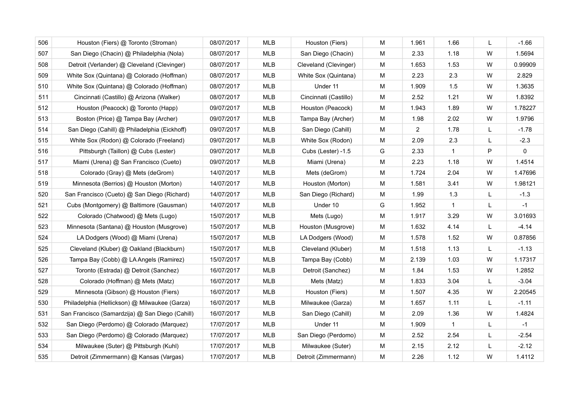| 506 | Houston (Fiers) @ Toronto (Stroman)             | 08/07/2017 | <b>MLB</b> | Houston (Fiers)       | M | 1.961 | 1.66         | L | $-1.66$     |
|-----|-------------------------------------------------|------------|------------|-----------------------|---|-------|--------------|---|-------------|
| 507 | San Diego (Chacin) @ Philadelphia (Nola)        | 08/07/2017 | <b>MLB</b> | San Diego (Chacin)    | M | 2.33  | 1.18         | W | 1.5694      |
| 508 | Detroit (Verlander) @ Cleveland (Clevinger)     | 08/07/2017 | <b>MLB</b> | Cleveland (Clevinger) | M | 1.653 | 1.53         | W | 0.99909     |
| 509 | White Sox (Quintana) @ Colorado (Hoffman)       | 08/07/2017 | <b>MLB</b> | White Sox (Quintana)  | M | 2.23  | 2.3          | W | 2.829       |
| 510 | White Sox (Quintana) @ Colorado (Hoffman)       | 08/07/2017 | <b>MLB</b> | Under 11              | M | 1.909 | 1.5          | W | 1.3635      |
| 511 | Cincinnati (Castillo) @ Arizona (Walker)        | 08/07/2017 | MLB        | Cincinnati (Castillo) | M | 2.52  | 1.21         | W | 1.8392      |
| 512 | Houston (Peacock) @ Toronto (Happ)              | 09/07/2017 | <b>MLB</b> | Houston (Peacock)     | M | 1.943 | 1.89         | W | 1.78227     |
| 513 | Boston (Price) @ Tampa Bay (Archer)             | 09/07/2017 | MLB        | Tampa Bay (Archer)    | M | 1.98  | 2.02         | W | 1.9796      |
| 514 | San Diego (Cahill) @ Philadelphia (Eickhoff)    | 09/07/2017 | <b>MLB</b> | San Diego (Cahill)    | M | 2     | 1.78         | L | $-1.78$     |
| 515 | White Sox (Rodon) @ Colorado (Freeland)         | 09/07/2017 | <b>MLB</b> | White Sox (Rodon)     | M | 2.09  | 2.3          | L | $-2.3$      |
| 516 | Pittsburgh (Taillon) @ Cubs (Lester)            | 09/07/2017 | MLB        | Cubs (Lester) -1.5    | G | 2.33  | $\mathbf{1}$ | P | $\mathbf 0$ |
| 517 | Miami (Urena) @ San Francisco (Cueto)           | 09/07/2017 | <b>MLB</b> | Miami (Urena)         | M | 2.23  | 1.18         | W | 1.4514      |
| 518 | Colorado (Gray) @ Mets (deGrom)                 | 14/07/2017 | MLB        | Mets (deGrom)         | м | 1.724 | 2.04         | W | 1.47696     |
| 519 | Minnesota (Berrios) @ Houston (Morton)          | 14/07/2017 | MLB        | Houston (Morton)      | M | 1.581 | 3.41         | W | 1.98121     |
| 520 | San Francisco (Cueto) @ San Diego (Richard)     | 14/07/2017 | <b>MLB</b> | San Diego (Richard)   | M | 1.99  | 1.3          | L | $-1.3$      |
| 521 | Cubs (Montgomery) @ Baltimore (Gausman)         | 14/07/2017 | MLB        | Under 10              | G | 1.952 | $\mathbf{1}$ | L | $-1$        |
| 522 | Colorado (Chatwood) @ Mets (Lugo)               | 15/07/2017 | MLB        | Mets (Lugo)           | M | 1.917 | 3.29         | W | 3.01693     |
| 523 | Minnesota (Santana) @ Houston (Musgrove)        | 15/07/2017 | MLB        | Houston (Musgrove)    | M | 1.632 | 4.14         | L | $-4.14$     |
| 524 | LA Dodgers (Wood) @ Miami (Urena)               | 15/07/2017 | MLB        | LA Dodgers (Wood)     | м | 1.578 | 1.52         | W | 0.87856     |
| 525 | Cleveland (Kluber) @ Oakland (Blackburn)        | 15/07/2017 | <b>MLB</b> | Cleveland (Kluber)    | M | 1.518 | 1.13         | L | $-1.13$     |
| 526 | Tampa Bay (Cobb) @ LA Angels (Ramirez)          | 15/07/2017 | <b>MLB</b> | Tampa Bay (Cobb)      | M | 2.139 | 1.03         | W | 1.17317     |
| 527 | Toronto (Estrada) @ Detroit (Sanchez)           | 16/07/2017 | <b>MLB</b> | Detroit (Sanchez)     | M | 1.84  | 1.53         | W | 1.2852      |
| 528 | Colorado (Hoffman) @ Mets (Matz)                | 16/07/2017 | <b>MLB</b> | Mets (Matz)           | M | 1.833 | 3.04         | L | $-3.04$     |
| 529 | Minnesota (Gibson) @ Houston (Fiers)            | 16/07/2017 | MLB        | Houston (Fiers)       | M | 1.507 | 4.35         | W | 2.20545     |
| 530 | Philadelphia (Hellickson) @ Milwaukee (Garza)   | 16/07/2017 | <b>MLB</b> | Milwaukee (Garza)     | М | 1.657 | 1.11         | L | $-1.11$     |
| 531 | San Francisco (Samardzija) @ San Diego (Cahill) | 16/07/2017 | <b>MLB</b> | San Diego (Cahill)    | M | 2.09  | 1.36         | W | 1.4824      |
| 532 | San Diego (Perdomo) @ Colorado (Marquez)        | 17/07/2017 | <b>MLB</b> | Under 11              | M | 1.909 | $\mathbf{1}$ | L | $-1$        |
| 533 | San Diego (Perdomo) @ Colorado (Marquez)        | 17/07/2017 | <b>MLB</b> | San Diego (Perdomo)   | M | 2.52  | 2.54         | L | $-2.54$     |
| 534 | Milwaukee (Suter) @ Pittsburgh (Kuhl)           | 17/07/2017 | <b>MLB</b> | Milwaukee (Suter)     | M | 2.15  | 2.12         | L | $-2.12$     |
| 535 | Detroit (Zimmermann) @ Kansas (Vargas)          | 17/07/2017 | <b>MLB</b> | Detroit (Zimmermann)  | M | 2.26  | 1.12         | W | 1.4112      |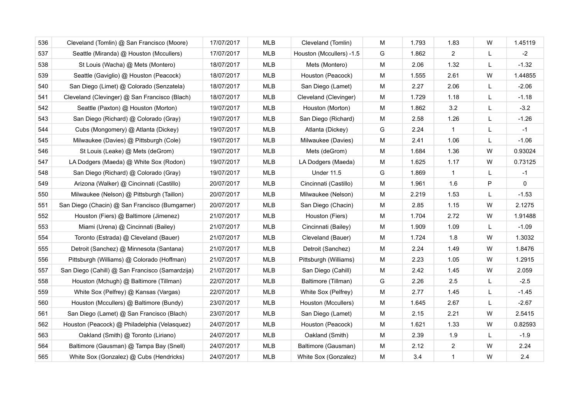| 536 | Cleveland (Tomlin) @ San Francisco (Moore)      | 17/07/2017 | <b>MLB</b> | Cleveland (Tomlin)       | M | 1.793 | 1.83           | W | 1.45119     |
|-----|-------------------------------------------------|------------|------------|--------------------------|---|-------|----------------|---|-------------|
| 537 | Seattle (Miranda) @ Houston (Mccullers)         | 17/07/2017 | <b>MLB</b> | Houston (Mccullers) -1.5 | G | 1.862 | $\overline{2}$ | L | $-2$        |
| 538 | St Louis (Wacha) @ Mets (Montero)               | 18/07/2017 | <b>MLB</b> | Mets (Montero)           | M | 2.06  | 1.32           | L | $-1.32$     |
| 539 | Seattle (Gaviglio) @ Houston (Peacock)          | 18/07/2017 | <b>MLB</b> | Houston (Peacock)        | M | 1.555 | 2.61           | W | 1.44855     |
| 540 | San Diego (Limet) @ Colorado (Senzatela)        | 18/07/2017 | <b>MLB</b> | San Diego (Lamet)        | М | 2.27  | 2.06           | L | $-2.06$     |
| 541 | Cleveland (Clevinger) @ San Francisco (Blach)   | 18/07/2017 | MLB        | Cleveland (Clevinger)    | M | 1.729 | 1.18           | L | $-1.18$     |
| 542 | Seattle (Paxton) @ Houston (Morton)             | 19/07/2017 | <b>MLB</b> | Houston (Morton)         | M | 1.862 | 3.2            | L | $-3.2$      |
| 543 | San Diego (Richard) @ Colorado (Gray)           | 19/07/2017 | MLB        | San Diego (Richard)      | M | 2.58  | 1.26           | L | $-1.26$     |
| 544 | Cubs (Mongomery) @ Atlanta (Dickey)             | 19/07/2017 | <b>MLB</b> | Atlanta (Dickey)         | G | 2.24  | $\mathbf{1}$   | L | $-1$        |
| 545 | Milwaukee (Davies) @ Pittsburgh (Cole)          | 19/07/2017 | <b>MLB</b> | Milwaukee (Davies)       | M | 2.41  | 1.06           | L | $-1.06$     |
| 546 | St Louis (Leake) @ Mets (deGrom)                | 19/07/2017 | <b>MLB</b> | Mets (deGrom)            | М | 1.684 | 1.36           | W | 0.93024     |
| 547 | LA Dodgers (Maeda) @ White Sox (Rodon)          | 19/07/2017 | MLB        | LA Dodgers (Maeda)       | M | 1.625 | 1.17           | W | 0.73125     |
| 548 | San Diego (Richard) @ Colorado (Gray)           | 19/07/2017 | <b>MLB</b> | <b>Under 11.5</b>        | G | 1.869 | $\mathbf{1}$   | L | $-1$        |
| 549 | Arizona (Walker) @ Cincinnati (Castillo)        | 20/07/2017 | <b>MLB</b> | Cincinnati (Castillo)    | M | 1.961 | 1.6            | P | $\mathbf 0$ |
| 550 | Milwaukee (Nelson) @ Pittsburgh (Taillon)       | 20/07/2017 | <b>MLB</b> | Milwaukee (Nelson)       | M | 2.219 | 1.53           | L | $-1.53$     |
| 551 | San Diego (Chacin) @ San Francisco (Bumgarner)  | 20/07/2017 | MLB        | San Diego (Chacin)       | M | 2.85  | 1.15           | W | 2.1275      |
| 552 | Houston (Fiers) @ Baltimore (Jimenez)           | 21/07/2017 | <b>MLB</b> | Houston (Fiers)          | M | 1.704 | 2.72           | W | 1.91488     |
| 553 | Miami (Urena) @ Cincinnati (Bailey)             | 21/07/2017 | <b>MLB</b> | Cincinnati (Bailey)      | M | 1.909 | 1.09           | L | $-1.09$     |
| 554 | Toronto (Estrada) @ Cleveland (Bauer)           | 21/07/2017 | <b>MLB</b> | Cleveland (Bauer)        | М | 1.724 | 1.8            | W | 1.3032      |
| 555 | Detroit (Sanchez) @ Minnesota (Santana)         | 21/07/2017 | <b>MLB</b> | Detroit (Sanchez)        | M | 2.24  | 1.49           | W | 1.8476      |
| 556 | Pittsburgh (Williams) @ Colorado (Hoffman)      | 21/07/2017 | <b>MLB</b> | Pittsburgh (Williams)    | M | 2.23  | 1.05           | W | 1.2915      |
| 557 | San Diego (Cahill) @ San Francisco (Samardzija) | 21/07/2017 | MLB        | San Diego (Cahill)       | M | 2.42  | 1.45           | W | 2.059       |
| 558 | Houston (Mchugh) @ Baltimore (Tillman)          | 22/07/2017 | <b>MLB</b> | Baltimore (Tillman)      | G | 2.26  | 2.5            | L | $-2.5$      |
| 559 | White Sox (Pelfrey) @ Kansas (Vargas)           | 22/07/2017 | MLB        | White Sox (Pelfrey)      | M | 2.77  | 1.45           | L | $-1.45$     |
| 560 | Houston (Mccullers) @ Baltimore (Bundy)         | 23/07/2017 | <b>MLB</b> | Houston (Mccullers)      | M | 1.645 | 2.67           | L | $-2.67$     |
| 561 | San Diego (Lamet) @ San Francisco (Blach)       | 23/07/2017 | <b>MLB</b> | San Diego (Lamet)        | M | 2.15  | 2.21           | W | 2.5415      |
| 562 | Houston (Peacock) @ Philadelphia (Velasquez)    | 24/07/2017 | <b>MLB</b> | Houston (Peacock)        | M | 1.621 | 1.33           | W | 0.82593     |
| 563 | Oakland (Smith) @ Toronto (Liriano)             | 24/07/2017 | <b>MLB</b> | Oakland (Smith)          | M | 2.39  | 1.9            | L | $-1.9$      |
| 564 | Baltimore (Gausman) @ Tampa Bay (Snell)         | 24/07/2017 | <b>MLB</b> | Baltimore (Gausman)      | M | 2.12  | 2              | W | 2.24        |
| 565 | White Sox (Gonzalez) @ Cubs (Hendricks)         | 24/07/2017 | <b>MLB</b> | White Sox (Gonzalez)     | M | 3.4   | $\mathbf{1}$   | W | 2.4         |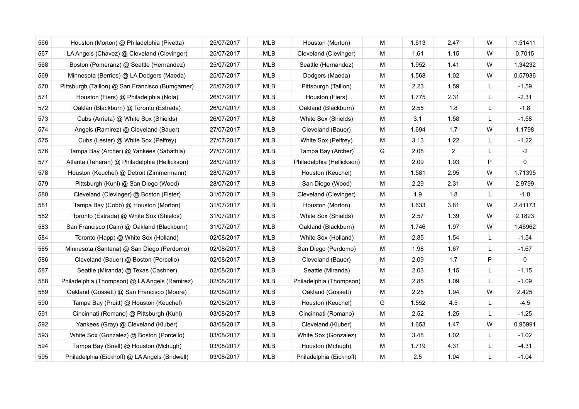| 566 | Houston (Morton) @ Philadelphia (Pivetta)        | 25/07/2017 | <b>MLB</b> | Houston (Morton)          | M | 1.613 | 2.47           | W | 1.51411     |
|-----|--------------------------------------------------|------------|------------|---------------------------|---|-------|----------------|---|-------------|
| 567 | LA Angels (Chavez) @ Cleveland (Clevinger)       | 25/07/2017 | <b>MLB</b> | Cleveland (Clevinger)     | M | 1.61  | 1.15           | W | 0.7015      |
| 568 | Boston (Pomeranz) @ Seattle (Hernandez)          | 25/07/2017 | <b>MLB</b> | Seattle (Hernandez)       | М | 1.952 | 1.41           | W | 1.34232     |
| 569 | Minnesota (Berrios) @ LA Dodgers (Maeda)         | 25/07/2017 | MLB        | Dodgers (Maeda)           | M | 1.568 | 1.02           | W | 0.57936     |
| 570 | Pittsburgh (Taillon) @ San Francisco (Bumgarner) | 25/07/2017 | <b>MLB</b> | Pittsburgh (Taillon)      | М | 2.23  | 1.59           | L | $-1.59$     |
| 571 | Houston (Fiers) @ Philadelphia (Nola)            | 26/07/2017 | MLB        | Houston (Fiers)           | M | 1.775 | 2.31           | L | $-2.31$     |
| 572 | Oaklan (Blackburn) @ Toronto (Estrada)           | 26/07/2017 | <b>MLB</b> | Oakland (Blackburn)       | M | 2.55  | 1.8            | L | $-1.8$      |
| 573 | Cubs (Arrieta) @ White Sox (Shields)             | 26/07/2017 | <b>MLB</b> | White Sox (Shields)       | M | 3.1   | 1.58           | L | $-1.58$     |
| 574 | Angels (Ramirez) @ Cleveland (Bauer)             | 27/07/2017 | <b>MLB</b> | Cleveland (Bauer)         | М | 1.694 | 1.7            | W | 1.1798      |
| 575 | Cubs (Lester) @ White Sox (Pelfrey)              | 27/07/2017 | <b>MLB</b> | White Sox (Pelfrey)       | M | 3.13  | 1.22           | L | $-1.22$     |
| 576 | Tampa Bay (Archer) @ Yankees (Sabathia)          | 27/07/2017 | <b>MLB</b> | Tampa Bay (Archer)        | G | 2.08  | $\overline{2}$ | L | $-2$        |
| 577 | Atlanta (Teheran) @ Philadelphia (Hellickson)    | 28/07/2017 | MLB        | Philadelphia (Hellickson) | М | 2.09  | 1.93           | P | $\mathbf 0$ |
| 578 | Houston (Keuchel) @ Detroit (Zimmermann)         | 28/07/2017 | <b>MLB</b> | Houston (Keuchel)         | M | 1.581 | 2.95           | W | 1.71395     |
| 579 | Pittsburgh (Kuhl) @ San Diego (Wood)             | 28/07/2017 | MLB        | San Diego (Wood)          | M | 2.29  | 2.31           | W | 2.9799      |
| 580 | Cleveland (Clevinger) @ Boston (Fister)          | 31/07/2017 | MLB        | Cleveland (Clevinger)     | М | 1.9   | 1.8            | L | $-1.8$      |
| 581 | Tampa Bay (Cobb) @ Houston (Morton)              | 31/07/2017 | <b>MLB</b> | Houston (Morton)          | M | 1.633 | 3.81           | W | 2.41173     |
| 582 | Toronto (Estrada) @ White Sox (Shields)          | 31/07/2017 | <b>MLB</b> | White Sox (Shields)       | M | 2.57  | 1.39           | W | 2.1823      |
| 583 | San Francisco (Cain) @ Oakland (Blackburn)       | 31/07/2017 | MLB        | Oakland (Blackburn)       | М | 1.746 | 1.97           | W | 1.46962     |
| 584 | Toronto (Happ) @ White Sox (Holland)             | 02/08/2017 | <b>MLB</b> | White Sox (Holland)       | М | 2.85  | 1.54           | L | $-1.54$     |
| 585 | Minnesota (Santana) @ San Diego (Perdomo)        | 02/08/2017 | MLB        | San Diego (Perdomo)       | М | 1.98  | 1.67           | L | $-1.67$     |
| 586 | Cleveland (Bauer) @ Boston (Porcello)            | 02/08/2017 | <b>MLB</b> | Cleveland (Bauer)         | M | 2.09  | 1.7            | P | 0           |
| 587 | Seattle (Miranda) @ Texas (Cashner)              | 02/08/2017 | <b>MLB</b> | Seattle (Miranda)         | M | 2.03  | 1.15           | L | $-1.15$     |
| 588 | Philadelphia (Thompson) @ LA Angels (Ramirez)    | 02/08/2017 | <b>MLB</b> | Philadelphia (Thompson)   | M | 2.85  | 1.09           | L | $-1.09$     |
| 589 | Oakland (Gossett) @ San Francisco (Moore)        | 02/08/2017 | MLB        | Oakland (Gossett)         | M | 2.25  | 1.94           | W | 2.425       |
| 590 | Tampa Bay (Pruitt) @ Houston (Keuchel)           | 02/08/2017 | <b>MLB</b> | Houston (Keuchel)         | G | 1.552 | 4.5            | L | $-4.5$      |
| 591 | Cincinnati (Romano) @ Pittsburgh (Kuhl)          | 03/08/2017 | <b>MLB</b> | Cincinnati (Romano)       | M | 2.52  | 1.25           | L | $-1.25$     |
| 592 | Yankees (Gray) @ Cleveland (Kluber)              | 03/08/2017 | <b>MLB</b> | Cleveland (Kluber)        | M | 1.653 | 1.47           | W | 0.95991     |
| 593 | White Sox (Gonzalez) @ Boston (Porcello)         | 03/08/2017 | MLB        | White Sox (Gonzalez)      | M | 3.48  | 1.02           | L | $-1.02$     |
| 594 | Tampa Bay (Snell) @ Houston (Mchugh)             | 03/08/2017 | <b>MLB</b> | Houston (Mchugh)          | M | 1.719 | 4.31           | L | $-4.31$     |
| 595 | Philadelphia (Eickhoff) @ LA Angels (Bridwell)   | 03/08/2017 | <b>MLB</b> | Philadelphia (Eickhoff)   | М | 2.5   | 1.04           | L | $-1.04$     |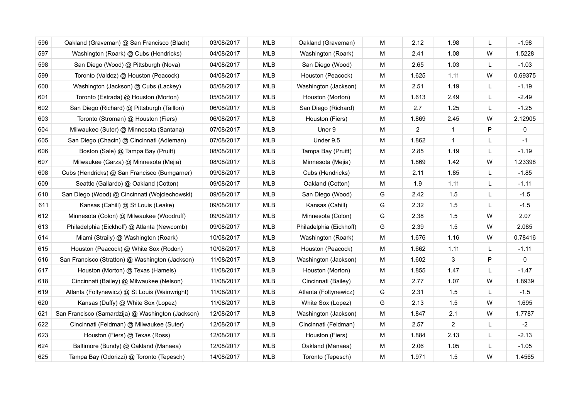| 596 | Oakland (Graveman) @ San Francisco (Blach)        | 03/08/2017 | <b>MLB</b> | Oakland (Graveman)      | M | 2.12           | 1.98           | L            | $-1.98$     |
|-----|---------------------------------------------------|------------|------------|-------------------------|---|----------------|----------------|--------------|-------------|
| 597 | Washington (Roark) @ Cubs (Hendricks)             | 04/08/2017 | MLB        | Washington (Roark)      | M | 2.41           | 1.08           | W            | 1.5228      |
| 598 | San Diego (Wood) @ Pittsburgh (Nova)              | 04/08/2017 | MLB        | San Diego (Wood)        | M | 2.65           | 1.03           | L            | $-1.03$     |
| 599 | Toronto (Valdez) @ Houston (Peacock)              | 04/08/2017 | <b>MLB</b> | Houston (Peacock)       | M | 1.625          | 1.11           | W            | 0.69375     |
| 600 | Washington (Jackson) @ Cubs (Lackey)              | 05/08/2017 | MLB        | Washington (Jackson)    | M | 2.51           | 1.19           | L            | $-1.19$     |
| 601 | Toronto (Estrada) @ Houston (Morton)              | 05/08/2017 | MLB        | Houston (Morton)        | м | 1.613          | 2.49           | L            | $-2.49$     |
| 602 | San Diego (Richard) @ Pittsburgh (Taillon)        | 06/08/2017 | MLB        | San Diego (Richard)     | M | 2.7            | 1.25           | L            | $-1.25$     |
| 603 | Toronto (Stroman) @ Houston (Fiers)               | 06/08/2017 | <b>MLB</b> | Houston (Fiers)         | M | 1.869          | 2.45           | W            | 2.12905     |
| 604 | Milwaukee (Suter) @ Minnesota (Santana)           | 07/08/2017 | <b>MLB</b> | Uner 9                  | M | $\overline{2}$ | $\mathbf{1}$   | P            | 0           |
| 605 | San Diego (Chacin) @ Cincinnati (Adleman)         | 07/08/2017 | <b>MLB</b> | Under 9.5               | М | 1.862          | $\mathbf{1}$   | L            | $-1$        |
| 606 | Boston (Sale) @ Tampa Bay (Pruitt)                | 08/08/2017 | MLB        | Tampa Bay (Pruitt)      | М | 2.85           | 1.19           | L            | $-1.19$     |
| 607 | Milwaukee (Garza) @ Minnesota (Mejia)             | 08/08/2017 | MLB        | Minnesota (Mejia)       | м | 1.869          | 1.42           | W            | 1.23398     |
| 608 | Cubs (Hendricks) @ San Francisco (Bumgarner)      | 09/08/2017 | MLB        | Cubs (Hendricks)        | М | 2.11           | 1.85           | L            | $-1.85$     |
| 609 | Seattle (Gallardo) @ Oakland (Cotton)             | 09/08/2017 | <b>MLB</b> | Oakland (Cotton)        | M | 1.9            | 1.11           | L            | $-1.11$     |
| 610 | San Diego (Wood) @ Cincinnati (Wojciechowski)     | 09/08/2017 | <b>MLB</b> | San Diego (Wood)        | G | 2.42           | 1.5            | L            | $-1.5$      |
| 611 | Kansas (Cahill) @ St Louis (Leake)                | 09/08/2017 | MLB        | Kansas (Cahill)         | G | 2.32           | 1.5            | L            | $-1.5$      |
| 612 | Minnesota (Colon) @ Milwaukee (Woodruff)          | 09/08/2017 | MLB        | Minnesota (Colon)       | G | 2.38           | 1.5            | W            | 2.07        |
| 613 | Philadelphia (Eickhoff) @ Atlanta (Newcomb)       | 09/08/2017 | MLB        | Philadelphia (Eickhoff) | G | 2.39           | 1.5            | W            | 2.085       |
| 614 | Miami (Straily) @ Washington (Roark)              | 10/08/2017 | <b>MLB</b> | Washington (Roark)      | M | 1.676          | 1.16           | W            | 0.78416     |
| 615 | Houston (Peacock) @ White Sox (Rodon)             | 10/08/2017 | <b>MLB</b> | Houston (Peacock)       | M | 1.662          | 1.11           | L            | $-1.11$     |
| 616 | San Francisco (Stratton) @ Washington (Jackson)   | 11/08/2017 | <b>MLB</b> | Washington (Jackson)    | M | 1.602          | 3              | $\mathsf{P}$ | $\mathbf 0$ |
| 617 | Houston (Morton) @ Texas (Hamels)                 | 11/08/2017 | <b>MLB</b> | Houston (Morton)        | M | 1.855          | 1.47           | L            | $-1.47$     |
| 618 | Cincinnati (Bailey) @ Milwaukee (Nelson)          | 11/08/2017 | MLB        | Cincinnati (Bailey)     | M | 2.77           | 1.07           | W            | 1.8939      |
| 619 | Atlanta (Foltynewicz) @ St Louis (Wainwright)     | 11/08/2017 | MLB        | Atlanta (Foltynewicz)   | G | 2.31           | 1.5            | L            | $-1.5$      |
| 620 | Kansas (Duffy) @ White Sox (Lopez)                | 11/08/2017 | <b>MLB</b> | White Sox (Lopez)       | G | 2.13           | 1.5            | W            | 1.695       |
| 621 | San Francisco (Samardzija) @ Washington (Jackson) | 12/08/2017 | <b>MLB</b> | Washington (Jackson)    | M | 1.847          | 2.1            | W            | 1.7787      |
| 622 | Cincinnati (Feldman) @ Milwaukee (Suter)          | 12/08/2017 | <b>MLB</b> | Cincinnati (Feldman)    | M | 2.57           | $\overline{c}$ | L            | $-2$        |
| 623 | Houston (Fiers) @ Texas (Ross)                    | 12/08/2017 | <b>MLB</b> | Houston (Fiers)         | M | 1.884          | 2.13           | L            | $-2.13$     |
| 624 | Baltimore (Bundy) @ Oakland (Manaea)              | 12/08/2017 | <b>MLB</b> | Oakland (Manaea)        | M | 2.06           | 1.05           | L            | $-1.05$     |
| 625 | Tampa Bay (Odorizzi) @ Toronto (Tepesch)          | 14/08/2017 | <b>MLB</b> | Toronto (Tepesch)       | M | 1.971          | 1.5            | W            | 1.4565      |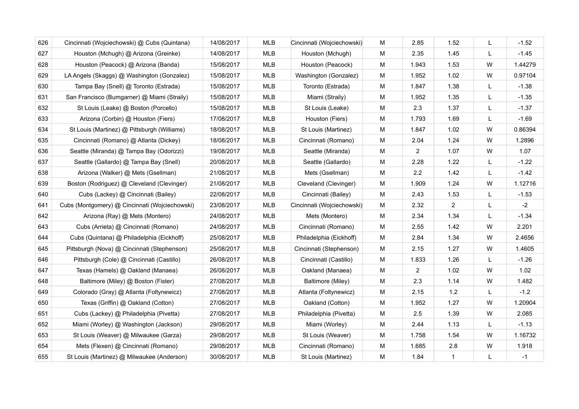| 626 | Cincinnati (Wojciechowski) @ Cubs (Quintana)   | 14/08/2017 | <b>MLB</b> | Cincinnati (Wojciechowski) | M | 2.85           | 1.52         | L            | $-1.52$ |
|-----|------------------------------------------------|------------|------------|----------------------------|---|----------------|--------------|--------------|---------|
| 627 | Houston (Mchugh) @ Arizona (Greinke)           | 14/08/2017 | <b>MLB</b> | Houston (Mchugh)           | M | 2.35           | 1.45         | $\mathsf{L}$ | $-1.45$ |
| 628 | Houston (Peacock) @ Arizona (Banda)            | 15/08/2017 | <b>MLB</b> | Houston (Peacock)          | M | 1.943          | 1.53         | W            | 1.44279 |
| 629 | LA Angels (Skaggs) @ Washington (Gonzalez)     | 15/08/2017 | <b>MLB</b> | Washington (Gonzalez)      | M | 1.952          | 1.02         | W            | 0.97104 |
| 630 | Tampa Bay (Snell) @ Toronto (Estrada)          | 15/08/2017 | <b>MLB</b> | Toronto (Estrada)          | M | 1.847          | 1.38         | L            | $-1.38$ |
| 631 | San Francisco (Bumgarner) @ Miami (Straily)    | 15/08/2017 | <b>MLB</b> | Miami (Straily)            | M | 1.952          | 1.35         | L            | $-1.35$ |
| 632 | St Louis (Leake) @ Boston (Porcello)           | 15/08/2017 | <b>MLB</b> | St Louis (Leake)           | M | 2.3            | 1.37         | L            | $-1.37$ |
| 633 | Arizona (Corbin) @ Houston (Fiers)             | 17/08/2017 | <b>MLB</b> | Houston (Fiers)            | M | 1.793          | 1.69         | $\mathsf{L}$ | $-1.69$ |
| 634 | St Louis (Martinez) @ Pittsburgh (Williams)    | 18/08/2017 | <b>MLB</b> | St Louis (Martinez)        | м | 1.847          | 1.02         | W            | 0.86394 |
| 635 | Cincinnati (Romano) @ Atlanta (Dickey)         | 18/08/2017 | <b>MLB</b> | Cincinnati (Romano)        | M | 2.04           | 1.24         | W            | 1.2896  |
| 636 | Seattle (Miranda) @ Tampa Bay (Odorizzi)       | 19/08/2017 | MLB        | Seattle (Miranda)          | M | 2              | 1.07         | W            | 1.07    |
| 637 | Seattle (Gallardo) @ Tampa Bay (Snell)         | 20/08/2017 | <b>MLB</b> | Seattle (Gallardo)         | M | 2.28           | 1.22         | L            | $-1.22$ |
| 638 | Arizona (Walker) @ Mets (Gsellman)             | 21/08/2017 | <b>MLB</b> | Mets (Gsellman)            | м | 2.2            | 1.42         | L            | $-1.42$ |
| 639 | Boston (Rodriguez) @ Cleveland (Clevinger)     | 21/08/2017 | MLB        | Cleveland (Clevinger)      | M | 1.909          | 1.24         | W            | 1.12716 |
| 640 | Cubs (Lackey) @ Cincinnati (Bailey)            | 22/08/2017 | <b>MLB</b> | Cincinnati (Bailey)        | M | 2.43           | 1.53         | L            | $-1.53$ |
| 641 | Cubs (Montgomery) @ Cincinnati (Wojciechowski) | 23/08/2017 | MLB        | Cincinnati (Wojciechowski) | м | 2.32           | 2            | L            | $-2$    |
| 642 | Arizona (Ray) @ Mets (Montero)                 | 24/08/2017 | MLB        | Mets (Montero)             | M | 2.34           | 1.34         | L            | $-1.34$ |
| 643 | Cubs (Arrieta) @ Cincinnati (Romano)           | 24/08/2017 | MLB        | Cincinnati (Romano)        | M | 2.55           | 1.42         | W            | 2.201   |
| 644 | Cubs (Quintana) @ Philadelphia (Eickhoff)      | 25/08/2017 | MLB        | Philadelphia (Eickhoff)    | м | 2.84           | 1.34         | W            | 2.4656  |
| 645 | Pittsburgh (Nova) @ Cincinnati (Stephenson)    | 25/08/2017 | MLB        | Cincinnati (Stephenson)    | M | 2.15           | 1.27         | W            | 1.4605  |
| 646 | Pittsburgh (Cole) @ Cincinnati (Castillo)      | 26/08/2017 | <b>MLB</b> | Cincinnati (Castillo)      | M | 1.833          | 1.26         | L            | $-1.26$ |
| 647 | Texas (Hamels) @ Oakland (Manaea)              | 26/08/2017 | <b>MLB</b> | Oakland (Manaea)           | M | $\overline{2}$ | 1.02         | W            | 1.02    |
| 648 | Baltimore (Miley) @ Boston (Fister)            | 27/08/2017 | <b>MLB</b> | Baltimore (Miley)          | M | 2.3            | 1.14         | W            | 1.482   |
| 649 | Colorado (Gray) @ Atlanta (Foltynewicz)        | 27/08/2017 | MLB        | Atlanta (Foltynewicz)      | M | 2.15           | 1.2          | L            | $-1.2$  |
| 650 | Texas (Griffin) @ Oakland (Cotton)             | 27/08/2017 | <b>MLB</b> | Oakland (Cotton)           | M | 1.952          | 1.27         | W            | 1.20904 |
| 651 | Cubs (Lackey) @ Philadelphia (Pivetta)         | 27/08/2017 | <b>MLB</b> | Philadelphia (Pivetta)     | M | 2.5            | 1.39         | W            | 2.085   |
| 652 | Miami (Worley) @ Washington (Jackson)          | 29/08/2017 | <b>MLB</b> | Miami (Worley)             | M | 2.44           | 1.13         | L            | $-1.13$ |
| 653 | St Louis (Weaver) @ Milwaukee (Garza)          | 29/08/2017 | <b>MLB</b> | St Louis (Weaver)          | M | 1.758          | 1.54         | W            | 1.16732 |
| 654 | Mets (Flexen) @ Cincinnati (Romano)            | 29/08/2017 | <b>MLB</b> | Cincinnati (Romano)        | M | 1.685          | 2.8          | W            | 1.918   |
| 655 | St Louis (Martinez) @ Milwaukee (Anderson)     | 30/08/2017 | <b>MLB</b> | St Louis (Martinez)        | M | 1.84           | $\mathbf{1}$ | L            | $-1$    |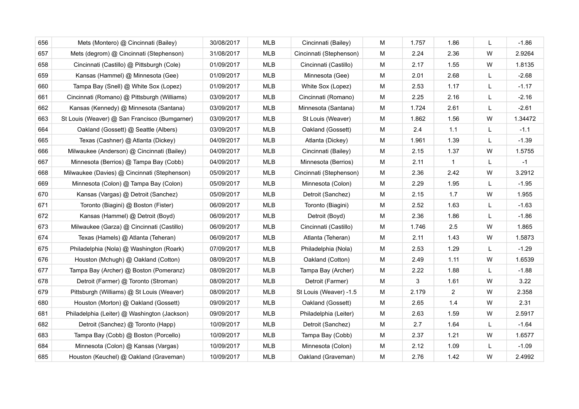| 656 | Mets (Montero) @ Cincinnati (Bailey)          | 30/08/2017 | <b>MLB</b> | Cincinnati (Bailey)     | М | 1.757 | 1.86         | L | $-1.86$ |
|-----|-----------------------------------------------|------------|------------|-------------------------|---|-------|--------------|---|---------|
| 657 | Mets (degrom) @ Cincinnati (Stephenson)       | 31/08/2017 | <b>MLB</b> | Cincinnati (Stephenson) | M | 2.24  | 2.36         | W | 2.9264  |
| 658 | Cincinnati (Castillo) @ Pittsburgh (Cole)     | 01/09/2017 | MLB        | Cincinnati (Castillo)   | М | 2.17  | 1.55         | W | 1.8135  |
| 659 | Kansas (Hammel) @ Minnesota (Gee)             | 01/09/2017 | MLB        | Minnesota (Gee)         | М | 2.01  | 2.68         | L | $-2.68$ |
| 660 | Tampa Bay (Snell) @ White Sox (Lopez)         | 01/09/2017 | MLB        | White Sox (Lopez)       | М | 2.53  | 1.17         | L | $-1.17$ |
| 661 | Cincinnati (Romano) @ Pittsburgh (Williams)   | 03/09/2017 | MLB        | Cincinnati (Romano)     | М | 2.25  | 2.16         | L | $-2.16$ |
| 662 | Kansas (Kennedy) @ Minnesota (Santana)        | 03/09/2017 | <b>MLB</b> | Minnesota (Santana)     | М | 1.724 | 2.61         | L | $-2.61$ |
| 663 | St Louis (Weaver) @ San Francisco (Bumgarner) | 03/09/2017 | <b>MLB</b> | St Louis (Weaver)       | М | 1.862 | 1.56         | W | 1.34472 |
| 664 | Oakland (Gossett) @ Seattle (Albers)          | 03/09/2017 | <b>MLB</b> | Oakland (Gossett)       | М | 2.4   | 1.1          | L | $-1.1$  |
| 665 | Texas (Cashner) @ Atlanta (Dickey)            | 04/09/2017 | <b>MLB</b> | Atlanta (Dickey)        | М | 1.961 | 1.39         | L | $-1.39$ |
| 666 | Milwaukee (Anderson) @ Cincinnati (Bailey)    | 04/09/2017 | MLB        | Cincinnati (Bailey)     | М | 2.15  | 1.37         | W | 1.5755  |
| 667 | Minnesota (Berrios) @ Tampa Bay (Cobb)        | 04/09/2017 | <b>MLB</b> | Minnesota (Berrios)     | М | 2.11  | $\mathbf{1}$ | L | $-1$    |
| 668 | Milwaukee (Davies) @ Cincinnati (Stephenson)  | 05/09/2017 | <b>MLB</b> | Cincinnati (Stephenson) | М | 2.36  | 2.42         | W | 3.2912  |
| 669 | Minnesota (Colon) @ Tampa Bay (Colon)         | 05/09/2017 | <b>MLB</b> | Minnesota (Colon)       | М | 2.29  | 1.95         | L | $-1.95$ |
| 670 | Kansas (Vargas) @ Detroit (Sanchez)           | 05/09/2017 | <b>MLB</b> | Detroit (Sanchez)       | М | 2.15  | 1.7          | W | 1.955   |
| 671 | Toronto (Biagini) @ Boston (Fister)           | 06/09/2017 | <b>MLB</b> | Toronto (Biagini)       | М | 2.52  | 1.63         | L | $-1.63$ |
| 672 | Kansas (Hammel) @ Detroit (Boyd)              | 06/09/2017 | MLB        | Detroit (Boyd)          | М | 2.36  | 1.86         | L | $-1.86$ |
| 673 | Milwaukee (Garza) @ Cincinnati (Castillo)     | 06/09/2017 | <b>MLB</b> | Cincinnati (Castillo)   | М | 1.746 | 2.5          | W | 1.865   |
| 674 | Texas (Hamels) @ Atlanta (Teheran)            | 06/09/2017 | MLB        | Atlanta (Teheran)       | М | 2.11  | 1.43         | W | 1.5873  |
| 675 | Philadelphia (Nola) @ Washington (Roark)      | 07/09/2017 | <b>MLB</b> | Philadelphia (Nola)     | М | 2.53  | 1.29         | L | $-1.29$ |
| 676 | Houston (Mchugh) @ Oakland (Cotton)           | 08/09/2017 | <b>MLB</b> | Oakland (Cotton)        | М | 2.49  | 1.11         | W | 1.6539  |
| 677 | Tampa Bay (Archer) @ Boston (Pomeranz)        | 08/09/2017 | <b>MLB</b> | Tampa Bay (Archer)      | М | 2.22  | 1.88         | L | $-1.88$ |
| 678 | Detroit (Farmer) @ Toronto (Stroman)          | 08/09/2017 | <b>MLB</b> | Detroit (Farmer)        | М | 3     | 1.61         | W | 3.22    |
| 679 | Pittsburgh (Williams) @ St Louis (Weaver)     | 08/09/2017 | <b>MLB</b> | St Louis (Weaver) -1.5  | М | 2.179 | 2            | W | 2.358   |
| 680 | Houston (Morton) @ Oakland (Gossett)          | 09/09/2017 | <b>MLB</b> | Oakland (Gossett)       | М | 2.65  | 1.4          | W | 2.31    |
| 681 | Philadelphia (Leiter) @ Washington (Jackson)  | 09/09/2017 | <b>MLB</b> | Philadelphia (Leiter)   | М | 2.63  | 1.59         | W | 2.5917  |
| 682 | Detroit (Sanchez) @ Toronto (Happ)            | 10/09/2017 | <b>MLB</b> | Detroit (Sanchez)       | М | 2.7   | 1.64         | L | $-1.64$ |
| 683 | Tampa Bay (Cobb) @ Boston (Porcello)          | 10/09/2017 | <b>MLB</b> | Tampa Bay (Cobb)        | М | 2.37  | 1.21         | W | 1.6577  |
| 684 | Minnesota (Colon) @ Kansas (Vargas)           | 10/09/2017 | <b>MLB</b> | Minnesota (Colon)       | М | 2.12  | 1.09         | L | $-1.09$ |
| 685 | Houston (Keuchel) @ Oakland (Graveman)        | 10/09/2017 | <b>MLB</b> | Oakland (Graveman)      | М | 2.76  | 1.42         | W | 2.4992  |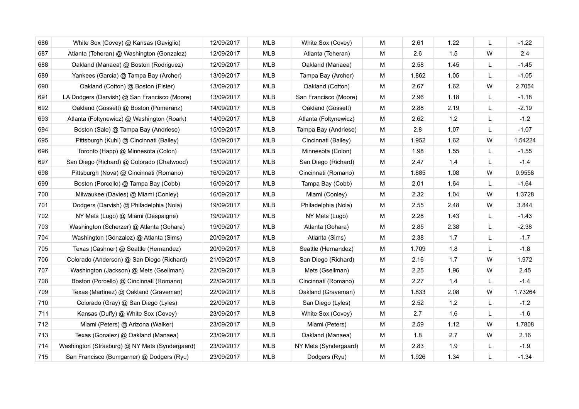| 686 | White Sox (Covey) @ Kansas (Gaviglio)          | 12/09/2017 | <b>MLB</b> | White Sox (Covey)     | м         | 2.61  | 1.22 | L | $-1.22$ |
|-----|------------------------------------------------|------------|------------|-----------------------|-----------|-------|------|---|---------|
| 687 | Atlanta (Teheran) @ Washington (Gonzalez)      | 12/09/2017 | MLB        | Atlanta (Teheran)     | M         | 2.6   | 1.5  | W | 2.4     |
| 688 | Oakland (Manaea) @ Boston (Rodriguez)          | 12/09/2017 | <b>MLB</b> | Oakland (Manaea)      | м         | 2.58  | 1.45 | L | $-1.45$ |
| 689 | Yankees (Garcia) @ Tampa Bay (Archer)          | 13/09/2017 | <b>MLB</b> | Tampa Bay (Archer)    | M         | 1.862 | 1.05 | L | $-1.05$ |
| 690 | Oakland (Cotton) @ Boston (Fister)             | 13/09/2017 | MLB        | Oakland (Cotton)      | м         | 2.67  | 1.62 | W | 2.7054  |
| 691 | LA Dodgers (Darvish) @ San Francisco (Moore)   | 13/09/2017 | MLB        | San Francisco (Moore) | M         | 2.96  | 1.18 | L | $-1.18$ |
| 692 | Oakland (Gossett) @ Boston (Pomeranz)          | 14/09/2017 | MLB        | Oakland (Gossett)     | M         | 2.88  | 2.19 | L | $-2.19$ |
| 693 | Atlanta (Foltynewicz) @ Washington (Roark)     | 14/09/2017 | <b>MLB</b> | Atlanta (Foltynewicz) | M         | 2.62  | 1.2  | L | $-1.2$  |
| 694 | Boston (Sale) @ Tampa Bay (Andriese)           | 15/09/2017 | MLB        | Tampa Bay (Andriese)  | М         | 2.8   | 1.07 | L | $-1.07$ |
| 695 | Pittsburgh (Kuhl) @ Cincinnati (Bailey)        | 15/09/2017 | <b>MLB</b> | Cincinnati (Bailey)   | M         | 1.952 | 1.62 | W | 1.54224 |
| 696 | Toronto (Happ) @ Minnesota (Colon)             | 15/09/2017 | MLB        | Minnesota (Colon)     | M         | 1.98  | 1.55 | L | $-1.55$ |
| 697 | San Diego (Richard) @ Colorado (Chatwood)      | 15/09/2017 | <b>MLB</b> | San Diego (Richard)   | M         | 2.47  | 1.4  | L | $-1.4$  |
| 698 | Pittsburgh (Nova) @ Cincinnati (Romano)        | 16/09/2017 | <b>MLB</b> | Cincinnati (Romano)   | M         | 1.885 | 1.08 | W | 0.9558  |
| 699 | Boston (Porcello) @ Tampa Bay (Cobb)           | 16/09/2017 | <b>MLB</b> | Tampa Bay (Cobb)      | М         | 2.01  | 1.64 | L | $-1.64$ |
| 700 | Milwaukee (Davies) @ Miami (Conley)            | 16/09/2017 | <b>MLB</b> | Miami (Conley)        | M         | 2.32  | 1.04 | W | 1.3728  |
| 701 | Dodgers (Darvish) @ Philadelphia (Nola)        | 19/09/2017 | <b>MLB</b> | Philadelphia (Nola)   | M         | 2.55  | 2.48 | W | 3.844   |
| 702 | NY Mets (Lugo) @ Miami (Despaigne)             | 19/09/2017 | <b>MLB</b> | NY Mets (Lugo)        | M         | 2.28  | 1.43 | L | $-1.43$ |
| 703 | Washington (Scherzer) @ Atlanta (Gohara)       | 19/09/2017 | <b>MLB</b> | Atlanta (Gohara)      | M         | 2.85  | 2.38 | L | $-2.38$ |
| 704 | Washington (Gonzalez) @ Atlanta (Sims)         | 20/09/2017 | <b>MLB</b> | Atlanta (Sims)        | M         | 2.38  | 1.7  | L | $-1.7$  |
| 705 | Texas (Cashner) @ Seattle (Hernandez)          | 20/09/2017 | <b>MLB</b> | Seattle (Hernandez)   | M         | 1.709 | 1.8  | L | $-1.8$  |
| 706 | Colorado (Anderson) @ San Diego (Richard)      | 21/09/2017 | MLB        | San Diego (Richard)   | ${\sf M}$ | 2.16  | 1.7  | W | 1.972   |
| 707 | Washington (Jackson) @ Mets (Gsellman)         | 22/09/2017 | MLB        | Mets (Gsellman)       | M         | 2.25  | 1.96 | W | 2.45    |
| 708 | Boston (Porcello) @ Cincinnati (Romano)        | 22/09/2017 | <b>MLB</b> | Cincinnati (Romano)   | M         | 2.27  | 1.4  | L | $-1.4$  |
| 709 | Texas (Martinez) @ Oakland (Graveman)          | 22/09/2017 | <b>MLB</b> | Oakland (Graveman)    | M         | 1.833 | 2.08 | W | 1.73264 |
| 710 | Colorado (Gray) @ San Diego (Lyles)            | 22/09/2017 | <b>MLB</b> | San Diego (Lyles)     | M         | 2.52  | 1.2  | L | $-1.2$  |
| 711 | Kansas (Duffy) @ White Sox (Covey)             | 23/09/2017 | <b>MLB</b> | White Sox (Covey)     | M         | 2.7   | 1.6  | L | $-1.6$  |
| 712 | Miami (Peters) @ Arizona (Walker)              | 23/09/2017 | <b>MLB</b> | Miami (Peters)        | M         | 2.59  | 1.12 | W | 1.7808  |
| 713 | Texas (Gonalez) @ Oakland (Manaea)             | 23/09/2017 | <b>MLB</b> | Oakland (Manaea)      | ${\sf M}$ | 1.8   | 2.7  | W | 2.16    |
| 714 | Washington (Strasburg) @ NY Mets (Syndergaard) | 23/09/2017 | MLB        | NY Mets (Syndergaard) | M         | 2.83  | 1.9  | L | $-1.9$  |
| 715 | San Francisco (Bumgarner) @ Dodgers (Ryu)      | 23/09/2017 | <b>MLB</b> | Dodgers (Ryu)         | M         | 1.926 | 1.34 | L | $-1.34$ |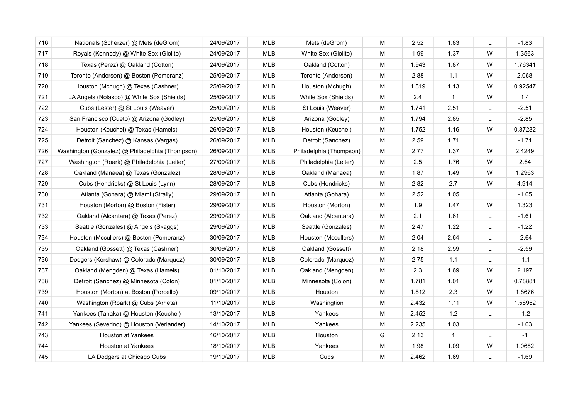| 716 | Nationals (Scherzer) @ Mets (deGrom)            | 24/09/2017 | <b>MLB</b> | Mets (deGrom)           | M | 2.52  | 1.83         | L | $-1.83$ |
|-----|-------------------------------------------------|------------|------------|-------------------------|---|-------|--------------|---|---------|
| 717 | Royals (Kennedy) @ White Sox (Giolito)          | 24/09/2017 | <b>MLB</b> | White Sox (Giolito)     | M | 1.99  | 1.37         | W | 1.3563  |
| 718 | Texas (Perez) @ Oakland (Cotton)                | 24/09/2017 | MLB        | Oakland (Cotton)        | М | 1.943 | 1.87         | W | 1.76341 |
| 719 | Toronto (Anderson) @ Boston (Pomeranz)          | 25/09/2017 | MLB        | Toronto (Anderson)      | M | 2.88  | 1.1          | W | 2.068   |
| 720 | Houston (Mchugh) @ Texas (Cashner)              | 25/09/2017 | <b>MLB</b> | Houston (Mchugh)        | М | 1.819 | 1.13         | W | 0.92547 |
| 721 | LA Angels (Nolasco) @ White Sox (Shields)       | 25/09/2017 | MLB        | White Sox (Shields)     | M | 2.4   | $\mathbf{1}$ | W | 1.4     |
| 722 | Cubs (Lester) @ St Louis (Weaver)               | 25/09/2017 | <b>MLB</b> | St Louis (Weaver)       | M | 1.741 | 2.51         | L | $-2.51$ |
| 723 | San Francisco (Cueto) @ Arizona (Godley)        | 25/09/2017 | <b>MLB</b> | Arizona (Godley)        | M | 1.794 | 2.85         | L | $-2.85$ |
| 724 | Houston (Keuchel) @ Texas (Hamels)              | 26/09/2017 | <b>MLB</b> | Houston (Keuchel)       | М | 1.752 | 1.16         | W | 0.87232 |
| 725 | Detroit (Sanchez) @ Kansas (Vargas)             | 26/09/2017 | MLB        | Detroit (Sanchez)       | M | 2.59  | 1.71         | L | $-1.71$ |
| 726 | Washington (Gonzalez) @ Philadelphia (Thompson) | 26/09/2017 | <b>MLB</b> | Philadelphia (Thompson) | M | 2.77  | 1.37         | W | 2.4249  |
| 727 | Washington (Roark) @ Philadelphia (Leiter)      | 27/09/2017 | <b>MLB</b> | Philadelphia (Leiter)   | M | 2.5   | 1.76         | W | 2.64    |
| 728 | Oakland (Manaea) @ Texas (Gonzalez)             | 28/09/2017 | <b>MLB</b> | Oakland (Manaea)        | M | 1.87  | 1.49         | W | 1.2963  |
| 729 | Cubs (Hendricks) @ St Louis (Lynn)              | 28/09/2017 | <b>MLB</b> | Cubs (Hendricks)        | M | 2.82  | 2.7          | W | 4.914   |
| 730 | Atlanta (Gohara) @ Miami (Straily)              | 29/09/2017 | MLB        | Atlanta (Gohara)        | м | 2.52  | 1.05         | L | $-1.05$ |
| 731 | Houston (Morton) @ Boston (Fister)              | 29/09/2017 | MLB        | Houston (Morton)        | M | 1.9   | 1.47         | W | 1.323   |
| 732 | Oakland (Alcantara) @ Texas (Perez)             | 29/09/2017 | <b>MLB</b> | Oakland (Alcantara)     | M | 2.1   | 1.61         | L | $-1.61$ |
| 733 | Seattle (Gonzales) @ Angels (Skaggs)            | 29/09/2017 | MLB        | Seattle (Gonzales)      | M | 2.47  | 1.22         | L | $-1.22$ |
| 734 | Houston (Mccullers) @ Boston (Pomeranz)         | 30/09/2017 | MLB        | Houston (Mccullers)     | M | 2.04  | 2.64         | L | $-2.64$ |
| 735 | Oakland (Gossett) @ Texas (Cashner)             | 30/09/2017 | MLB        | Oakland (Gossett)       | M | 2.18  | 2.59         | L | $-2.59$ |
| 736 | Dodgers (Kershaw) @ Colorado (Marquez)          | 30/09/2017 | <b>MLB</b> | Colorado (Marquez)      | м | 2.75  | $1.1$        | L | $-1.1$  |
| 737 | Oakland (Mengden) @ Texas (Hamels)              | 01/10/2017 | <b>MLB</b> | Oakland (Mengden)       | M | 2.3   | 1.69         | W | 2.197   |
| 738 | Detroit (Sanchez) @ Minnesota (Colon)           | 01/10/2017 | <b>MLB</b> | Minnesota (Colon)       | M | 1.781 | 1.01         | W | 0.78881 |
| 739 | Houston (Morton) at Boston (Porcello)           | 09/10/2017 | <b>MLB</b> | Houston                 | M | 1.812 | 2.3          | W | 1.8676  |
| 740 | Washington (Roark) @ Cubs (Arrieta)             | 11/10/2017 | <b>MLB</b> | Washingtion             | M | 2.432 | 1.11         | W | 1.58952 |
| 741 | Yankees (Tanaka) @ Houston (Keuchel)            | 13/10/2017 | <b>MLB</b> | Yankees                 | M | 2.452 | 1.2          | L | $-1.2$  |
| 742 | Yankees (Severino) @ Houston (Verlander)        | 14/10/2017 | <b>MLB</b> | Yankees                 | M | 2.235 | 1.03         | L | $-1.03$ |
| 743 | Houston at Yankees                              | 16/10/2017 | <b>MLB</b> | Houston                 | G | 2.13  | $\mathbf{1}$ | L | $-1$    |
| 744 | <b>Houston at Yankees</b>                       | 18/10/2017 | <b>MLB</b> | Yankees                 | M | 1.98  | 1.09         | W | 1.0682  |
| 745 | LA Dodgers at Chicago Cubs                      | 19/10/2017 | <b>MLB</b> | Cubs                    | M | 2.462 | 1.69         | L | $-1.69$ |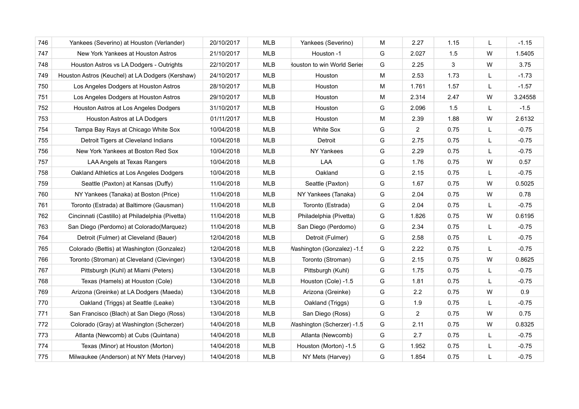| 746 | Yankees (Severino) at Houston (Verlander)        | 20/10/2017 | <b>MLB</b> | Yankees (Severino)          | М | 2.27           | 1.15 | L | $-1.15$ |
|-----|--------------------------------------------------|------------|------------|-----------------------------|---|----------------|------|---|---------|
| 747 | New York Yankees at Houston Astros               | 21/10/2017 | <b>MLB</b> | Houston -1                  | G | 2.027          | 1.5  | W | 1.5405  |
| 748 | Houston Astros vs LA Dodgers - Outrights         | 22/10/2017 | MLB        | louston to win World Series | G | 2.25           | 3    | W | 3.75    |
| 749 | Houston Astros (Keuchel) at LA Dodgers (Kershaw) | 24/10/2017 | MLB        | Houston                     | М | 2.53           | 1.73 | L | $-1.73$ |
| 750 | Los Angeles Dodgers at Houston Astros            | 28/10/2017 | MLB        | Houston                     | М | 1.761          | 1.57 | L | $-1.57$ |
| 751 | Los Angeles Dodgers at Houston Astros            | 29/10/2017 | MLB        | Houston                     | М | 2.314          | 2.47 | W | 3.24558 |
| 752 | Houston Astros at Los Angeles Dodgers            | 31/10/2017 | MLB        | Houston                     | G | 2.096          | 1.5  | L | $-1.5$  |
| 753 | Houston Astros at LA Dodgers                     | 01/11/2017 | <b>MLB</b> | Houston                     | M | 2.39           | 1.88 | W | 2.6132  |
| 754 | Tampa Bay Rays at Chicago White Sox              | 10/04/2018 | MLB        | <b>White Sox</b>            | G | $\overline{2}$ | 0.75 | L | $-0.75$ |
| 755 | Detroit Tigers at Cleveland Indians              | 10/04/2018 | MLB        | Detroit                     | G | 2.75           | 0.75 | L | $-0.75$ |
| 756 | New York Yankees at Boston Red Sox               | 10/04/2018 | MLB        | NY Yankees                  | G | 2.29           | 0.75 | L | $-0.75$ |
| 757 | LAA Angels at Texas Rangers                      | 10/04/2018 | MLB        | LAA                         | G | 1.76           | 0.75 | W | 0.57    |
| 758 | Oakland Athletics at Los Angeles Dodgers         | 10/04/2018 | MLB        | Oakland                     | G | 2.15           | 0.75 | L | $-0.75$ |
| 759 | Seattle (Paxton) at Kansas (Duffy)               | 11/04/2018 | <b>MLB</b> | Seattle (Paxton)            | G | 1.67           | 0.75 | W | 0.5025  |
| 760 | NY Yankees (Tanaka) at Boston (Price)            | 11/04/2018 | MLB        | NY Yankees (Tanaka)         | G | 2.04           | 0.75 | W | 0.78    |
| 761 | Toronto (Estrada) at Baltimore (Gausman)         | 11/04/2018 | MLB        | Toronto (Estrada)           | G | 2.04           | 0.75 | L | $-0.75$ |
| 762 | Cincinnati (Castillo) at Philadelphia (Pivetta)  | 11/04/2018 | MLB        | Philadelphia (Pivetta)      | G | 1.826          | 0.75 | W | 0.6195  |
| 763 | San Diego (Perdomo) at Colorado(Marquez)         | 11/04/2018 | MLB        | San Diego (Perdomo)         | G | 2.34           | 0.75 | L | $-0.75$ |
| 764 | Detroit (Fulmer) at Cleveland (Bauer)            | 12/04/2018 | <b>MLB</b> | Detroit (Fulmer)            | G | 2.58           | 0.75 | L | $-0.75$ |
| 765 | Colorado (Bettis) at Washington (Gonzalez)       | 12/04/2018 | <b>MLB</b> | Vashington (Gonzalez) -1.5  | G | 2.22           | 0.75 | L | $-0.75$ |
| 766 | Toronto (Stroman) at Cleveland (Clevinger)       | 13/04/2018 | <b>MLB</b> | Toronto (Stroman)           | G | 2.15           | 0.75 | W | 0.8625  |
| 767 | Pittsburgh (Kuhl) at Miami (Peters)              | 13/04/2018 | MLB        | Pittsburgh (Kuhl)           | G | 1.75           | 0.75 | L | $-0.75$ |
| 768 | Texas (Hamels) at Houston (Cole)                 | 13/04/2018 | MLB        | Houston (Cole) -1.5         | G | 1.81           | 0.75 | L | $-0.75$ |
| 769 | Arizona (Greinke) at LA Dodgers (Maeda)          | 13/04/2018 | <b>MLB</b> | Arizona (Greinke)           | G | 2.2            | 0.75 | W | 0.9     |
| 770 | Oakland (Triggs) at Seattle (Leake)              | 13/04/2018 | <b>MLB</b> | Oakland (Triggs)            | G | 1.9            | 0.75 | L | $-0.75$ |
| 771 | San Francisco (Blach) at San Diego (Ross)        | 13/04/2018 | <b>MLB</b> | San Diego (Ross)            | G | $\overline{2}$ | 0.75 | W | 0.75    |
| 772 | Colorado (Gray) at Washington (Scherzer)         | 14/04/2018 | <b>MLB</b> | Washington (Scherzer) -1.5  | G | 2.11           | 0.75 | W | 0.8325  |
| 773 | Atlanta (Newcomb) at Cubs (Quintana)             | 14/04/2018 | MLB        | Atlanta (Newcomb)           | G | 2.7            | 0.75 | L | $-0.75$ |
| 774 | Texas (Minor) at Houston (Morton)                | 14/04/2018 | MLB        | Houston (Morton) -1.5       | G | 1.952          | 0.75 | L | $-0.75$ |
| 775 | Milwaukee (Anderson) at NY Mets (Harvey)         | 14/04/2018 | <b>MLB</b> | NY Mets (Harvey)            | G | 1.854          | 0.75 | L | $-0.75$ |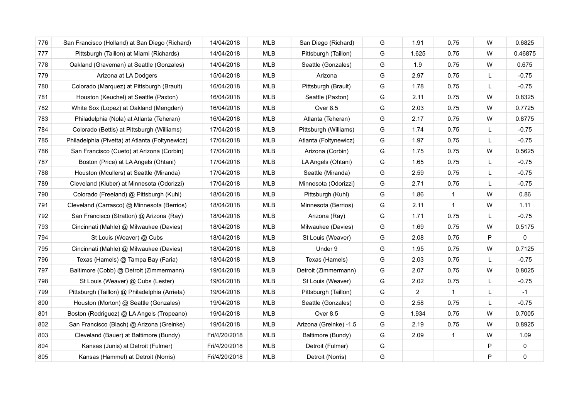| 776 | San Francisco (Holland) at San Diego (Richard)  | 14/04/2018    | <b>MLB</b> | San Diego (Richard)    | G | 1.91           | 0.75           | W | 0.6825  |
|-----|-------------------------------------------------|---------------|------------|------------------------|---|----------------|----------------|---|---------|
| 777 | Pittsburgh (Taillon) at Miami (Richards)        | 14/04/2018    | <b>MLB</b> | Pittsburgh (Taillon)   | G | 1.625          | 0.75           | W | 0.46875 |
| 778 | Oakland (Graveman) at Seattle (Gonzales)        | 14/04/2018    | <b>MLB</b> | Seattle (Gonzales)     | G | 1.9            | 0.75           | W | 0.675   |
| 779 | Arizona at LA Dodgers                           | 15/04/2018    | <b>MLB</b> | Arizona                | G | 2.97           | 0.75           | L | $-0.75$ |
| 780 | Colorado (Marquez) at Pittsburgh (Brault)       | 16/04/2018    | <b>MLB</b> | Pittsburgh (Brault)    | G | 1.78           | 0.75           | L | $-0.75$ |
| 781 | Houston (Keuchel) at Seattle (Paxton)           | 16/04/2018    | <b>MLB</b> | Seattle (Paxton)       | G | 2.11           | 0.75           | W | 0.8325  |
| 782 | White Sox (Lopez) at Oakland (Mengden)          | 16/04/2018    | <b>MLB</b> | Over 8.5               | G | 2.03           | 0.75           | W | 0.7725  |
| 783 | Philadelphia (Nola) at Atlanta (Teheran)        | 16/04/2018    | MLB        | Atlanta (Teheran)      | G | 2.17           | 0.75           | W | 0.8775  |
| 784 | Colorado (Bettis) at Pittsburgh (Williams)      | 17/04/2018    | MLB        | Pittsburgh (Williams)  | G | 1.74           | 0.75           | L | $-0.75$ |
| 785 | Philadelphia (Pivetta) at Atlanta (Foltynewicz) | 17/04/2018    | <b>MLB</b> | Atlanta (Foltynewicz)  | G | 1.97           | 0.75           | L | $-0.75$ |
| 786 | San Francisco (Cueto) at Arizona (Corbin)       | 17/04/2018    | MLB        | Arizona (Corbin)       | G | 1.75           | 0.75           | W | 0.5625  |
| 787 | Boston (Price) at LA Angels (Ohtani)            | 17/04/2018    | <b>MLB</b> | LA Angels (Ohtani)     | G | 1.65           | 0.75           | L | $-0.75$ |
| 788 | Houston (Mcullers) at Seattle (Miranda)         | 17/04/2018    | <b>MLB</b> | Seattle (Miranda)      | G | 2.59           | 0.75           | L | $-0.75$ |
| 789 | Cleveland (Kluber) at Minnesota (Odorizzi)      | 17/04/2018    | <b>MLB</b> | Minnesota (Odorizzi)   | G | 2.71           | 0.75           | L | $-0.75$ |
| 790 | Colorado (Freeland) @ Pittsburgh (Kuhl)         | 18/04/2018    | <b>MLB</b> | Pittsburgh (Kuhl)      | G | 1.86           | $\overline{1}$ | W | 0.86    |
| 791 | Cleveland (Carrasco) @ Minnesota (Berrios)      | 18/04/2018    | <b>MLB</b> | Minnesota (Berrios)    | G | 2.11           | $\mathbf{1}$   | W | 1.11    |
| 792 | San Francisco (Stratton) @ Arizona (Ray)        | 18/04/2018    | <b>MLB</b> | Arizona (Ray)          | G | 1.71           | 0.75           | L | $-0.75$ |
| 793 | Cincinnati (Mahle) @ Milwaukee (Davies)         | 18/04/2018    | <b>MLB</b> | Milwaukee (Davies)     | G | 1.69           | 0.75           | W | 0.5175  |
| 794 | St Louis (Weaver) @ Cubs                        | 18/04/2018    | <b>MLB</b> | St Louis (Weaver)      | G | 2.08           | 0.75           | P | 0       |
| 795 | Cincinnati (Mahle) @ Milwaukee (Davies)         | 18/04/2018    | <b>MLB</b> | Under 9                | G | 1.95           | 0.75           | W | 0.7125  |
| 796 | Texas (Hamels) @ Tampa Bay (Faria)              | 18/04/2018    | <b>MLB</b> | Texas (Hamels)         | G | 2.03           | 0.75           | L | $-0.75$ |
| 797 | Baltimore (Cobb) @ Detroit (Zimmermann)         | 19/04/2018    | <b>MLB</b> | Detroit (Zimmermann)   | G | 2.07           | 0.75           | W | 0.8025  |
| 798 | St Louis (Weaver) @ Cubs (Lester)               | 19/04/2018    | <b>MLB</b> | St Louis (Weaver)      | G | 2.02           | 0.75           | L | $-0.75$ |
| 799 | Pittsburgh (Taillon) @ Philadelphia (Arrieta)   | 19/04/2018    | <b>MLB</b> | Pittsburgh (Taillon)   | G | $\overline{2}$ | $\overline{1}$ | L | $-1$    |
| 800 | Houston (Morton) @ Seattle (Gonzales)           | 19/04/2018    | <b>MLB</b> | Seattle (Gonzales)     | G | 2.58           | 0.75           | L | $-0.75$ |
| 801 | Boston (Rodriguez) @ LA Angels (Tropeano)       | 19/04/2018    | <b>MLB</b> | Over 8.5               | G | 1.934          | 0.75           | W | 0.7005  |
| 802 | San Francisco (Blach) @ Arizona (Greinke)       | 19/04/2018    | <b>MLB</b> | Arizona (Greinke) -1.5 | G | 2.19           | 0.75           | W | 0.8925  |
| 803 | Cleveland (Bauer) at Baltimore (Bundy)          | Fri/4/20/2018 | <b>MLB</b> | Baltimore (Bundy)      | G | 2.09           | $\overline{1}$ | W | 1.09    |
| 804 | Kansas (Junis) at Detroit (Fulmer)              | Fri/4/20/2018 | <b>MLB</b> | Detroit (Fulmer)       | G |                |                | P | 0       |
| 805 | Kansas (Hammel) at Detroit (Norris)             | Fri/4/20/2018 | <b>MLB</b> | Detroit (Norris)       | G |                |                | P | 0       |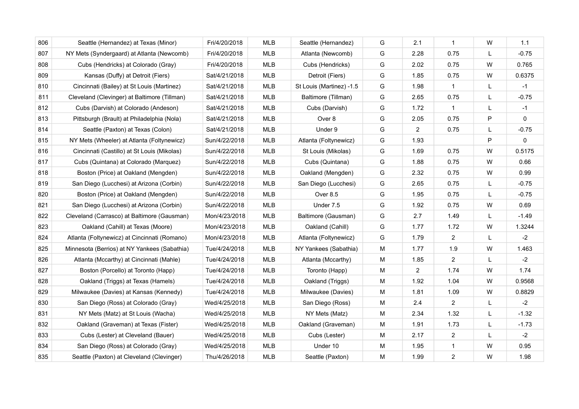| 806 | Seattle (Hernandez) at Texas (Minor)         | Fri/4/20/2018 | <b>MLB</b> | Seattle (Hernandez)      | G | 2.1            | $\mathbf{1}$   | W            | 1.1         |
|-----|----------------------------------------------|---------------|------------|--------------------------|---|----------------|----------------|--------------|-------------|
| 807 | NY Mets (Syndergaard) at Atlanta (Newcomb)   | Fri/4/20/2018 | MLB        | Atlanta (Newcomb)        | G | 2.28           | 0.75           | L            | $-0.75$     |
| 808 | Cubs (Hendricks) at Colorado (Gray)          | Fri/4/20/2018 | <b>MLB</b> | Cubs (Hendricks)         | G | 2.02           | 0.75           | W            | 0.765       |
| 809 | Kansas (Duffy) at Detroit (Fiers)            | Sat/4/21/2018 | <b>MLB</b> | Detroit (Fiers)          | G | 1.85           | 0.75           | W            | 0.6375      |
| 810 | Cincinnati (Bailey) at St Louis (Martinez)   | Sat/4/21/2018 | <b>MLB</b> | St Louis (Martinez) -1.5 | G | 1.98           | $\mathbf{1}$   | L            | $-1$        |
| 811 | Cleveland (Clevinger) at Baltimore (Tillman) | Sat/4/21/2018 | <b>MLB</b> | Baltimore (Tillman)      | G | 2.65           | 0.75           | L            | $-0.75$     |
| 812 | Cubs (Darvish) at Colorado (Andeson)         | Sat/4/21/2018 | <b>MLB</b> | Cubs (Darvish)           | G | 1.72           | $\mathbf{1}$   | L            | $-1$        |
| 813 | Pittsburgh (Brault) at Philadelphia (Nola)   | Sat/4/21/2018 | MLB        | Over 8                   | G | 2.05           | 0.75           | P            | 0           |
| 814 | Seattle (Paxton) at Texas (Colon)            | Sat/4/21/2018 | <b>MLB</b> | Under 9                  | G | 2              | 0.75           | L            | $-0.75$     |
| 815 | NY Mets (Wheeler) at Atlanta (Foltynewicz)   | Sun/4/22/2018 | MLB        | Atlanta (Foltynewicz)    | G | 1.93           |                | P            | $\mathbf 0$ |
| 816 | Cincinnati (Castillo) at St Louis (Mikolas)  | Sun/4/22/2018 | <b>MLB</b> | St Louis (Mikolas)       | G | 1.69           | 0.75           | W            | 0.5175      |
| 817 | Cubs (Quintana) at Colorado (Marquez)        | Sun/4/22/2018 | <b>MLB</b> | Cubs (Quintana)          | G | 1.88           | 0.75           | W            | 0.66        |
| 818 | Boston (Price) at Oakland (Mengden)          | Sun/4/22/2018 | <b>MLB</b> | Oakland (Mengden)        | G | 2.32           | 0.75           | W            | 0.99        |
| 819 | San Diego (Lucchesi) at Arizona (Corbin)     | Sun/4/22/2018 | <b>MLB</b> | San Diego (Lucchesi)     | G | 2.65           | 0.75           | $\mathsf{L}$ | $-0.75$     |
| 820 | Boston (Price) at Oakland (Mengden)          | Sun/4/22/2018 | <b>MLB</b> | Over 8.5                 | G | 1.95           | 0.75           | L            | $-0.75$     |
| 821 | San Diego (Lucchesi) at Arizona (Corbin)     | Sun/4/22/2018 | MLB        | Under 7.5                | G | 1.92           | 0.75           | W            | 0.69        |
| 822 | Cleveland (Carrasco) at Baltimore (Gausman)  | Mon/4/23/2018 | <b>MLB</b> | Baltimore (Gausman)      | G | 2.7            | 1.49           | L            | $-1.49$     |
| 823 | Oakland (Cahill) at Texas (Moore)            | Mon/4/23/2018 | MLB        | Oakland (Cahill)         | G | 1.77           | 1.72           | W            | 1.3244      |
| 824 | Atlanta (Foltynewicz) at Cincinnati (Romano) | Mon/4/23/2018 | MLB        | Atlanta (Foltynewicz)    | G | 1.79           | 2              | L            | $-2$        |
| 825 | Minnesota (Berrios) at NY Yankees (Sabathia) | Tue/4/24/2018 | MLB        | NY Yankees (Sabathia)    | M | 1.77           | 1.9            | W            | 1.463       |
| 826 | Atlanta (Mccarthy) at Cincinnati (Mahle)     | Tue/4/24/2018 | MLB        | Atlanta (Mccarthy)       | м | 1.85           | $\overline{2}$ | L            | $-2$        |
| 827 | Boston (Porcello) at Toronto (Happ)          | Tue/4/24/2018 | MLB        | Toronto (Happ)           | M | $\overline{2}$ | 1.74           | W            | 1.74        |
| 828 | Oakland (Triggs) at Texas (Hamels)           | Tue/4/24/2018 | <b>MLB</b> | Oakland (Triggs)         | м | 1.92           | 1.04           | W            | 0.9568      |
| 829 | Milwaukee (Davies) at Kansas (Kennedy)       | Tue/4/24/2018 | MLB        | Milwaukee (Davies)       | M | 1.81           | 1.09           | W            | 0.8829      |
| 830 | San Diego (Ross) at Colorado (Gray)          | Wed/4/25/2018 | MLB        | San Diego (Ross)         | M | 2.4            | 2              | $\mathsf{L}$ | $-2$        |
| 831 | NY Mets (Matz) at St Louis (Wacha)           | Wed/4/25/2018 | MLB        | NY Mets (Matz)           | M | 2.34           | 1.32           | L            | $-1.32$     |
| 832 | Oakland (Graveman) at Texas (Fister)         | Wed/4/25/2018 | MLB        | Oakland (Graveman)       | M | 1.91           | 1.73           | L            | $-1.73$     |
| 833 | Cubs (Lester) at Cleveland (Bauer)           | Wed/4/25/2018 | MLB        | Cubs (Lester)            | M | 2.17           | $\overline{2}$ | L            | $-2$        |
| 834 | San Diego (Ross) at Colorado (Gray)          | Wed/4/25/2018 | <b>MLB</b> | Under 10                 | M | 1.95           | $\mathbf{1}$   | W            | 0.95        |
| 835 | Seattle (Paxton) at Cleveland (Clevinger)    | Thu/4/26/2018 | <b>MLB</b> | Seattle (Paxton)         | М | 1.99           | $\overline{2}$ | W            | 1.98        |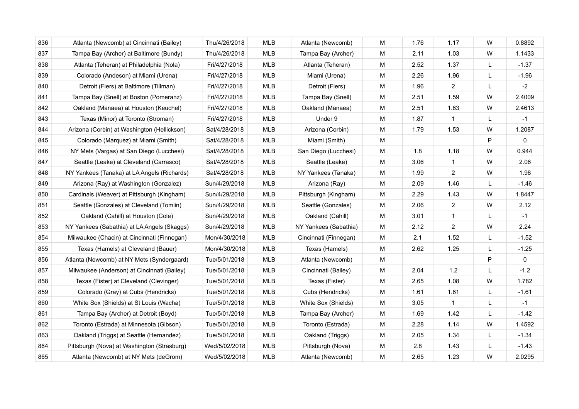| 836 | Atlanta (Newcomb) at Cincinnati (Bailey)    | Thu/4/26/2018 | <b>MLB</b> | Atlanta (Newcomb)     | M | 1.76 | 1.17             | W | 0.8892  |
|-----|---------------------------------------------|---------------|------------|-----------------------|---|------|------------------|---|---------|
| 837 | Tampa Bay (Archer) at Baltimore (Bundy)     | Thu/4/26/2018 | <b>MLB</b> | Tampa Bay (Archer)    | M | 2.11 | 1.03             | W | 1.1433  |
| 838 | Atlanta (Teheran) at Philadelphia (Nola)    | Fri/4/27/2018 | <b>MLB</b> | Atlanta (Teheran)     | M | 2.52 | 1.37             | L | $-1.37$ |
| 839 | Colorado (Andeson) at Miami (Urena)         | Fri/4/27/2018 | <b>MLB</b> | Miami (Urena)         | M | 2.26 | 1.96             | L | $-1.96$ |
| 840 | Detroit (Fiers) at Baltimore (Tillman)      | Fri/4/27/2018 | <b>MLB</b> | Detroit (Fiers)       | M | 1.96 | 2                | L | $-2$    |
| 841 | Tampa Bay (Snell) at Boston (Pomeranz)      | Fri/4/27/2018 | <b>MLB</b> | Tampa Bay (Snell)     | M | 2.51 | 1.59             | W | 2.4009  |
| 842 | Oakland (Manaea) at Houston (Keuchel)       | Fri/4/27/2018 | <b>MLB</b> | Oakland (Manaea)      | M | 2.51 | 1.63             | W | 2.4613  |
| 843 | Texas (Minor) at Toronto (Stroman)          | Fri/4/27/2018 | MLB        | Under 9               | M | 1.87 | $\mathbf{1}$     | L | $-1$    |
| 844 | Arizona (Corbin) at Washington (Hellickson) | Sat/4/28/2018 | MLB        | Arizona (Corbin)      | M | 1.79 | 1.53             | W | 1.2087  |
| 845 | Colorado (Marquez) at Miami (Smith)         | Sat/4/28/2018 | <b>MLB</b> | Miami (Smith)         | M |      |                  | P | 0       |
| 846 | NY Mets (Vargas) at San Diego (Lucchesi)    | Sat/4/28/2018 | MLB        | San Diego (Lucchesi)  | M | 1.8  | 1.18             | W | 0.944   |
| 847 | Seattle (Leake) at Cleveland (Carrasco)     | Sat/4/28/2018 | <b>MLB</b> | Seattle (Leake)       | M | 3.06 | $\mathbf{1}$     | W | 2.06    |
| 848 | NY Yankees (Tanaka) at LA Angels (Richards) | Sat/4/28/2018 | <b>MLB</b> | NY Yankees (Tanaka)   | M | 1.99 | $\overline{2}$   | W | 1.98    |
| 849 | Arizona (Ray) at Washington (Gonzalez)      | Sun/4/29/2018 | <b>MLB</b> | Arizona (Ray)         | M | 2.09 | 1.46             | L | $-1.46$ |
| 850 | Cardinals (Weaver) at Pittsburgh (Kingham)  | Sun/4/29/2018 | MLB        | Pittsburgh (Kingham)  | M | 2.29 | 1.43             | W | 1.8447  |
| 851 | Seattle (Gonzales) at Cleveland (Tomlin)    | Sun/4/29/2018 | MLB        | Seattle (Gonzales)    | M | 2.06 | $\overline{2}$   | W | 2.12    |
| 852 | Oakland (Cahill) at Houston (Cole)          | Sun/4/29/2018 | <b>MLB</b> | Oakland (Cahill)      | M | 3.01 | $\mathbf{1}$     | L | $-1$    |
| 853 | NY Yankees (Sabathia) at LA Angels (Skaggs) | Sun/4/29/2018 | <b>MLB</b> | NY Yankees (Sabathia) | M | 2.12 | $\boldsymbol{2}$ | W | 2.24    |
| 854 | Milwaukee (Chacin) at Cincinnati (Finnegan) | Mon/4/30/2018 | <b>MLB</b> | Cincinnati (Finnegan) | M | 2.1  | 1.52             | L | $-1.52$ |
| 855 | Texas (Hamels) at Cleveland (Bauer)         | Mon/4/30/2018 | <b>MLB</b> | Texas (Hamels)        | M | 2.62 | 1.25             | L | $-1.25$ |
| 856 | Atlanta (Newcomb) at NY Mets (Syndergaard)  | Tue/5/01/2018 | MLB        | Atlanta (Newcomb)     | M |      |                  | P | 0       |
| 857 | Milwaukee (Anderson) at Cincinnati (Bailey) | Tue/5/01/2018 | MLB        | Cincinnati (Bailey)   | M | 2.04 | $1.2$            | L | $-1.2$  |
| 858 | Texas (Fister) at Cleveland (Clevinger)     | Tue/5/01/2018 | MLB        | Texas (Fister)        | M | 2.65 | 1.08             | W | 1.782   |
| 859 | Colorado (Gray) at Cubs (Hendricks)         | Tue/5/01/2018 | MLB        | Cubs (Hendricks)      | M | 1.61 | 1.61             | L | $-1.61$ |
| 860 | White Sox (Shields) at St Louis (Wacha)     | Tue/5/01/2018 | <b>MLB</b> | White Sox (Shields)   | M | 3.05 | -1               | L | $-1$    |
| 861 | Tampa Bay (Archer) at Detroit (Boyd)        | Tue/5/01/2018 | <b>MLB</b> | Tampa Bay (Archer)    | м | 1.69 | 1.42             | L | $-1.42$ |
| 862 | Toronto (Estrada) at Minnesota (Gibson)     | Tue/5/01/2018 | MLB        | Toronto (Estrada)     | M | 2.28 | 1.14             | W | 1.4592  |
| 863 | Oakland (Triggs) at Seattle (Hernandez)     | Tue/5/01/2018 | MLB        | Oakland (Triggs)      | M | 2.05 | 1.34             | L | $-1.34$ |
| 864 | Pittsburgh (Nova) at Washington (Strasburg) | Wed/5/02/2018 | MLB        | Pittsburgh (Nova)     | M | 2.8  | 1.43             | L | $-1.43$ |
| 865 | Atlanta (Newcomb) at NY Mets (deGrom)       | Wed/5/02/2018 | <b>MLB</b> | Atlanta (Newcomb)     | M | 2.65 | 1.23             | W | 2.0295  |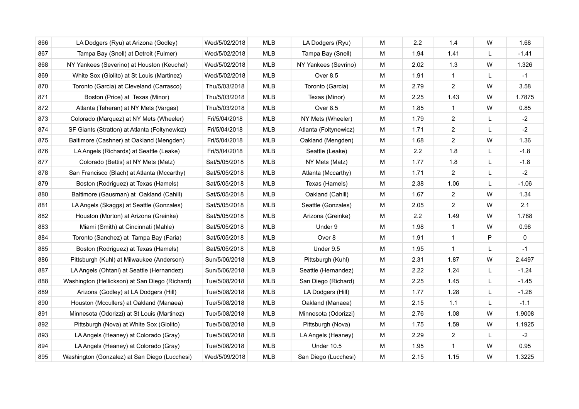| 866 | LA Dodgers (Ryu) at Arizona (Godley)           | Wed/5/02/2018 | <b>MLB</b> | LA Dodgers (Ryu)      | M | 2.2  | 1.4            | W | 1.68    |
|-----|------------------------------------------------|---------------|------------|-----------------------|---|------|----------------|---|---------|
| 867 | Tampa Bay (Snell) at Detroit (Fulmer)          | Wed/5/02/2018 | MLB        | Tampa Bay (Snell)     | M | 1.94 | 1.41           | L | $-1.41$ |
| 868 | NY Yankees (Severino) at Houston (Keuchel)     | Wed/5/02/2018 | <b>MLB</b> | NY Yankees (Sevrino)  | М | 2.02 | 1.3            | W | 1.326   |
| 869 | White Sox (Giolito) at St Louis (Martinez)     | Wed/5/02/2018 | <b>MLB</b> | Over 8.5              | М | 1.91 | $\mathbf{1}$   | L | $-1$    |
| 870 | Toronto (Garcia) at Cleveland (Carrasco)       | Thu/5/03/2018 | <b>MLB</b> | Toronto (Garcia)      | М | 2.79 | $\overline{2}$ | W | 3.58    |
| 871 | Boston (Price) at Texas (Minor)                | Thu/5/03/2018 | <b>MLB</b> | Texas (Minor)         | M | 2.25 | 1.43           | W | 1.7875  |
| 872 | Atlanta (Teheran) at NY Mets (Vargas)          | Thu/5/03/2018 | <b>MLB</b> | Over 8.5              | М | 1.85 | $\mathbf{1}$   | W | 0.85    |
| 873 | Colorado (Marquez) at NY Mets (Wheeler)        | Fri/5/04/2018 | <b>MLB</b> | NY Mets (Wheeler)     | M | 1.79 | $\overline{2}$ | L | $-2$    |
| 874 | SF Giants (Stratton) at Atlanta (Foltynewicz)  | Fri/5/04/2018 | <b>MLB</b> | Atlanta (Foltynewicz) | M | 1.71 | $\overline{2}$ | L | $-2$    |
| 875 | Baltimore (Cashner) at Oakland (Mengden)       | Fri/5/04/2018 | <b>MLB</b> | Oakland (Mengden)     | M | 1.68 | $\overline{2}$ | W | 1.36    |
| 876 | LA Angels (Richards) at Seattle (Leake)        | Fri/5/04/2018 | <b>MLB</b> | Seattle (Leake)       | M | 2.2  | 1.8            | L | $-1.8$  |
| 877 | Colorado (Bettis) at NY Mets (Matz)            | Sat/5/05/2018 | MLB        | NY Mets (Matz)        | M | 1.77 | 1.8            | L | $-1.8$  |
| 878 | San Francisco (Blach) at Atlanta (Mccarthy)    | Sat/5/05/2018 | <b>MLB</b> | Atlanta (Mccarthy)    | M | 1.71 | $\overline{2}$ | L | $-2$    |
| 879 | Boston (Rodriguez) at Texas (Hamels)           | Sat/5/05/2018 | <b>MLB</b> | Texas (Hamels)        | M | 2.38 | 1.06           | L | $-1.06$ |
| 880 | Baltimore (Gausman) at Oakland (Cahill)        | Sat/5/05/2018 | <b>MLB</b> | Oakland (Cahill)      | М | 1.67 | 2              | W | 1.34    |
| 881 | LA Angels (Skaggs) at Seattle (Gonzales)       | Sat/5/05/2018 | <b>MLB</b> | Seattle (Gonzales)    | M | 2.05 | $\overline{c}$ | W | 2.1     |
| 882 | Houston (Morton) at Arizona (Greinke)          | Sat/5/05/2018 | <b>MLB</b> | Arizona (Greinke)     | M | 2.2  | 1.49           | W | 1.788   |
| 883 | Miami (Smith) at Cincinnati (Mahle)            | Sat/5/05/2018 | MLB        | Under 9               | M | 1.98 | $\mathbf{1}$   | W | 0.98    |
| 884 | Toronto (Sanchez) at Tampa Bay (Faria)         | Sat/5/05/2018 | <b>MLB</b> | Over 8                | М | 1.91 | $\mathbf{1}$   | P | 0       |
| 885 | Boston (Rodriguez) at Texas (Hamels)           | Sat/5/05/2018 | MLB        | Under 9.5             | М | 1.95 | $\mathbf{1}$   | L | $-1$    |
| 886 | Pittsburgh (Kuhl) at Milwaukee (Anderson)      | Sun/5/06/2018 | <b>MLB</b> | Pittsburgh (Kuhl)     | М | 2.31 | 1.87           | W | 2.4497  |
| 887 | LA Angels (Ohtani) at Seattle (Hernandez)      | Sun/5/06/2018 | <b>MLB</b> | Seattle (Hernandez)   | M | 2.22 | 1.24           | L | $-1.24$ |
| 888 | Washington (Hellickson) at San Diego (Richard) | Tue/5/08/2018 | <b>MLB</b> | San Diego (Richard)   | М | 2.25 | 1.45           | L | $-1.45$ |
| 889 | Arizona (Godley) at LA Dodgers (Hill)          | Tue/5/08/2018 | MLB        | LA Dodgers (Hill)     | M | 1.77 | 1.28           | L | $-1.28$ |
| 890 | Houston (Mccullers) at Oakland (Manaea)        | Tue/5/08/2018 | <b>MLB</b> | Oakland (Manaea)      | М | 2.15 | 1.1            | L | $-1.1$  |
| 891 | Minnesota (Odorizzi) at St Louis (Martinez)    | Tue/5/08/2018 | MLB        | Minnesota (Odorizzi)  | M | 2.76 | 1.08           | W | 1.9008  |
| 892 | Pittsburgh (Nova) at White Sox (Giolito)       | Tue/5/08/2018 | MLB        | Pittsburgh (Nova)     | M | 1.75 | 1.59           | W | 1.1925  |
| 893 | LA Angels (Heaney) at Colorado (Gray)          | Tue/5/08/2018 | MLB        | LA Angels (Heaney)    | M | 2.29 | 2              | L | $-2$    |
| 894 | LA Angels (Heaney) at Colorado (Gray)          | Tue/5/08/2018 | <b>MLB</b> | <b>Under 10.5</b>     | M | 1.95 | $\mathbf{1}$   | W | 0.95    |
| 895 | Washington (Gonzalez) at San Diego (Lucchesi)  | Wed/5/09/2018 | <b>MLB</b> | San Diego (Lucchesi)  | м | 2.15 | 1.15           | W | 1.3225  |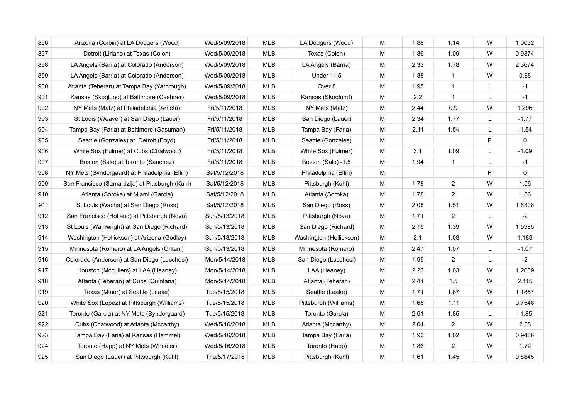| 896 | Arizona (Corbin) at LA Dodgers (Wood)           | Wed/5/09/2018 | <b>MLB</b> | LA Dodgers (Wood)       | M | 1.88 | 1.14           | W         | 1.0032  |
|-----|-------------------------------------------------|---------------|------------|-------------------------|---|------|----------------|-----------|---------|
| 897 | Detroit (Liriano) at Texas (Colon)              | Wed/5/09/2018 | MLB        | Texas (Colon)           | M | 1.86 | 1.09           | W         | 0.9374  |
| 898 | LA Angels (Barria) at Colorado (Anderson)       | Wed/5/09/2018 | MLB        | LA Angels (Barria)      | M | 2.33 | 1.78           | W         | 2.3674  |
| 899 | LA Angels (Barria) at Colorado (Anderson)       | Wed/5/09/2018 | MLB        | <b>Under 11.5</b>       | M | 1.88 | $\mathbf{1}$   | W         | 0.88    |
| 900 | Atlanta (Teheran) at Tampa Bay (Yarbrough)      | Wed/5/09/2018 | MLB        | Over 8                  | M | 1.95 | $\mathbf{1}$   | L         | $-1$    |
| 901 | Kansas (Skoglund) at Baltimore (Cashner)        | Wed/5/09/2018 | MLB        | Kansas (Skoglund)       | M | 2.2  | $\mathbf{1}$   | L         | $-1$    |
| 902 | NY Mets (Matz) at Philadelphia (Arrieta)        | Fri/5/11/2018 | <b>MLB</b> | NY Mets (Matz)          | M | 2.44 | 0.9            | W         | 1.296   |
| 903 | St Louis (Weaver) at San Diego (Lauer)          | Fri/5/11/2018 | MLB        | San Diego (Lauer)       | M | 2.34 | 1.77           | L         | $-1.77$ |
| 904 | Tampa Bay (Faria) at Baltimore (Gasuman)        | Fri/5/11/2018 | MLB        | Tampa Bay (Faria)       | M | 2.11 | 1.54           | L         | $-1.54$ |
| 905 | Seattle (Gonzales) at Detroit (Boyd)            | Fri/5/11/2018 | MLB        | Seattle (Gonzales)      | M |      |                | P         | 0       |
| 906 | White Sox (Fulmer) at Cubs (Chatwood)           | Fri/5/11/2018 | <b>MLB</b> | White Sox (Fulmer)      | М | 3.1  | 1.09           | L         | $-1.09$ |
| 907 | Boston (Sale) at Toronto (Sanchez)              | Fri/5/11/2018 | <b>MLB</b> | Boston (Sale) -1.5      | M | 1.94 | $\mathbf{1}$   | L         | $-1$    |
| 908 | NY Mets (Syndergaard) at Philadelphia (Eflin)   | Sat/5/12/2018 | <b>MLB</b> | Philadelphia (Eflin)    | M |      |                | P         | 0       |
| 909 | San Francisco (Samardzija) at Pittsburgh (Kuhl) | Sat/5/12/2018 | <b>MLB</b> | Pittsburgh (Kuhl)       | M | 1.78 | $\overline{2}$ | W         | 1.56    |
| 910 | Atlanta (Soroka) at Miami (Garcia)              | Sat/5/12/2018 | <b>MLB</b> | Atlanta (Soroka)        | M | 1.78 | $\overline{2}$ | W         | 1.56    |
| 911 | St Louis (Wacha) at San Diego (Ross)            | Sat/5/12/2018 | MLB        | San Diego (Ross)        | M | 2.08 | 1.51           | W         | 1.6308  |
| 912 | San Francisco (Holland) at Pittsburgh (Nova)    | Sun/5/13/2018 | <b>MLB</b> | Pittsburgh (Nova)       | м | 1.71 | 2              | L         | $-2$    |
| 913 | St Louis (Wainwright) at San Diego (Richard)    | Sun/5/13/2018 | <b>MLB</b> | San Diego (Richard)     | M | 2.15 | 1.39           | W         | 1.5985  |
| 914 | Washington (Hellickson) at Arizona (Godley)     | Sun/5/13/2018 | MLB        | Washington (Hellickson) | M | 2.1  | 1.08           | W         | 1.188   |
| 915 | Minnesota (Romero) at LA Angels (Ohtani)        | Sun/5/13/2018 | MLB        | Minnesota (Romero)      | м | 2.47 | 1.07           | L         | $-1.07$ |
| 916 | Colorado (Anderson) at San Diego (Lucchesi)     | Mon/5/14/2018 | <b>MLB</b> | San Diego (Lucchesi)    | M | 1.99 | $\overline{2}$ | L         | $-2$    |
| 917 | Houston (Mccullers) at LAA (Heaney)             | Mon/5/14/2018 | MLB        | LAA (Heaney)            | M | 2.23 | 1.03           | W         | 1.2669  |
| 918 | Atlanta (Teheran) at Cubs (Quintana)            | Mon/5/14/2018 | MLB        | Atlanta (Teheran)       | M | 2.41 | 1.5            | W         | 2.115   |
| 919 | Texas (Minor) at Seattle (Leake)                | Tue/5/15/2018 | <b>MLB</b> | Seattle (Leake)         | M | 1.71 | 1.67           | W         | 1.1857  |
| 920 | White Sox (Lopez) at Pittsburgh (Williams)      | Tue/5/15/2018 | MLB        | Pittsburgh (Williams)   | M | 1.68 | 1.11           | W         | 0.7548  |
| 921 | Toronto (Garcia) at NY Mets (Syndergaard)       | Tue/5/15/2018 | <b>MLB</b> | Toronto (Garcia)        | M | 2.61 | 1.85           | L         | $-1.85$ |
| 922 | Cubs (Chatwood) at Atlanta (Mccarthy)           | Wed/5/16/2018 | <b>MLB</b> | Atlanta (Mccarthy)      | M | 2.04 | $\overline{2}$ | W         | 2.08    |
| 923 | Tampa Bay (Faria) at Kansas (Hammel)            | Wed/5/16/2018 | <b>MLB</b> | Tampa Bay (Faria)       | M | 1.93 | 1.02           | W         | 0.9486  |
| 924 | Toronto (Happ) at NY Mets (Wheeler)             | Wed/5/16/2018 | <b>MLB</b> | Toronto (Happ)          | M | 1.86 | $\overline{2}$ | W         | 1.72    |
| 925 | San Diego (Lauer) at Pittsburgh (Kuhl)          | Thu/5/17/2018 | <b>MLB</b> | Pittsburgh (Kuhl)       | М | 1.61 | 1.45           | ${\sf W}$ | 0.8845  |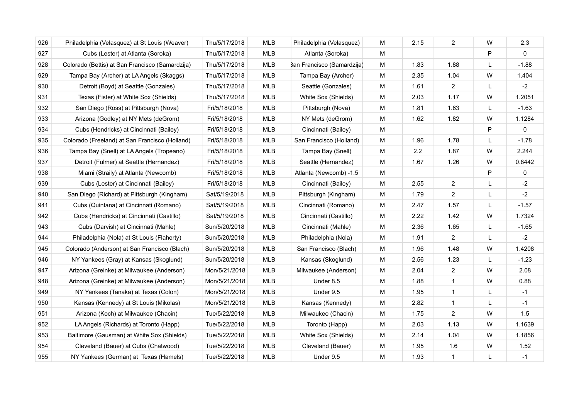| 926 | Philadelphia (Velasquez) at St Louis (Weaver)   | Thu/5/17/2018 | <b>MLB</b> | Philadelphia (Velasquez)   | M | 2.15 | $\overline{2}$ | W | 2.3          |
|-----|-------------------------------------------------|---------------|------------|----------------------------|---|------|----------------|---|--------------|
| 927 | Cubs (Lester) at Atlanta (Soroka)               | Thu/5/17/2018 | <b>MLB</b> | Atlanta (Soroka)           | M |      |                | P | $\Omega$     |
| 928 | Colorado (Bettis) at San Francisco (Samardzija) | Thu/5/17/2018 | MLB        | San Francisco (Samardzija) | м | 1.83 | 1.88           | L | $-1.88$      |
| 929 | Tampa Bay (Archer) at LA Angels (Skaggs)        | Thu/5/17/2018 | <b>MLB</b> | Tampa Bay (Archer)         | M | 2.35 | 1.04           | W | 1.404        |
| 930 | Detroit (Boyd) at Seattle (Gonzales)            | Thu/5/17/2018 | <b>MLB</b> | Seattle (Gonzales)         | M | 1.61 | 2              | L | $-2$         |
| 931 | Texas (Fister) at White Sox (Shields)           | Thu/5/17/2018 | <b>MLB</b> | White Sox (Shields)        | M | 2.03 | 1.17           | W | 1.2051       |
| 932 | San Diego (Ross) at Pittsburgh (Nova)           | Fri/5/18/2018 | <b>MLB</b> | Pittsburgh (Nova)          | M | 1.81 | 1.63           | L | $-1.63$      |
| 933 | Arizona (Godley) at NY Mets (deGrom)            | Fri/5/18/2018 | <b>MLB</b> | NY Mets (deGrom)           | M | 1.62 | 1.82           | W | 1.1284       |
| 934 | Cubs (Hendricks) at Cincinnati (Bailey)         | Fri/5/18/2018 | <b>MLB</b> | Cincinnati (Bailey)        | M |      |                | P | $\mathbf{0}$ |
| 935 | Colorado (Freeland) at San Francisco (Holland)  | Fri/5/18/2018 | <b>MLB</b> | San Francisco (Holland)    | M | 1.96 | 1.78           | L | $-1.78$      |
| 936 | Tampa Bay (Snell) at LA Angels (Tropeano)       | Fri/5/18/2018 | <b>MLB</b> | Tampa Bay (Snell)          | M | 2.2  | 1.87           | W | 2.244        |
| 937 | Detroit (Fulmer) at Seattle (Hernandez)         | Fri/5/18/2018 | <b>MLB</b> | Seattle (Hernandez)        | M | 1.67 | 1.26           | W | 0.8442       |
| 938 | Miami (Straily) at Atlanta (Newcomb)            | Fri/5/18/2018 | <b>MLB</b> | Atlanta (Newcomb) -1.5     | M |      |                | P | 0            |
| 939 | Cubs (Lester) at Cincinnati (Bailey)            | Fri/5/18/2018 | <b>MLB</b> | Cincinnati (Bailey)        | M | 2.55 | $\overline{2}$ | L | $-2$         |
| 940 | San Diego (Richard) at Pittsburgh (Kingham)     | Sat/5/19/2018 | <b>MLB</b> | Pittsburgh (Kingham)       | м | 1.79 | $\overline{2}$ | L | $-2$         |
| 941 | Cubs (Quintana) at Cincinnati (Romano)          | Sat/5/19/2018 | <b>MLB</b> | Cincinnati (Romano)        | м | 2.47 | 1.57           | L | $-1.57$      |
| 942 | Cubs (Hendricks) at Cincinnati (Castillo)       | Sat/5/19/2018 | <b>MLB</b> | Cincinnati (Castillo)      | M | 2.22 | 1.42           | W | 1.7324       |
| 943 | Cubs (Darvish) at Cincinnati (Mahle)            | Sun/5/20/2018 | <b>MLB</b> | Cincinnati (Mahle)         | M | 2.36 | 1.65           | L | $-1.65$      |
| 944 | Philadelphia (Nola) at St Louis (Flaherty)      | Sun/5/20/2018 | <b>MLB</b> | Philadelphia (Nola)        | M | 1.91 | 2              | L | $-2$         |
| 945 | Colorado (Anderson) at San Francisco (Blach)    | Sun/5/20/2018 | MLB        | San Francisco (Blach)      | M | 1.96 | 1.48           | W | 1.4208       |
| 946 | NY Yankees (Gray) at Kansas (Skoglund)          | Sun/5/20/2018 | <b>MLB</b> | Kansas (Skoglund)          | M | 2.56 | 1.23           | L | $-1.23$      |
| 947 | Arizona (Greinke) at Milwaukee (Anderson)       | Mon/5/21/2018 | <b>MLB</b> | Milwaukee (Anderson)       | м | 2.04 | 2              | W | 2.08         |
| 948 | Arizona (Greinke) at Milwaukee (Anderson)       | Mon/5/21/2018 | <b>MLB</b> | Under 8.5                  | M | 1.88 | $\mathbf{1}$   | W | 0.88         |
| 949 | NY Yankees (Tanaka) at Texas (Colon)            | Mon/5/21/2018 | <b>MLB</b> | Under 9.5                  | M | 1.95 | $\mathbf{1}$   | L | $-1$         |
| 950 | Kansas (Kennedy) at St Louis (Mikolas)          | Mon/5/21/2018 | <b>MLB</b> | Kansas (Kennedy)           | м | 2.82 | $\mathbf{1}$   | L | $-1$         |
| 951 | Arizona (Koch) at Milwaukee (Chacin)            | Tue/5/22/2018 | <b>MLB</b> | Milwaukee (Chacin)         | M | 1.75 | $\overline{2}$ | W | 1.5          |
| 952 | LA Angels (Richards) at Toronto (Happ)          | Tue/5/22/2018 | <b>MLB</b> | Toronto (Happ)             | M | 2.03 | 1.13           | W | 1.1639       |
| 953 | Baltimore (Gausman) at White Sox (Shields)      | Tue/5/22/2018 | <b>MLB</b> | White Sox (Shields)        | M | 2.14 | 1.04           | W | 1.1856       |
| 954 | Cleveland (Bauer) at Cubs (Chatwood)            | Tue/5/22/2018 | <b>MLB</b> | Cleveland (Bauer)          | M | 1.95 | 1.6            | W | 1.52         |
| 955 | NY Yankees (German) at Texas (Hamels)           | Tue/5/22/2018 | <b>MLB</b> | Under 9.5                  | M | 1.93 | $\mathbf{1}$   | L | $-1$         |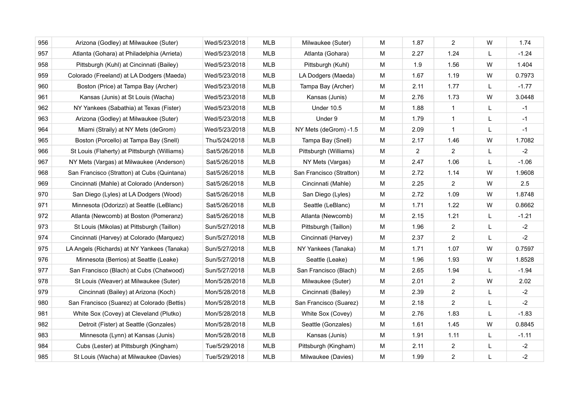| 956 | Arizona (Godley) at Milwaukee (Suter)        | Wed/5/23/2018 | <b>MLB</b> | Milwaukee (Suter)        | M | 1.87           | 2              | W | 1.74    |
|-----|----------------------------------------------|---------------|------------|--------------------------|---|----------------|----------------|---|---------|
| 957 | Atlanta (Gohara) at Philadelphia (Arrieta)   | Wed/5/23/2018 | MLB        | Atlanta (Gohara)         | M | 2.27           | 1.24           | L | $-1.24$ |
| 958 | Pittsburgh (Kuhl) at Cincinnati (Bailey)     | Wed/5/23/2018 | MLB        | Pittsburgh (Kuhl)        | M | 1.9            | 1.56           | W | 1.404   |
| 959 | Colorado (Freeland) at LA Dodgers (Maeda)    | Wed/5/23/2018 | MLB        | LA Dodgers (Maeda)       | M | 1.67           | 1.19           | W | 0.7973  |
| 960 | Boston (Price) at Tampa Bay (Archer)         | Wed/5/23/2018 | MLB        | Tampa Bay (Archer)       | M | 2.11           | 1.77           | L | $-1.77$ |
| 961 | Kansas (Junis) at St Louis (Wacha)           | Wed/5/23/2018 | MLB        | Kansas (Junis)           | M | 2.76           | 1.73           | W | 3.0448  |
| 962 | NY Yankees (Sabathia) at Texas (Fister)      | Wed/5/23/2018 | MLB        | <b>Under 10.5</b>        | М | 1.88           | $\mathbf{1}$   | L | $-1$    |
| 963 | Arizona (Godley) at Milwaukee (Suter)        | Wed/5/23/2018 | MLB        | Under 9                  | M | 1.79           | $\mathbf{1}$   | L | $-1$    |
| 964 | Miami (Straily) at NY Mets (deGrom)          | Wed/5/23/2018 | MLB        | NY Mets (deGrom) -1.5    | М | 2.09           | $\mathbf{1}$   | L | $-1$    |
| 965 | Boston (Porcello) at Tampa Bay (Snell)       | Thu/5/24/2018 | MLB        | Tampa Bay (Snell)        | M | 2.17           | 1.46           | W | 1.7082  |
| 966 | St Louis (Flaherty) at Pittsburgh (Williams) | Sat/5/26/2018 | <b>MLB</b> | Pittsburgh (Williams)    | M | $\overline{2}$ | $\overline{2}$ | L | $-2$    |
| 967 | NY Mets (Vargas) at Milwaukee (Anderson)     | Sat/5/26/2018 | <b>MLB</b> | NY Mets (Vargas)         | М | 2.47           | 1.06           | L | $-1.06$ |
| 968 | San Francisco (Stratton) at Cubs (Quintana)  | Sat/5/26/2018 | <b>MLB</b> | San Francisco (Stratton) | М | 2.72           | 1.14           | W | 1.9608  |
| 969 | Cincinnati (Mahle) at Colorado (Anderson)    | Sat/5/26/2018 | MLB        | Cincinnati (Mahle)       | м | 2.25           | $\overline{2}$ | W | 2.5     |
| 970 | San Diego (Lyles) at LA Dodgers (Wood)       | Sat/5/26/2018 | <b>MLB</b> | San Diego (Lyles)        | M | 2.72           | 1.09           | W | 1.8748  |
| 971 | Minnesota (Odorizzi) at Seattle (LeBlanc)    | Sat/5/26/2018 | MLB        | Seattle (LeBlanc)        | M | 1.71           | 1.22           | W | 0.8662  |
| 972 | Atlanta (Newcomb) at Boston (Pomeranz)       | Sat/5/26/2018 | <b>MLB</b> | Atlanta (Newcomb)        | М | 2.15           | 1.21           | L | $-1.21$ |
| 973 | St Louis (Mikolas) at Pittsburgh (Taillon)   | Sun/5/27/2018 | <b>MLB</b> | Pittsburgh (Taillon)     | M | 1.96           | 2              | L | $-2$    |
| 974 | Cincinnati (Harvey) at Colorado (Marquez)    | Sun/5/27/2018 | MLB        | Cincinnati (Harvey)      | M | 2.37           | $\overline{2}$ | L | $-2$    |
| 975 | LA Angels (Richards) at NY Yankees (Tanaka)  | Sun/5/27/2018 | MLB        | NY Yankees (Tanaka)      | М | 1.71           | 1.07           | W | 0.7597  |
| 976 | Minnesota (Berrios) at Seattle (Leake)       | Sun/5/27/2018 | <b>MLB</b> | Seattle (Leake)          | М | 1.96           | 1.93           | W | 1.8528  |
| 977 | San Francisco (Blach) at Cubs (Chatwood)     | Sun/5/27/2018 | <b>MLB</b> | San Francisco (Blach)    | M | 2.65           | 1.94           | L | $-1.94$ |
| 978 | St Louis (Weaver) at Milwaukee (Suter)       | Mon/5/28/2018 | MLB        | Milwaukee (Suter)        | M | 2.01           | 2              | W | 2.02    |
| 979 | Cincinnati (Bailey) at Arizona (Koch)        | Mon/5/28/2018 | MLB        | Cincinnati (Bailey)      | M | 2.39           | $\overline{2}$ | L | $-2$    |
| 980 | San Francisco (Suarez) at Colorado (Bettis)  | Mon/5/28/2018 | MLB        | San Francisco (Suarez)   | M | 2.18           | $\overline{2}$ | L | $-2$    |
| 981 | White Sox (Covey) at Cleveland (Plutko)      | Mon/5/28/2018 | MLB        | White Sox (Covey)        | М | 2.76           | 1.83           | L | $-1.83$ |
| 982 | Detroit (Fister) at Seattle (Gonzales)       | Mon/5/28/2018 | <b>MLB</b> | Seattle (Gonzales)       | M | 1.61           | 1.45           | W | 0.8845  |
| 983 | Minnesota (Lynn) at Kansas (Junis)           | Mon/5/28/2018 | MLB        | Kansas (Junis)           | M | 1.91           | 1.11           | L | $-1.11$ |
| 984 | Cubs (Lester) at Pittsburgh (Kingham)        | Tue/5/29/2018 | <b>MLB</b> | Pittsburgh (Kingham)     | M | 2.11           | 2              | L | $-2$    |
| 985 | St Louis (Wacha) at Milwaukee (Davies)       | Tue/5/29/2018 | <b>MLB</b> | Milwaukee (Davies)       | M | 1.99           | $\overline{2}$ | L | $-2$    |